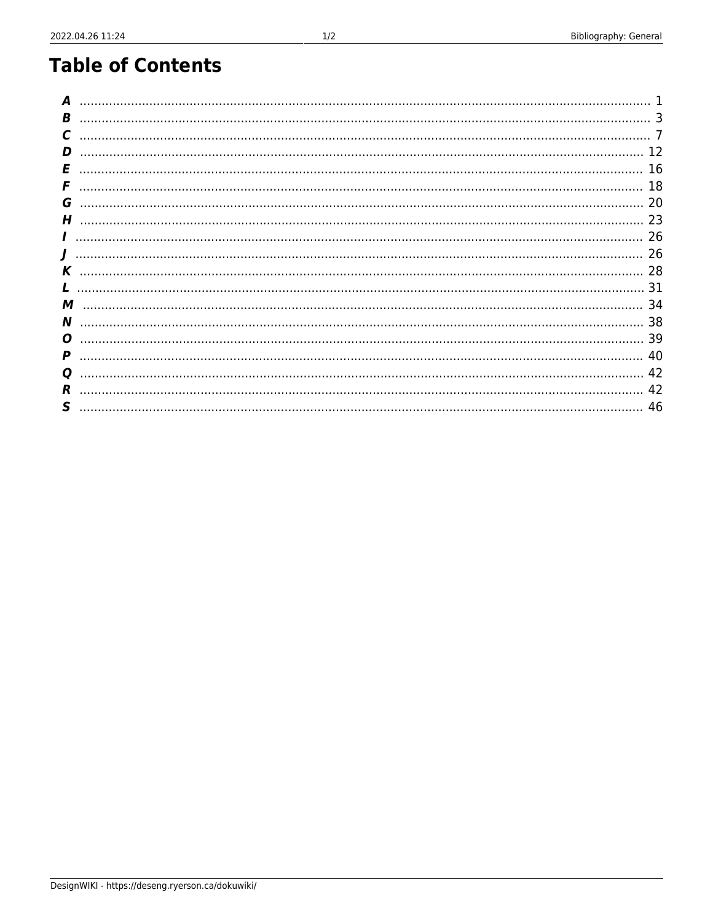# **Table of Contents**

| 3                                                                                                      |
|--------------------------------------------------------------------------------------------------------|
|                                                                                                        |
| 12                                                                                                     |
| 16                                                                                                     |
| 18                                                                                                     |
| 20                                                                                                     |
| 23                                                                                                     |
| 26<br>$\bm{l}$ , and an anomalous commutations are constrained as a constraint commutation of $\bm{l}$ |
| 26                                                                                                     |
| 28                                                                                                     |
| 31                                                                                                     |
| 34                                                                                                     |
| 38                                                                                                     |
| 39                                                                                                     |
| 40                                                                                                     |
| 42                                                                                                     |
| 42                                                                                                     |
| 46                                                                                                     |
|                                                                                                        |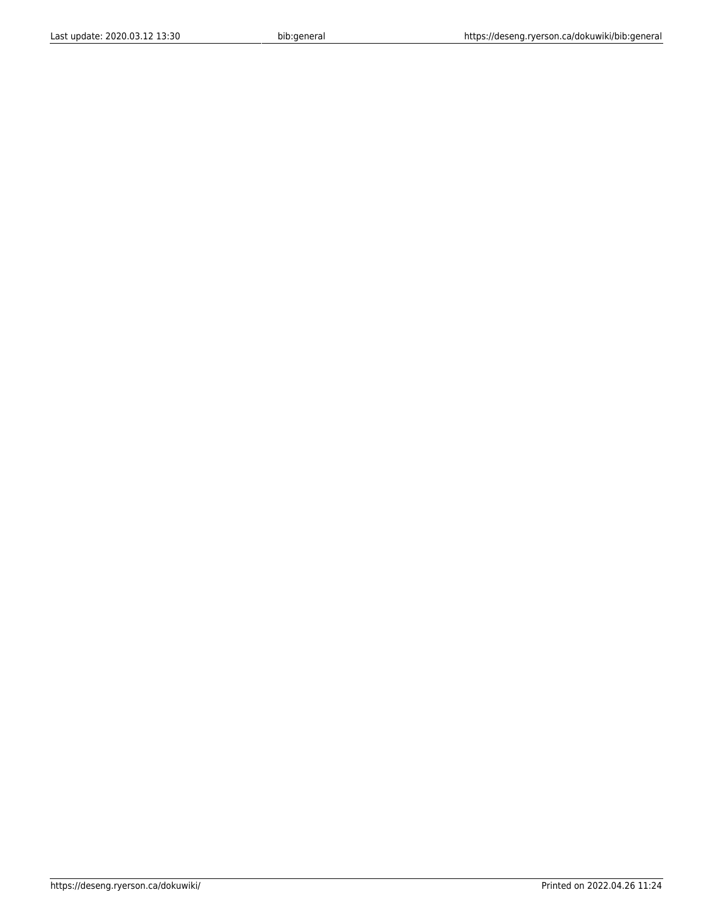https://deseng.ryerson.ca/dokuwiki/ Printed on 2022.04.26 11:24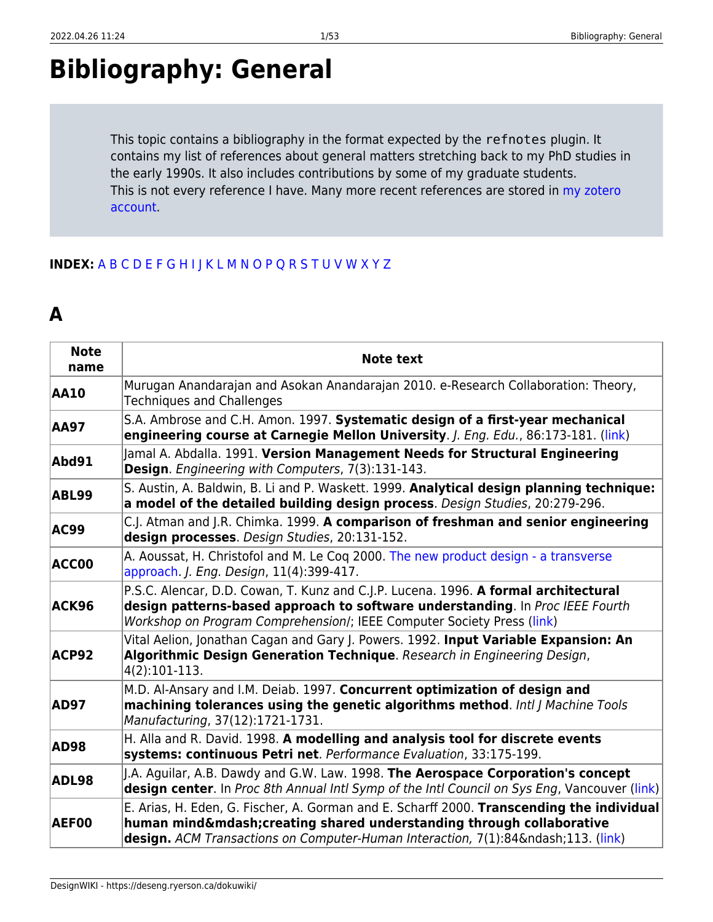# **Bibliography: General**

This topic contains a bibliography in the format expected by the refnotes plugin. It contains my list of references about general matters stretching back to my PhD studies in the early 1990s. It also includes contributions by some of my graduate students. This is not every reference I have. Many more recent references are stored in [my zotero](https://www.zotero.org/filsalustri/items) [account](https://www.zotero.org/filsalustri/items).

#### **INDEX:** [A](#page-2-1) [B](#page-4-1) [C](#page-8-1) [D](#page-13-1) [E](#page-17-1) [F](#page-18-0) [G](#page-21-1) [H](#page-23-0) [I](#page-27-2) [J](#page-27-3) [K](#page-29-1) [L](#page-32-1) [M](#page-35-1) [N](#page-39-1) [O](#page-40-1) [P](#page-41-1) [Q](#page-43-2) [R](#page-43-3) [S](#page-47-1) [T](#page--1-0) [U](#page--1-0) [V](#page--1-0) [W](#page--1-0) [X](#page--1-0) [Y](#page--1-0) [Z](#page--1-0)

#### <span id="page-2-1"></span><span id="page-2-0"></span>**A**

| <b>Note</b><br>name | Note text                                                                                                                                                                                                                                      |
|---------------------|------------------------------------------------------------------------------------------------------------------------------------------------------------------------------------------------------------------------------------------------|
| <b>AA10</b>         | Murugan Anandarajan and Asokan Anandarajan 2010. e-Research Collaboration: Theory,<br><b>Techniques and Challenges</b>                                                                                                                         |
| <b>AA97</b>         | S.A. Ambrose and C.H. Amon. 1997. Systematic design of a first-year mechanical<br>engineering course at Carnegie Mellon University. J. Eng. Edu., 86:173-181. (link)                                                                           |
| Abd91               | Jamal A. Abdalla. 1991. Version Management Needs for Structural Engineering<br>Design. Engineering with Computers, 7(3):131-143.                                                                                                               |
| <b>ABL99</b>        | S. Austin, A. Baldwin, B. Li and P. Waskett. 1999. Analytical design planning technique:<br>a model of the detailed building design process. Design Studies, 20:279-296.                                                                       |
| <b>AC99</b>         | C.J. Atman and J.R. Chimka. 1999. A comparison of freshman and senior engineering<br>design processes. Design Studies, 20:131-152.                                                                                                             |
| ACC00               | A. Aoussat, H. Christofol and M. Le Cog 2000. The new product design - a transverse<br>approach. J. Eng. Design, 11(4):399-417.                                                                                                                |
| ACK96               | P.S.C. Alencar, D.D. Cowan, T. Kunz and C.J.P. Lucena. 1996. A formal architectural<br>design patterns-based approach to software understanding. In Proc IEEE Fourth<br>Workshop on Program Comprehension/; IEEE Computer Society Press (link) |
| ACP92               | Vital Aelion, Jonathan Cagan and Gary J. Powers. 1992. Input Variable Expansion: An<br>Algorithmic Design Generation Technique. Research in Engineering Design,<br>$4(2):101-113.$                                                             |
| <b>AD97</b>         | M.D. Al-Ansary and I.M. Deiab. 1997. Concurrent optimization of design and<br>machining tolerances using the genetic algorithms method. Intl J Machine Tools<br>Manufacturing, 37(12):1721-1731.                                               |
| <b>AD98</b>         | H. Alla and R. David. 1998. A modelling and analysis tool for discrete events<br>systems: continuous Petri net. Performance Evaluation, 33:175-199.                                                                                            |
| <b>ADL98</b>        | J.A. Aguilar, A.B. Dawdy and G.W. Law. 1998. The Aerospace Corporation's concept<br>design center. In Proc 8th Annual Intl Symp of the Intl Council on Sys Eng, Vancouver (link)                                                               |
| <b>AEFOO</b>        | E. Arias, H. Eden, G. Fischer, A. Gorman and E. Scharff 2000. Transcending the individual<br>human mind—creating shared understanding through collaborative<br>design. ACM Transactions on Computer-Human Interaction, 7(1):84–113. (link)     |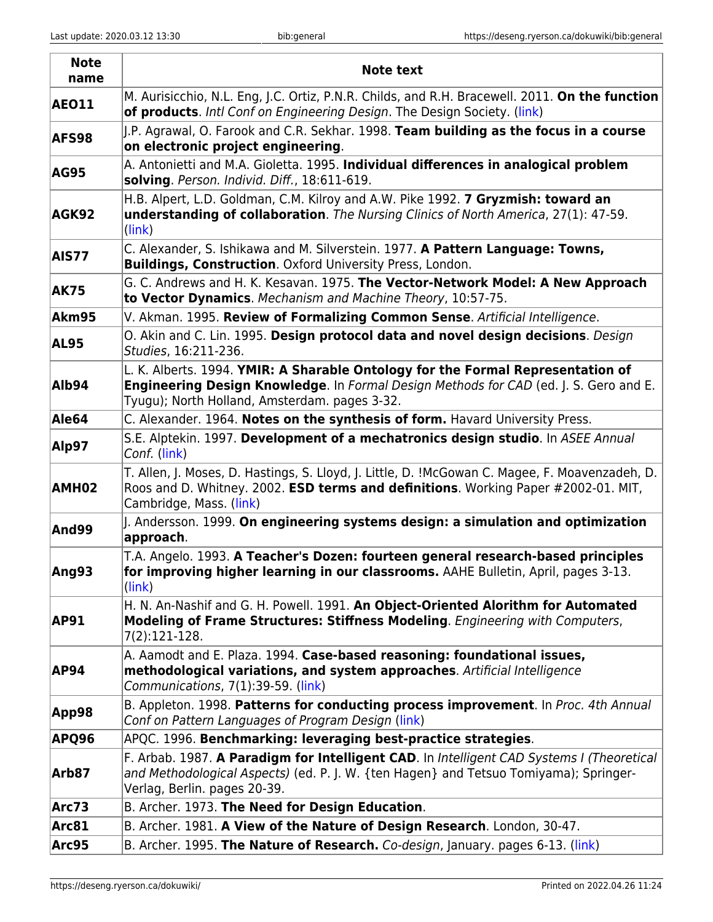| <b>Note</b><br>name | <b>Note text</b>                                                                                                                                                                                                          |
|---------------------|---------------------------------------------------------------------------------------------------------------------------------------------------------------------------------------------------------------------------|
| <b>AEO11</b>        | M. Aurisicchio, N.L. Eng, J.C. Ortiz, P.N.R. Childs, and R.H. Bracewell. 2011. On the function<br>of products. Intl Conf on Engineering Design. The Design Society. (link)                                                |
| <b>AFS98</b>        | J.P. Agrawal, O. Farook and C.R. Sekhar. 1998. Team building as the focus in a course<br>on electronic project engineering.                                                                                               |
| AG95                | A. Antonietti and M.A. Gioletta. 1995. Individual differences in analogical problem<br>solving. Person. Individ. Diff., 18:611-619.                                                                                       |
| AGK92               | H.B. Alpert, L.D. Goldman, C.M. Kilroy and A.W. Pike 1992. 7 Gryzmish: toward an<br>understanding of collaboration. The Nursing Clinics of North America, 27(1): 47-59.<br>(link)                                         |
| <b>AIS77</b>        | C. Alexander, S. Ishikawa and M. Silverstein. 1977. A Pattern Language: Towns,<br><b>Buildings, Construction.</b> Oxford University Press, London.                                                                        |
| <b>AK75</b>         | G. C. Andrews and H. K. Kesavan. 1975. The Vector-Network Model: A New Approach<br>to Vector Dynamics. Mechanism and Machine Theory, 10:57-75.                                                                            |
| Akm95               | V. Akman. 1995. Review of Formalizing Common Sense. Artificial Intelligence.                                                                                                                                              |
| <b>AL95</b>         | O. Akin and C. Lin. 1995. Design protocol data and novel design decisions. Design<br>Studies, 16:211-236.                                                                                                                 |
| Alb94               | L. K. Alberts. 1994. YMIR: A Sharable Ontology for the Formal Representation of<br>Engineering Design Knowledge. In Formal Design Methods for CAD (ed. J. S. Gero and E.<br>Tyugu); North Holland, Amsterdam. pages 3-32. |
| Ale64               | C. Alexander. 1964. Notes on the synthesis of form. Havard University Press.                                                                                                                                              |
| Alp97               | S.E. Alptekin. 1997. Development of a mechatronics design studio. In ASEE Annual<br>Conf. (link)                                                                                                                          |
| AMH <sub>02</sub>   | T. Allen, J. Moses, D. Hastings, S. Lloyd, J. Little, D. !McGowan C. Magee, F. Moavenzadeh, D.<br>Roos and D. Whitney. 2002. ESD terms and definitions. Working Paper #2002-01. MIT,<br>Cambridge, Mass. (link)           |
| And99               | J. Andersson. 1999. On engineering systems design: a simulation and optimization<br>approach.                                                                                                                             |
| Ang93               | T.A. Angelo. 1993. A Teacher's Dozen: fourteen general research-based principles<br>for improving higher learning in our classrooms. AAHE Bulletin, April, pages 3-13.<br>(link)                                          |
| <b>AP91</b>         | H. N. An-Nashif and G. H. Powell. 1991. An Object-Oriented Alorithm for Automated<br>Modeling of Frame Structures: Stiffness Modeling. Engineering with Computers,<br>$7(2):121-128.$                                     |
| <b>AP94</b>         | A. Aamodt and E. Plaza. 1994. Case-based reasoning: foundational issues,<br>methodological variations, and system approaches. Artificial Intelligence<br>Communications, 7(1):39-59. (link)                               |
| App98               | B. Appleton. 1998. Patterns for conducting process improvement. In Proc. 4th Annual<br>Conf on Pattern Languages of Program Design (link)                                                                                 |
| APQ96               | APQC. 1996. Benchmarking: leveraging best-practice strategies.                                                                                                                                                            |
| Arb87               | F. Arbab. 1987. A Paradigm for Intelligent CAD. In Intelligent CAD Systems I (Theoretical<br>and Methodological Aspects) (ed. P. J. W. {ten Hagen} and Tetsuo Tomiyama); Springer-<br>Verlag, Berlin. pages 20-39.        |
| Arc73               | B. Archer. 1973. The Need for Design Education.                                                                                                                                                                           |
| Arc81               | B. Archer. 1981. A View of the Nature of Design Research. London, 30-47.                                                                                                                                                  |
| Arc95               | B. Archer. 1995. The Nature of Research. Co-design, January. pages 6-13. (link)                                                                                                                                           |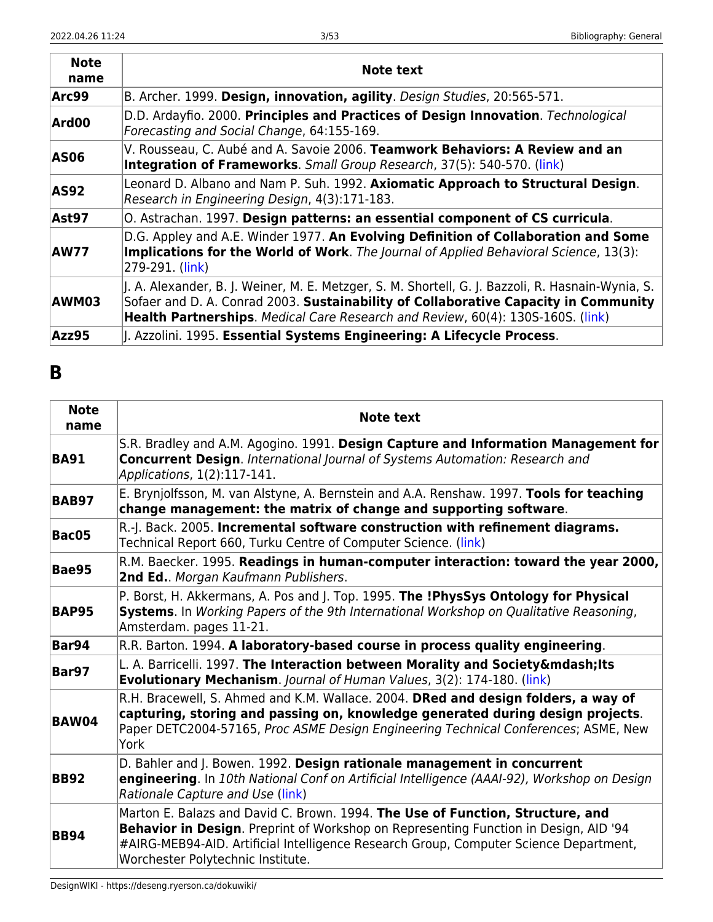| <b>Note</b><br>name | Note text                                                                                                                                                                                                                                                                   |
|---------------------|-----------------------------------------------------------------------------------------------------------------------------------------------------------------------------------------------------------------------------------------------------------------------------|
| Arc99               | B. Archer. 1999. Design, innovation, agility. Design Studies, 20:565-571.                                                                                                                                                                                                   |
| Ard00               | D.D. Ardayfio. 2000. Principles and Practices of Design Innovation. Technological<br>Forecasting and Social Change, 64:155-169.                                                                                                                                             |
| AS06                | V. Rousseau, C. Aubé and A. Savoie 2006. Teamwork Behaviors: A Review and an<br>Integration of Frameworks. Small Group Research, 37(5): 540-570. (link)                                                                                                                     |
| AS92                | Leonard D. Albano and Nam P. Suh. 1992. Axiomatic Approach to Structural Design.<br>Research in Engineering Design, 4(3):171-183.                                                                                                                                           |
| Ast97               | O. Astrachan. 1997. Design patterns: an essential component of CS curricula.                                                                                                                                                                                                |
| <b>AW77</b>         | D.G. Appley and A.E. Winder 1977. An Evolving Definition of Collaboration and Some<br>Implications for the World of Work. The Journal of Applied Behavioral Science, 13(3):<br>279-291. (link)                                                                              |
| AWM03               | J. A. Alexander, B. J. Weiner, M. E. Metzger, S. M. Shortell, G. J. Bazzoli, R. Hasnain-Wynia, S.<br>Sofaer and D. A. Conrad 2003. Sustainability of Collaborative Capacity in Community<br>Health Partnerships. Medical Care Research and Review, 60(4): 130S-160S. (link) |
| Azz95               | J. Azzolini. 1995. Essential Systems Engineering: A Lifecycle Process.                                                                                                                                                                                                      |

#### <span id="page-4-1"></span><span id="page-4-0"></span>**B**

| <b>Note</b><br>name | Note text                                                                                                                                                                                                                                                                                            |
|---------------------|------------------------------------------------------------------------------------------------------------------------------------------------------------------------------------------------------------------------------------------------------------------------------------------------------|
| <b>BA91</b>         | S.R. Bradley and A.M. Agogino. 1991. Design Capture and Information Management for<br><b>Concurrent Design.</b> International Journal of Systems Automation: Research and<br>Applications, 1(2):117-141.                                                                                             |
| <b>BAB97</b>        | E. Brynjolfsson, M. van Alstyne, A. Bernstein and A.A. Renshaw. 1997. Tools for teaching<br>change management: the matrix of change and supporting software.                                                                                                                                         |
| Bac05               | R.-J. Back. 2005. Incremental software construction with refinement diagrams.<br>Technical Report 660, Turku Centre of Computer Science. (link)                                                                                                                                                      |
| <b>Bae95</b>        | R.M. Baecker. 1995. Readings in human-computer interaction: toward the year 2000,<br>2nd Ed Morgan Kaufmann Publishers.                                                                                                                                                                              |
| <b>BAP95</b>        | P. Borst, H. Akkermans, A. Pos and J. Top. 1995. The !PhysSys Ontology for Physical<br>Systems. In Working Papers of the 9th International Workshop on Qualitative Reasoning,<br>Amsterdam. pages 11-21.                                                                                             |
| Bar94               | R.R. Barton. 1994. A laboratory-based course in process quality engineering.                                                                                                                                                                                                                         |
| Bar97               | L. A. Barricelli. 1997. The Interaction between Morality and Society— Its<br>Evolutionary Mechanism. Journal of Human Values, 3(2): 174-180. (link)                                                                                                                                                  |
| <b>BAW04</b>        | R.H. Bracewell, S. Ahmed and K.M. Wallace. 2004. DRed and design folders, a way of<br>capturing, storing and passing on, knowledge generated during design projects.<br>Paper DETC2004-57165, Proc ASME Design Engineering Technical Conferences; ASME, New<br>York                                  |
| <b>BB92</b>         | D. Bahler and J. Bowen. 1992. Design rationale management in concurrent<br>engineering. In 10th National Conf on Artificial Intelligence (AAAI-92), Workshop on Design<br>Rationale Capture and Use (link)                                                                                           |
| <b>BB94</b>         | Marton E. Balazs and David C. Brown. 1994. The Use of Function, Structure, and<br>Behavior in Design. Preprint of Workshop on Representing Function in Design, AID '94<br>#AIRG-MEB94-AID. Artificial Intelligence Research Group, Computer Science Department,<br>Worchester Polytechnic Institute. |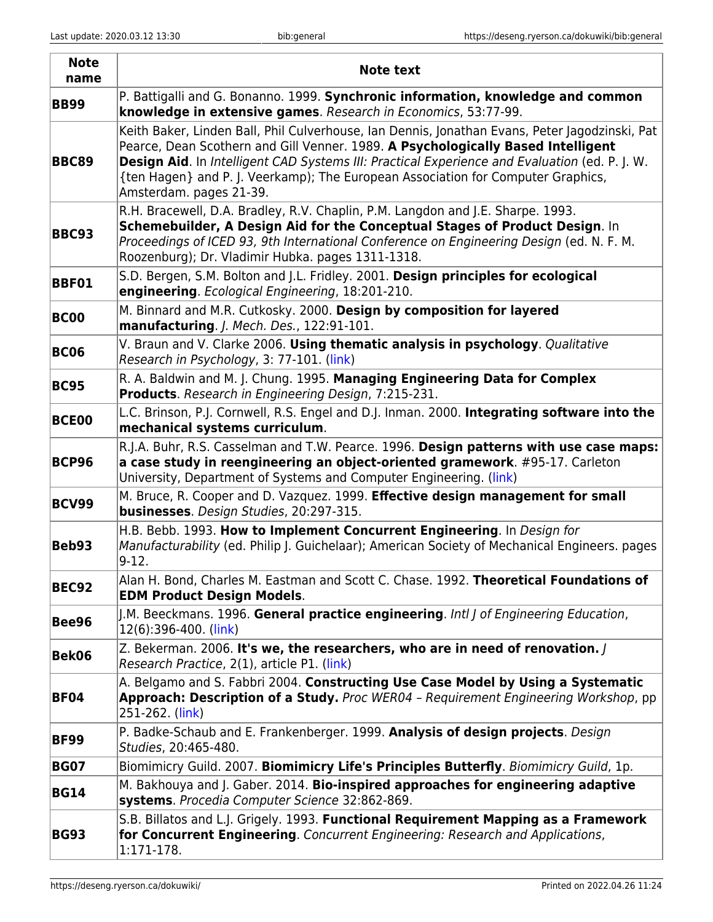| <b>Note</b><br>name | Note text                                                                                                                                                                                                                                                                                                                                                                                          |
|---------------------|----------------------------------------------------------------------------------------------------------------------------------------------------------------------------------------------------------------------------------------------------------------------------------------------------------------------------------------------------------------------------------------------------|
| <b>BB99</b>         | P. Battigalli and G. Bonanno. 1999. Synchronic information, knowledge and common<br>knowledge in extensive games. Research in Economics, 53:77-99.                                                                                                                                                                                                                                                 |
| <b>BBC89</b>        | Keith Baker, Linden Ball, Phil Culverhouse, Ian Dennis, Jonathan Evans, Peter Jagodzinski, Pat<br>Pearce, Dean Scothern and Gill Venner. 1989. A Psychologically Based Intelligent<br>Design Aid. In Intelligent CAD Systems III: Practical Experience and Evaluation (ed. P. J. W.<br>{ten Hagen} and P. J. Veerkamp); The European Association for Computer Graphics,<br>Amsterdam. pages 21-39. |
| <b>BBC93</b>        | R.H. Bracewell, D.A. Bradley, R.V. Chaplin, P.M. Langdon and J.E. Sharpe. 1993.<br>Schemebuilder, A Design Aid for the Conceptual Stages of Product Design. In<br>Proceedings of ICED 93, 9th International Conference on Engineering Design (ed. N. F. M.<br>Roozenburg); Dr. Vladimir Hubka. pages 1311-1318.                                                                                    |
| <b>BBF01</b>        | S.D. Bergen, S.M. Bolton and J.L. Fridley. 2001. Design principles for ecological<br>engineering. Ecological Engineering, 18:201-210.                                                                                                                                                                                                                                                              |
| <b>BC00</b>         | M. Binnard and M.R. Cutkosky. 2000. Design by composition for layered<br>manufacturing. /. Mech. Des., 122:91-101.                                                                                                                                                                                                                                                                                 |
| <b>BC06</b>         | V. Braun and V. Clarke 2006. Using thematic analysis in psychology. Qualitative<br>Research in Psychology, 3: 77-101. (link)                                                                                                                                                                                                                                                                       |
| <b>BC95</b>         | R. A. Baldwin and M. J. Chung. 1995. Managing Engineering Data for Complex<br>Products. Research in Engineering Design, 7:215-231.                                                                                                                                                                                                                                                                 |
| <b>BCE00</b>        | L.C. Brinson, P.J. Cornwell, R.S. Engel and D.J. Inman. 2000. Integrating software into the<br>mechanical systems curriculum.                                                                                                                                                                                                                                                                      |
| <b>BCP96</b>        | R.J.A. Buhr, R.S. Casselman and T.W. Pearce. 1996. Design patterns with use case maps:<br>a case study in reengineering an object-oriented gramework. #95-17. Carleton<br>University, Department of Systems and Computer Engineering. (link)                                                                                                                                                       |
| <b>BCV99</b>        | M. Bruce, R. Cooper and D. Vazquez. 1999. Effective design management for small<br>businesses. Design Studies, 20:297-315.                                                                                                                                                                                                                                                                         |
| Beb93               | H.B. Bebb. 1993. How to Implement Concurrent Engineering. In Design for<br>Manufacturability (ed. Philip J. Guichelaar); American Society of Mechanical Engineers. pages<br>$9-12.$                                                                                                                                                                                                                |
| <b>BEC92</b>        | Alan H. Bond, Charles M. Eastman and Scott C. Chase. 1992. Theoretical Foundations of<br><b>EDM Product Design Models.</b>                                                                                                                                                                                                                                                                         |
| Bee96               | J.M. Beeckmans. 1996. General practice engineering. Intl J of Engineering Education,<br>12(6):396-400. (link)                                                                                                                                                                                                                                                                                      |
| Bek06               | Z. Bekerman. 2006. It's we, the researchers, who are in need of renovation. /<br>Research Practice, 2(1), article P1. (link)                                                                                                                                                                                                                                                                       |
| <b>BF04</b>         | A. Belgamo and S. Fabbri 2004. Constructing Use Case Model by Using a Systematic<br>Approach: Description of a Study. Proc WER04 - Requirement Engineering Workshop, pp<br>251-262. (link)                                                                                                                                                                                                         |
| <b>BF99</b>         | P. Badke-Schaub and E. Frankenberger. 1999. Analysis of design projects. Design<br>Studies, 20:465-480.                                                                                                                                                                                                                                                                                            |
| <b>BG07</b>         | Biomimicry Guild. 2007. Biomimicry Life's Principles Butterfly. Biomimicry Guild, 1p.                                                                                                                                                                                                                                                                                                              |
| <b>BG14</b>         | M. Bakhouya and J. Gaber. 2014. Bio-inspired approaches for engineering adaptive<br>systems. Procedia Computer Science 32:862-869.                                                                                                                                                                                                                                                                 |
| <b>BG93</b>         | S.B. Billatos and L.J. Grigely. 1993. Functional Requirement Mapping as a Framework<br>for Concurrent Engineering. Concurrent Engineering: Research and Applications,<br>1:171-178.                                                                                                                                                                                                                |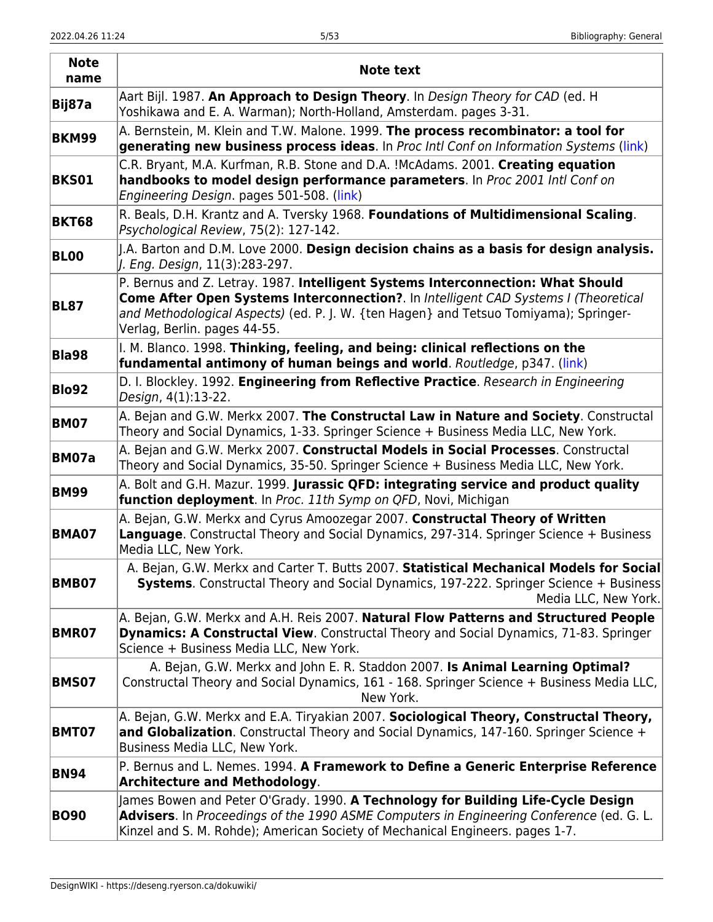| <b>Note</b><br>name | <b>Note text</b>                                                                                                                                                                                                                                                                                |
|---------------------|-------------------------------------------------------------------------------------------------------------------------------------------------------------------------------------------------------------------------------------------------------------------------------------------------|
| Bij87a              | Aart Bijl. 1987. An Approach to Design Theory. In Design Theory for CAD (ed. H<br>Yoshikawa and E. A. Warman); North-Holland, Amsterdam. pages 3-31.                                                                                                                                            |
| <b>BKM99</b>        | A. Bernstein, M. Klein and T.W. Malone. 1999. The process recombinator: a tool for<br>generating new business process ideas. In Proc Intl Conf on Information Systems (link)                                                                                                                    |
| <b>BKS01</b>        | C.R. Bryant, M.A. Kurfman, R.B. Stone and D.A. !McAdams. 2001. Creating equation<br>handbooks to model design performance parameters. In Proc 2001 Intl Conf on<br>Engineering Design. pages 501-508. (link)                                                                                    |
| <b>BKT68</b>        | R. Beals, D.H. Krantz and A. Tversky 1968. Foundations of Multidimensional Scaling.<br>Psychological Review, 75(2): 127-142.                                                                                                                                                                    |
| <b>BL00</b>         | J.A. Barton and D.M. Love 2000. Design decision chains as a basis for design analysis.<br>J. Eng. Design, 11(3):283-297.                                                                                                                                                                        |
| <b>BL87</b>         | P. Bernus and Z. Letray. 1987. Intelligent Systems Interconnection: What Should<br>Come After Open Systems Interconnection?. In Intelligent CAD Systems I (Theoretical<br>and Methodological Aspects) (ed. P. J. W. {ten Hagen} and Tetsuo Tomiyama); Springer-<br>Verlag, Berlin. pages 44-55. |
| <b>Bla98</b>        | I. M. Blanco. 1998. Thinking, feeling, and being: clinical reflections on the<br>fundamental antimony of human beings and world. Routledge, p347. (link)                                                                                                                                        |
| <b>Blo92</b>        | D. I. Blockley. 1992. Engineering from Reflective Practice. Research in Engineering<br>Design, 4(1):13-22.                                                                                                                                                                                      |
| <b>BM07</b>         | A. Bejan and G.W. Merkx 2007. The Constructal Law in Nature and Society. Constructal<br>Theory and Social Dynamics, 1-33. Springer Science + Business Media LLC, New York.                                                                                                                      |
| <b>BM07a</b>        | A. Bejan and G.W. Merkx 2007. Constructal Models in Social Processes. Constructal<br>Theory and Social Dynamics, 35-50. Springer Science + Business Media LLC, New York.                                                                                                                        |
| <b>BM99</b>         | A. Bolt and G.H. Mazur. 1999. Jurassic QFD: integrating service and product quality<br>function deployment. In Proc. 11th Symp on QFD, Novi, Michigan                                                                                                                                           |
| <b>BMA07</b>        | A. Bejan, G.W. Merkx and Cyrus Amoozegar 2007. Constructal Theory of Written<br>Language. Constructal Theory and Social Dynamics, 297-314. Springer Science + Business<br>Media LLC, New York.                                                                                                  |
| <b>BMB07</b>        | A. Bejan, G.W. Merkx and Carter T. Butts 2007. Statistical Mechanical Models for Social<br><b>Systems.</b> Constructal Theory and Social Dynamics, 197-222. Springer Science + Business<br>Media LLC, New York.                                                                                 |
| <b>BMR07</b>        | A. Bejan, G.W. Merkx and A.H. Reis 2007. Natural Flow Patterns and Structured People<br><b>Dynamics: A Constructal View.</b> Constructal Theory and Social Dynamics, 71-83. Springer<br>Science + Business Media LLC, New York.                                                                 |
| <b>BMS07</b>        | A. Bejan, G.W. Merkx and John E. R. Staddon 2007. Is Animal Learning Optimal?<br>Constructal Theory and Social Dynamics, 161 - 168. Springer Science + Business Media LLC,<br>New York.                                                                                                         |
| <b>BMT07</b>        | A. Bejan, G.W. Merkx and E.A. Tiryakian 2007. Sociological Theory, Constructal Theory,<br>and Globalization. Constructal Theory and Social Dynamics, 147-160. Springer Science +<br>Business Media LLC, New York.                                                                               |
| <b>BN94</b>         | P. Bernus and L. Nemes. 1994. A Framework to Define a Generic Enterprise Reference<br><b>Architecture and Methodology.</b>                                                                                                                                                                      |
| <b>BO90</b>         | James Bowen and Peter O'Grady. 1990. A Technology for Building Life-Cycle Design<br>Advisers. In Proceedings of the 1990 ASME Computers in Engineering Conference (ed. G. L.<br>Kinzel and S. M. Rohde); American Society of Mechanical Engineers. pages 1-7.                                   |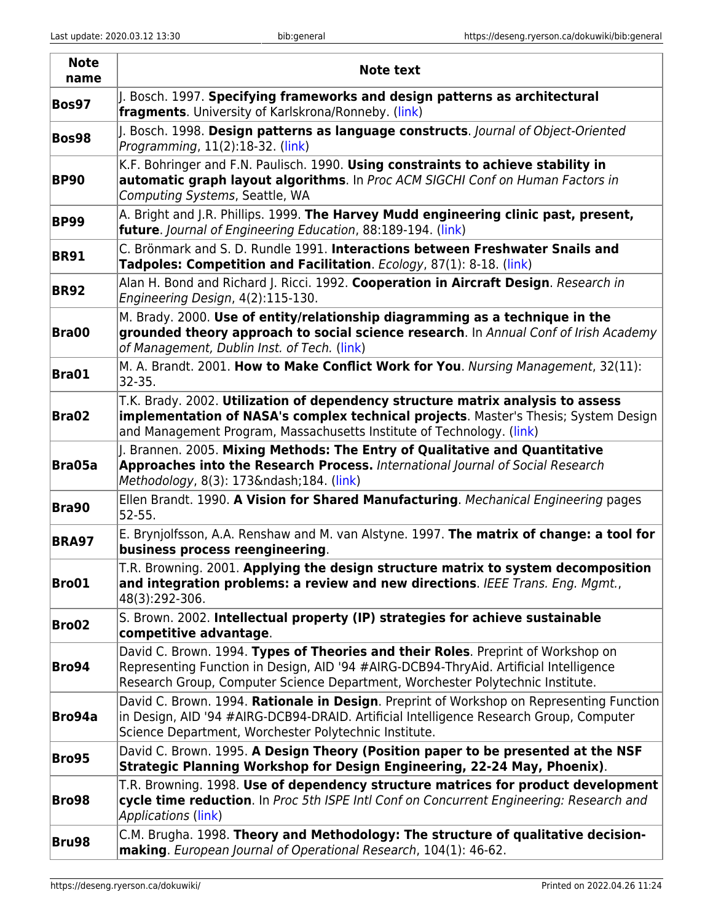| <b>Note</b><br>name | <b>Note text</b>                                                                                                                                                                                                                                            |
|---------------------|-------------------------------------------------------------------------------------------------------------------------------------------------------------------------------------------------------------------------------------------------------------|
| Bos97               | J. Bosch. 1997. Specifying frameworks and design patterns as architectural<br>fragments. University of Karlskrona/Ronneby. (link)                                                                                                                           |
| Bos98               | J. Bosch. 1998. Design patterns as language constructs. Journal of Object-Oriented<br>Programming, 11(2):18-32. (link)                                                                                                                                      |
| <b>BP90</b>         | K.F. Bohringer and F.N. Paulisch. 1990. Using constraints to achieve stability in<br>automatic graph layout algorithms. In Proc ACM SIGCHI Conf on Human Factors in<br>Computing Systems, Seattle, WA                                                       |
| <b>BP99</b>         | A. Bright and J.R. Phillips. 1999. The Harvey Mudd engineering clinic past, present,<br>future. Journal of Engineering Education, 88:189-194. (link)                                                                                                        |
| <b>BR91</b>         | C. Brönmark and S. D. Rundle 1991. Interactions between Freshwater Snails and<br>Tadpoles: Competition and Facilitation. Ecology, 87(1): 8-18. (link)                                                                                                       |
| <b>BR92</b>         | Alan H. Bond and Richard J. Ricci. 1992. Cooperation in Aircraft Design. Research in<br>Engineering Design, 4(2):115-130.                                                                                                                                   |
| Bra00               | M. Brady. 2000. Use of entity/relationship diagramming as a technique in the<br>grounded theory approach to social science research. In Annual Conf of Irish Academy<br>of Management, Dublin Inst. of Tech. (link)                                         |
| Bra01               | M. A. Brandt. 2001. How to Make Conflict Work for You. Nursing Management, 32(11):<br>$32 - 35.$                                                                                                                                                            |
| Bra02               | T.K. Brady. 2002. Utilization of dependency structure matrix analysis to assess<br>implementation of NASA's complex technical projects. Master's Thesis; System Design<br>and Management Program, Massachusetts Institute of Technology. (link)             |
| Bra05a              | J. Brannen. 2005. Mixing Methods: The Entry of Qualitative and Quantitative<br>Approaches into the Research Process. International Journal of Social Research<br>Methodology, 8(3): 173–184. (link)                                                         |
| Bra90               | Ellen Brandt. 1990. A Vision for Shared Manufacturing. Mechanical Engineering pages<br>$52 - 55.$                                                                                                                                                           |
| <b>BRA97</b>        | E. Brynjolfsson, A.A. Renshaw and M. van Alstyne. 1997. The matrix of change: a tool for<br>business process reengineering.                                                                                                                                 |
| Bro01               | T.R. Browning. 2001. Applying the design structure matrix to system decomposition<br>and integration problems: a review and new directions. IEEE Trans. Eng. Mgmt.,<br>48(3):292-306.                                                                       |
| Bro02               | S. Brown. 2002. Intellectual property (IP) strategies for achieve sustainable<br>competitive advantage.                                                                                                                                                     |
| Bro94               | David C. Brown. 1994. Types of Theories and their Roles. Preprint of Workshop on<br>Representing Function in Design, AID '94 #AIRG-DCB94-ThryAid. Artificial Intelligence<br>Research Group, Computer Science Department, Worchester Polytechnic Institute. |
| Bro94a              | David C. Brown. 1994. Rationale in Design. Preprint of Workshop on Representing Function<br>in Design, AID '94 #AIRG-DCB94-DRAID. Artificial Intelligence Research Group, Computer<br>Science Department, Worchester Polytechnic Institute.                 |
| Bro95               | David C. Brown. 1995. A Design Theory (Position paper to be presented at the NSF<br>Strategic Planning Workshop for Design Engineering, 22-24 May, Phoenix).                                                                                                |
| Bro98               | T.R. Browning. 1998. Use of dependency structure matrices for product development<br>cycle time reduction. In Proc 5th ISPE Intl Conf on Concurrent Engineering: Research and<br>Applications (link)                                                        |
| Bru98               | C.M. Brugha. 1998. Theory and Methodology: The structure of qualitative decision-<br>making. European Journal of Operational Research, 104(1): 46-62.                                                                                                       |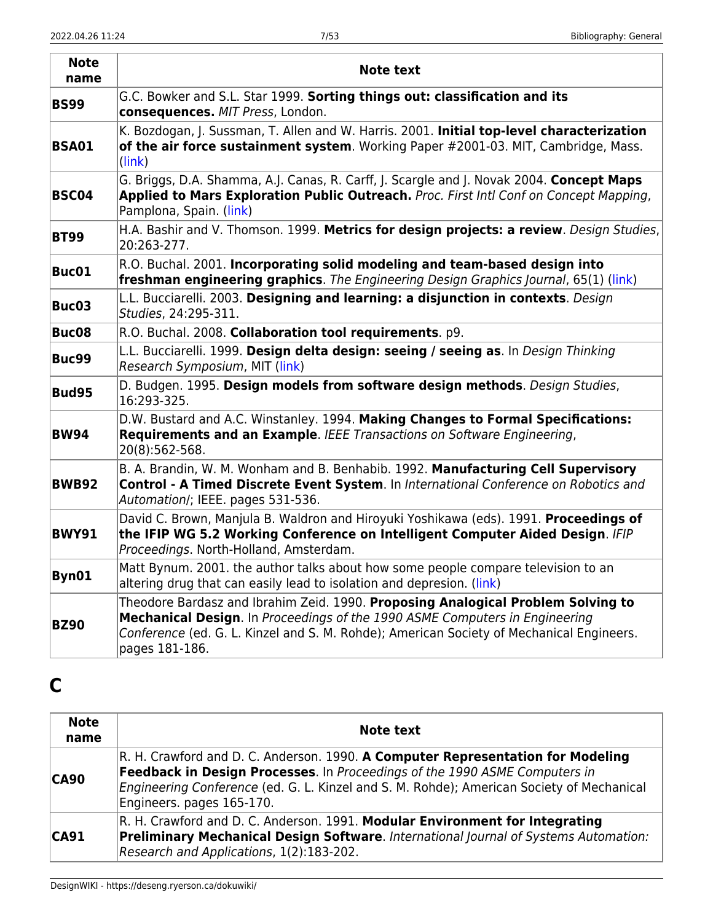| <b>Note</b><br>name | <b>Note text</b>                                                                                                                                                                                                                                                              |
|---------------------|-------------------------------------------------------------------------------------------------------------------------------------------------------------------------------------------------------------------------------------------------------------------------------|
| <b>BS99</b>         | G.C. Bowker and S.L. Star 1999. Sorting things out: classification and its<br>consequences. MIT Press, London.                                                                                                                                                                |
| <b>BSA01</b>        | K. Bozdogan, J. Sussman, T. Allen and W. Harris. 2001. Initial top-level characterization<br>of the air force sustainment system. Working Paper #2001-03. MIT, Cambridge, Mass.<br>(link)                                                                                     |
| <b>BSC04</b>        | G. Briggs, D.A. Shamma, A.J. Canas, R. Carff, J. Scargle and J. Novak 2004. Concept Maps<br>Applied to Mars Exploration Public Outreach. Proc. First Intl Conf on Concept Mapping,<br>Pamplona, Spain. (link)                                                                 |
| <b>BT99</b>         | H.A. Bashir and V. Thomson. 1999. Metrics for design projects: a review. Design Studies,<br>20:263-277.                                                                                                                                                                       |
| Buc01               | R.O. Buchal. 2001. Incorporating solid modeling and team-based design into<br>freshman engineering graphics. The Engineering Design Graphics Journal, 65(1) (link)                                                                                                            |
| Buc03               | L.L. Bucciarelli. 2003. Designing and learning: a disjunction in contexts. Design<br>Studies, 24:295-311.                                                                                                                                                                     |
| Buc08               | R.O. Buchal. 2008. Collaboration tool requirements. p9.                                                                                                                                                                                                                       |
| Buc99               | L.L. Bucciarelli. 1999. Design delta design: seeing / seeing as. In Design Thinking<br>Research Symposium, MIT (link)                                                                                                                                                         |
| <b>Bud95</b>        | D. Budgen. 1995. Design models from software design methods. Design Studies,<br>16:293-325.                                                                                                                                                                                   |
| <b>BW94</b>         | D.W. Bustard and A.C. Winstanley. 1994. Making Changes to Formal Specifications:<br>Requirements and an Example. IEEE Transactions on Software Engineering,<br>20(8):562-568.                                                                                                 |
| <b>BWB92</b>        | B. A. Brandin, W. M. Wonham and B. Benhabib. 1992. Manufacturing Cell Supervisory<br>Control - A Timed Discrete Event System. In International Conference on Robotics and<br>Automation/; IEEE. pages 531-536.                                                                |
| <b>BWY91</b>        | David C. Brown, Manjula B. Waldron and Hiroyuki Yoshikawa (eds). 1991. Proceedings of<br>the IFIP WG 5.2 Working Conference on Intelligent Computer Aided Design. IFIP<br>Proceedings. North-Holland, Amsterdam.                                                              |
| Byn01               | Matt Bynum. 2001. the author talks about how some people compare television to an<br>altering drug that can easily lead to isolation and depresion. (link)                                                                                                                    |
| <b>BZ90</b>         | Theodore Bardasz and Ibrahim Zeid. 1990. Proposing Analogical Problem Solving to<br>Mechanical Design. In Proceedings of the 1990 ASME Computers in Engineering<br>Conference (ed. G. L. Kinzel and S. M. Rohde); American Society of Mechanical Engineers.<br>pages 181-186. |

### <span id="page-8-1"></span><span id="page-8-0"></span>**C**

| <b>Note</b><br>name | Note text                                                                                                                                                                                                                                                                               |
|---------------------|-----------------------------------------------------------------------------------------------------------------------------------------------------------------------------------------------------------------------------------------------------------------------------------------|
| CA90                | R. H. Crawford and D. C. Anderson. 1990. A Computer Representation for Modeling<br>Feedback in Design Processes. In Proceedings of the 1990 ASME Computers in<br>Engineering Conference (ed. G. L. Kinzel and S. M. Rohde); American Society of Mechanical<br>Engineers. pages 165-170. |
| CA91                | R. H. Crawford and D. C. Anderson. 1991. Modular Environment for Integrating<br>Preliminary Mechanical Design Software. International Journal of Systems Automation:<br>Research and Applications, 1(2):183-202.                                                                        |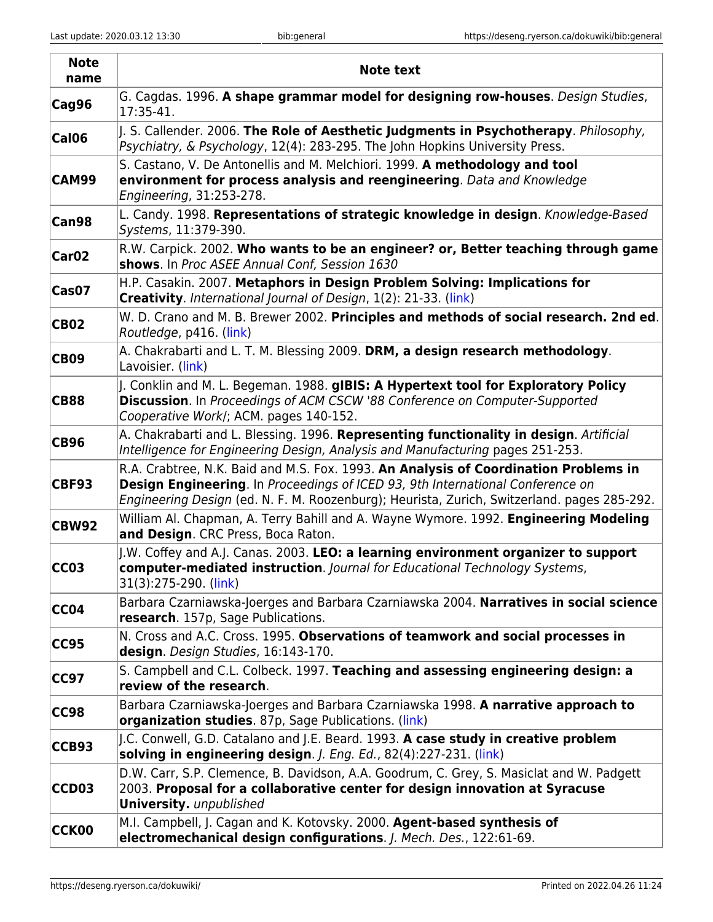| <b>Note</b><br>name | <b>Note text</b>                                                                                                                                                                                                                                                      |
|---------------------|-----------------------------------------------------------------------------------------------------------------------------------------------------------------------------------------------------------------------------------------------------------------------|
| Cag96               | G. Cagdas. 1996. A shape grammar model for designing row-houses. Design Studies,<br>17:35-41.                                                                                                                                                                         |
| Cal <sub>06</sub>   | J. S. Callender. 2006. The Role of Aesthetic Judgments in Psychotherapy. Philosophy,<br>Psychiatry, & Psychology, 12(4): 283-295. The John Hopkins University Press.                                                                                                  |
| <b>CAM99</b>        | S. Castano, V. De Antonellis and M. Melchiori. 1999. A methodology and tool<br>environment for process analysis and reengineering. Data and Knowledge<br>Engineering, 31:253-278.                                                                                     |
| Can <sub>98</sub>   | L. Candy. 1998. Representations of strategic knowledge in design. Knowledge-Based<br>Systems, 11:379-390.                                                                                                                                                             |
| Car <sub>02</sub>   | R.W. Carpick. 2002. Who wants to be an engineer? or, Better teaching through game<br>shows. In Proc ASEE Annual Conf, Session 1630                                                                                                                                    |
| Cas <sub>07</sub>   | H.P. Casakin. 2007. Metaphors in Design Problem Solving: Implications for<br>Creativity. International Journal of Design, 1(2): 21-33. (link)                                                                                                                         |
| <b>CB02</b>         | W. D. Crano and M. B. Brewer 2002. Principles and methods of social research. 2nd ed.<br>Routledge, p416. (link)                                                                                                                                                      |
| <b>CB09</b>         | A. Chakrabarti and L. T. M. Blessing 2009. DRM, a design research methodology.<br>Lavoisier. (link)                                                                                                                                                                   |
| <b>CB88</b>         | J. Conklin and M. L. Begeman. 1988. gIBIS: A Hypertext tool for Exploratory Policy<br>Discussion. In Proceedings of ACM CSCW '88 Conference on Computer-Supported<br>Cooperative Work/; ACM. pages 140-152.                                                           |
| <b>CB96</b>         | A. Chakrabarti and L. Blessing. 1996. Representing functionality in design. Artificial<br>Intelligence for Engineering Design, Analysis and Manufacturing pages 251-253.                                                                                              |
| <b>CBF93</b>        | R.A. Crabtree, N.K. Baid and M.S. Fox. 1993. An Analysis of Coordination Problems in<br>Design Engineering. In Proceedings of ICED 93, 9th International Conference on<br>Engineering Design (ed. N. F. M. Roozenburg); Heurista, Zurich, Switzerland. pages 285-292. |
| <b>CBW92</b>        | William Al. Chapman, A. Terry Bahill and A. Wayne Wymore. 1992. Engineering Modeling<br>and Design. CRC Press, Boca Raton.                                                                                                                                            |
| <b>CC03</b>         | J.W. Coffey and A.J. Canas. 2003. LEO: a learning environment organizer to support<br>computer-mediated instruction. Journal for Educational Technology Systems,<br>31(3):275-290. (link)                                                                             |
| <b>CC04</b>         | Barbara Czarniawska-Joerges and Barbara Czarniawska 2004. Narratives in social science<br>research. 157p, Sage Publications.                                                                                                                                          |
| <b>CC95</b>         | N. Cross and A.C. Cross. 1995. Observations of teamwork and social processes in<br>design. Design Studies, 16:143-170.                                                                                                                                                |
| <b>CC97</b>         | S. Campbell and C.L. Colbeck. 1997. Teaching and assessing engineering design: a<br>review of the research.                                                                                                                                                           |
| <b>CC98</b>         | Barbara Czarniawska-Joerges and Barbara Czarniawska 1998. A narrative approach to<br>organization studies. 87p, Sage Publications. (link)                                                                                                                             |
| <b>CCB93</b>        | J.C. Conwell, G.D. Catalano and J.E. Beard. 1993. A case study in creative problem<br>solving in engineering design. J. Eng. Ed., 82(4):227-231. (link)                                                                                                               |
| CCD <sub>03</sub>   | D.W. Carr, S.P. Clemence, B. Davidson, A.A. Goodrum, C. Grey, S. Masiclat and W. Padgett<br>2003. Proposal for a collaborative center for design innovation at Syracuse<br><b>University.</b> unpublished                                                             |
| <b>CCK00</b>        | M.I. Campbell, J. Cagan and K. Kotovsky. 2000. Agent-based synthesis of<br>electromechanical design configurations. J. Mech. Des., 122:61-69.                                                                                                                         |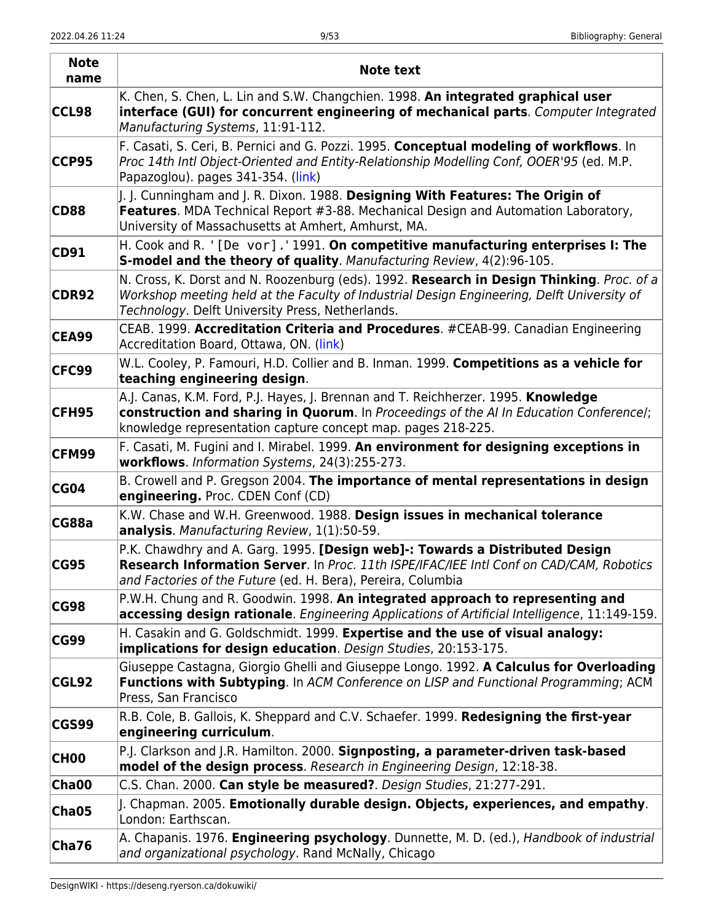| <b>Note</b><br>name | <b>Note text</b>                                                                                                                                                                                                                            |
|---------------------|---------------------------------------------------------------------------------------------------------------------------------------------------------------------------------------------------------------------------------------------|
| CCL98               | K. Chen, S. Chen, L. Lin and S.W. Changchien. 1998. An integrated graphical user<br>interface (GUI) for concurrent engineering of mechanical parts. Computer Integrated<br>Manufacturing Systems, 11:91-112.                                |
| <b>CCP95</b>        | F. Casati, S. Ceri, B. Pernici and G. Pozzi. 1995. Conceptual modeling of workflows. In<br>Proc 14th Intl Object-Oriented and Entity-Relationship Modelling Conf, OOER'95 (ed. M.P.<br>Papazoglou). pages 341-354. (link)                   |
| <b>CD88</b>         | J. J. Cunningham and J. R. Dixon. 1988. Designing With Features: The Origin of<br>Features. MDA Technical Report #3-88. Mechanical Design and Automation Laboratory,<br>University of Massachusetts at Amhert, Amhurst, MA.                 |
| CD91                | H. Cook and R. ' [De vor].' 1991. On competitive manufacturing enterprises I: The<br>S-model and the theory of quality. Manufacturing Review, 4(2):96-105.                                                                                  |
| CDR92               | N. Cross, K. Dorst and N. Roozenburg (eds). 1992. Research in Design Thinking. Proc. of a<br>Workshop meeting held at the Faculty of Industrial Design Engineering, Delft University of<br>Technology. Delft University Press, Netherlands. |
| CEA99               | CEAB. 1999. Accreditation Criteria and Procedures. #CEAB-99. Canadian Engineering<br>Accreditation Board, Ottawa, ON. (link)                                                                                                                |
| CFC99               | W.L. Cooley, P. Famouri, H.D. Collier and B. Inman. 1999. Competitions as a vehicle for<br>teaching engineering design.                                                                                                                     |
| CFH95               | A.J. Canas, K.M. Ford, P.J. Hayes, J. Brennan and T. Reichherzer. 1995. Knowledge<br>construction and sharing in Quorum. In Proceedings of the AI In Education Conference/;<br>knowledge representation capture concept map. pages 218-225. |
| CFM99               | F. Casati, M. Fugini and I. Mirabel. 1999. An environment for designing exceptions in<br>workflows. Information Systems, 24(3):255-273.                                                                                                     |
| CGO4                | B. Crowell and P. Gregson 2004. The importance of mental representations in design<br>engineering. Proc. CDEN Conf (CD)                                                                                                                     |
| CG88a               | K.W. Chase and W.H. Greenwood. 1988. Design issues in mechanical tolerance<br>analysis. Manufacturing Review, 1(1):50-59.                                                                                                                   |
| CG95                | P.K. Chawdhry and A. Garg. 1995. [Design web]-: Towards a Distributed Design<br>Research Information Server. In Proc. 11th ISPE/IFAC/IEE Intl Conf on CAD/CAM, Robotics<br>and Factories of the Future (ed. H. Bera), Pereira, Columbia     |
| CG98                | P.W.H. Chung and R. Goodwin. 1998. An integrated approach to representing and<br>accessing design rationale. Engineering Applications of Artificial Intelligence, 11:149-159.                                                               |
| CG99                | H. Casakin and G. Goldschmidt. 1999. Expertise and the use of visual analogy:<br>implications for design education. Design Studies, 20:153-175.                                                                                             |
| CGL92               | Giuseppe Castagna, Giorgio Ghelli and Giuseppe Longo. 1992. A Calculus for Overloading<br>Functions with Subtyping. In ACM Conference on LISP and Functional Programming; ACM<br>Press, San Francisco                                       |
| CGS99               | R.B. Cole, B. Gallois, K. Sheppard and C.V. Schaefer. 1999. Redesigning the first-year<br>engineering curriculum.                                                                                                                           |
| CH <sub>00</sub>    | P.J. Clarkson and J.R. Hamilton. 2000. Signposting, a parameter-driven task-based<br>model of the design process. Research in Engineering Design, 12:18-38.                                                                                 |
| Cha <sub>00</sub>   | C.S. Chan. 2000. Can style be measured?. Design Studies, 21:277-291.                                                                                                                                                                        |
| Cha <sub>05</sub>   | J. Chapman. 2005. Emotionally durable design. Objects, experiences, and empathy.<br>London: Earthscan.                                                                                                                                      |
| Cha76               | A. Chapanis. 1976. Engineering psychology. Dunnette, M. D. (ed.), Handbook of industrial<br>and organizational psychology. Rand McNally, Chicago                                                                                            |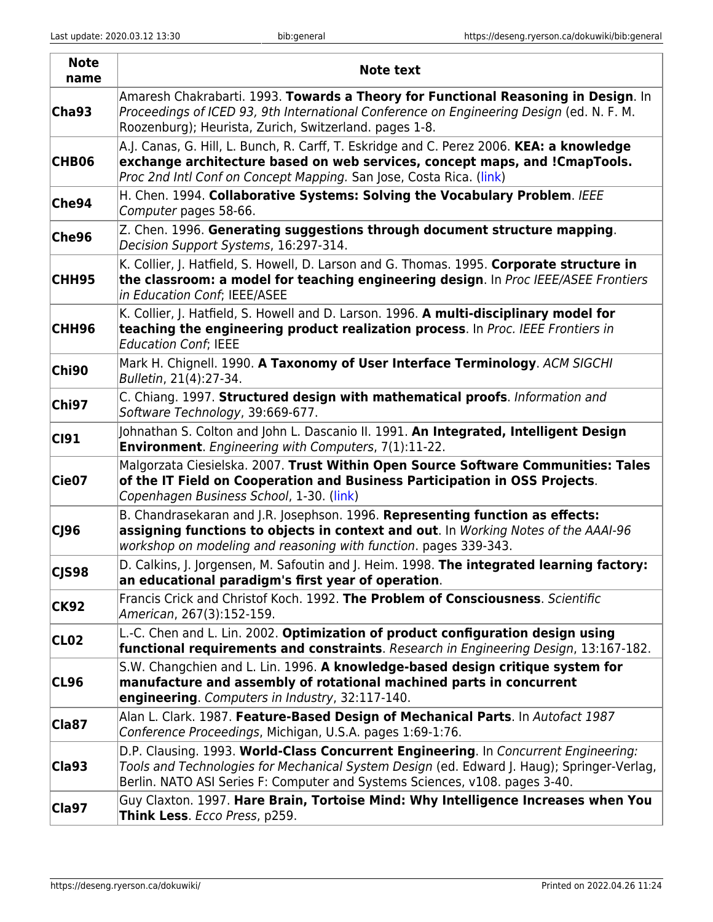| <b>Note</b><br>name | <b>Note text</b>                                                                                                                                                                                                                                                 |
|---------------------|------------------------------------------------------------------------------------------------------------------------------------------------------------------------------------------------------------------------------------------------------------------|
| Cha93               | Amaresh Chakrabarti. 1993. Towards a Theory for Functional Reasoning in Design. In<br>Proceedings of ICED 93, 9th International Conference on Engineering Design (ed. N. F. M.<br>Roozenburg); Heurista, Zurich, Switzerland. pages 1-8.                         |
| CHB06               | A.J. Canas, G. Hill, L. Bunch, R. Carff, T. Eskridge and C. Perez 2006. KEA: a knowledge<br>exchange architecture based on web services, concept maps, and !CmapTools.<br>Proc 2nd Intl Conf on Concept Mapping. San Jose, Costa Rica. (link)                    |
| Che94               | H. Chen. 1994. Collaborative Systems: Solving the Vocabulary Problem. IEEE<br>Computer pages 58-66.                                                                                                                                                              |
| Che96               | Z. Chen. 1996. Generating suggestions through document structure mapping.<br>Decision Support Systems, 16:297-314.                                                                                                                                               |
| <b>CHH95</b>        | K. Collier, J. Hatfield, S. Howell, D. Larson and G. Thomas. 1995. Corporate structure in<br>the classroom: a model for teaching engineering design. In Proc IEEE/ASEE Frontiers<br>in Education Conf; IEEE/ASEE                                                 |
| <b>CHH96</b>        | K. Collier, J. Hatfield, S. Howell and D. Larson. 1996. A multi-disciplinary model for<br>teaching the engineering product realization process. In Proc. IEEE Frontiers in<br><b>Education Conf; IEEE</b>                                                        |
| Chi90               | Mark H. Chignell. 1990. A Taxonomy of User Interface Terminology. ACM SIGCHI<br>Bulletin, 21(4):27-34.                                                                                                                                                           |
| Chi97               | C. Chiang. 1997. Structured design with mathematical proofs. Information and<br>Software Technology, 39:669-677.                                                                                                                                                 |
| <b>CI91</b>         | Johnathan S. Colton and John L. Dascanio II. 1991. An Integrated, Intelligent Design<br>Environment. Engineering with Computers, 7(1):11-22.                                                                                                                     |
| Cie <sub>07</sub>   | Malgorzata Ciesielska. 2007. Trust Within Open Source Software Communities: Tales<br>of the IT Field on Cooperation and Business Participation in OSS Projects.<br>Copenhagen Business School, 1-30. (link)                                                      |
| $C$ J $96$          | B. Chandrasekaran and J.R. Josephson. 1996. Representing function as effects:<br>assigning functions to objects in context and out. In Working Notes of the AAAI-96<br>workshop on modeling and reasoning with function. pages 339-343.                          |
| <b>CJS98</b>        | D. Calkins, J. Jorgensen, M. Safoutin and J. Heim. 1998. The integrated learning factory:<br>an educational paradigm's first year of operation.                                                                                                                  |
| <b>CK92</b>         | Francis Crick and Christof Koch, 1992. The Problem of Consciousness. Scientific<br>American, 267(3):152-159.                                                                                                                                                     |
| <b>CL02</b>         | L.-C. Chen and L. Lin. 2002. Optimization of product configuration design using<br>functional requirements and constraints. Research in Engineering Design, 13:167-182.                                                                                          |
| <b>CL96</b>         | S.W. Changchien and L. Lin. 1996. A knowledge-based design critique system for<br>manufacture and assembly of rotational machined parts in concurrent<br>engineering. Computers in Industry, 32:117-140.                                                         |
| Cla87               | Alan L. Clark. 1987. Feature-Based Design of Mechanical Parts. In Autofact 1987<br>Conference Proceedings, Michigan, U.S.A. pages 1:69-1:76.                                                                                                                     |
| Cla93               | D.P. Clausing. 1993. World-Class Concurrent Engineering. In Concurrent Engineering:<br>Tools and Technologies for Mechanical System Design (ed. Edward J. Haug); Springer-Verlag,<br>Berlin. NATO ASI Series F: Computer and Systems Sciences, v108. pages 3-40. |
| Cla97               | Guy Claxton. 1997. Hare Brain, Tortoise Mind: Why Intelligence Increases when You<br>Think Less. Ecco Press, p259.                                                                                                                                               |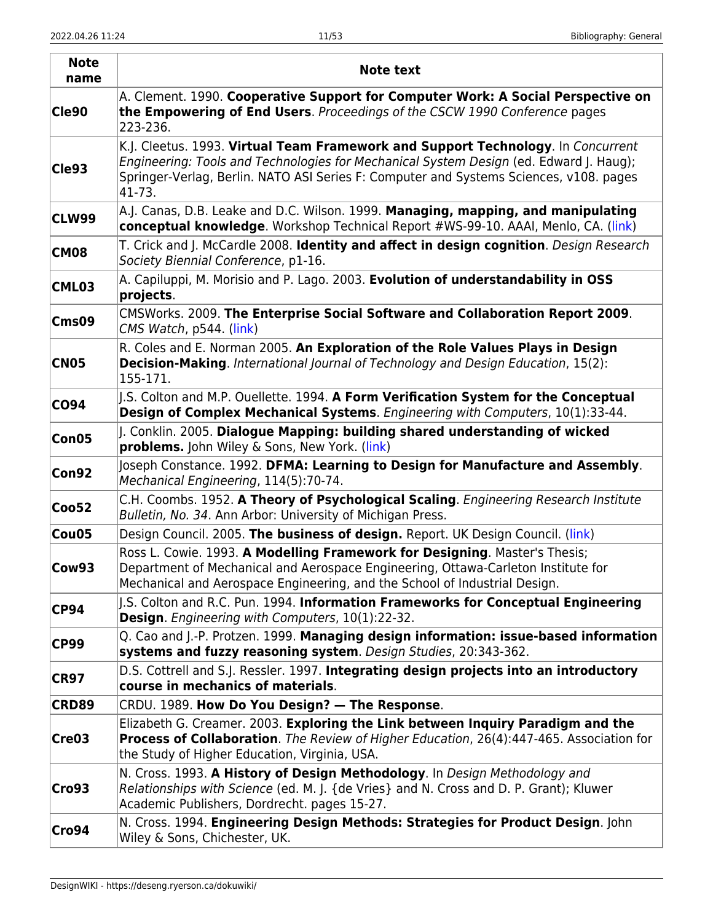| <b>Note</b><br>name | <b>Note text</b>                                                                                                                                                                                                                                                               |
|---------------------|--------------------------------------------------------------------------------------------------------------------------------------------------------------------------------------------------------------------------------------------------------------------------------|
| Cle90               | A. Clement. 1990. Cooperative Support for Computer Work: A Social Perspective on<br>the Empowering of End Users. Proceedings of the CSCW 1990 Conference pages<br>223-236.                                                                                                     |
| Cle93               | K.J. Cleetus. 1993. Virtual Team Framework and Support Technology. In Concurrent<br>Engineering: Tools and Technologies for Mechanical System Design (ed. Edward J. Haug);<br>Springer-Verlag, Berlin. NATO ASI Series F: Computer and Systems Sciences, v108. pages<br>41-73. |
| CLW99               | A.J. Canas, D.B. Leake and D.C. Wilson. 1999. Managing, mapping, and manipulating<br>conceptual knowledge. Workshop Technical Report #WS-99-10. AAAI, Menlo, CA. (link)                                                                                                        |
| <b>CM08</b>         | T. Crick and J. McCardle 2008. Identity and affect in design cognition. Design Research<br>Society Biennial Conference, p1-16.                                                                                                                                                 |
| CML03               | A. Capiluppi, M. Morisio and P. Lago. 2003. Evolution of understandability in OSS<br>projects.                                                                                                                                                                                 |
| Cms09               | CMSWorks. 2009. The Enterprise Social Software and Collaboration Report 2009.<br>CMS Watch, p544. (link)                                                                                                                                                                       |
| <b>CN05</b>         | R. Coles and E. Norman 2005. An Exploration of the Role Values Plays in Design<br><b>Decision-Making</b> . International Journal of Technology and Design Education, 15(2):<br>155-171.                                                                                        |
| CO94                | J.S. Colton and M.P. Ouellette. 1994. A Form Verification System for the Conceptual<br>Design of Complex Mechanical Systems. Engineering with Computers, 10(1):33-44.                                                                                                          |
| Con <sub>05</sub>   | J. Conklin. 2005. Dialogue Mapping: building shared understanding of wicked<br>problems. John Wiley & Sons, New York. (link)                                                                                                                                                   |
| Con92               | Joseph Constance. 1992. DFMA: Learning to Design for Manufacture and Assembly.<br>Mechanical Engineering, 114(5):70-74.                                                                                                                                                        |
| Coo52               | C.H. Coombs. 1952. A Theory of Psychological Scaling. Engineering Research Institute<br>Bulletin, No. 34. Ann Arbor: University of Michigan Press.                                                                                                                             |
| Cou05               | Design Council. 2005. The business of design. Report. UK Design Council. (link)                                                                                                                                                                                                |
| Cow93               | Ross L. Cowie. 1993. A Modelling Framework for Designing. Master's Thesis;<br>Department of Mechanical and Aerospace Engineering, Ottawa-Carleton Institute for<br>Mechanical and Aerospace Engineering, and the School of Industrial Design.                                  |
| $\mathsf{CP}94$     | J.S. Colton and R.C. Pun. 1994. Information Frameworks for Conceptual Engineering<br>Design. Engineering with Computers, 10(1):22-32.                                                                                                                                          |
| CP99                | Q. Cao and J.-P. Protzen. 1999. Managing design information: issue-based information<br>systems and fuzzy reasoning system. Design Studies, 20:343-362.                                                                                                                        |
| CR97                | D.S. Cottrell and S.J. Ressler. 1997. Integrating design projects into an introductory<br>course in mechanics of materials.                                                                                                                                                    |
| <b>CRD89</b>        | CRDU. 1989. How Do You Design? - The Response.                                                                                                                                                                                                                                 |
| $ $ Cre $0$ 3       | Elizabeth G. Creamer. 2003. Exploring the Link between Inquiry Paradigm and the<br><b>Process of Collaboration</b> . The Review of Higher Education, 26(4):447-465. Association for<br>the Study of Higher Education, Virginia, USA.                                           |
| $\mathsf{Cro93}$    | N. Cross. 1993. A History of Design Methodology. In Design Methodology and<br>Relationships with Science (ed. M. J. {de Vries} and N. Cross and D. P. Grant); Kluwer<br>Academic Publishers, Dordrecht. pages 15-27.                                                           |
| $ C$ ro $94$        | N. Cross. 1994. Engineering Design Methods: Strategies for Product Design. John<br>Wiley & Sons, Chichester, UK.                                                                                                                                                               |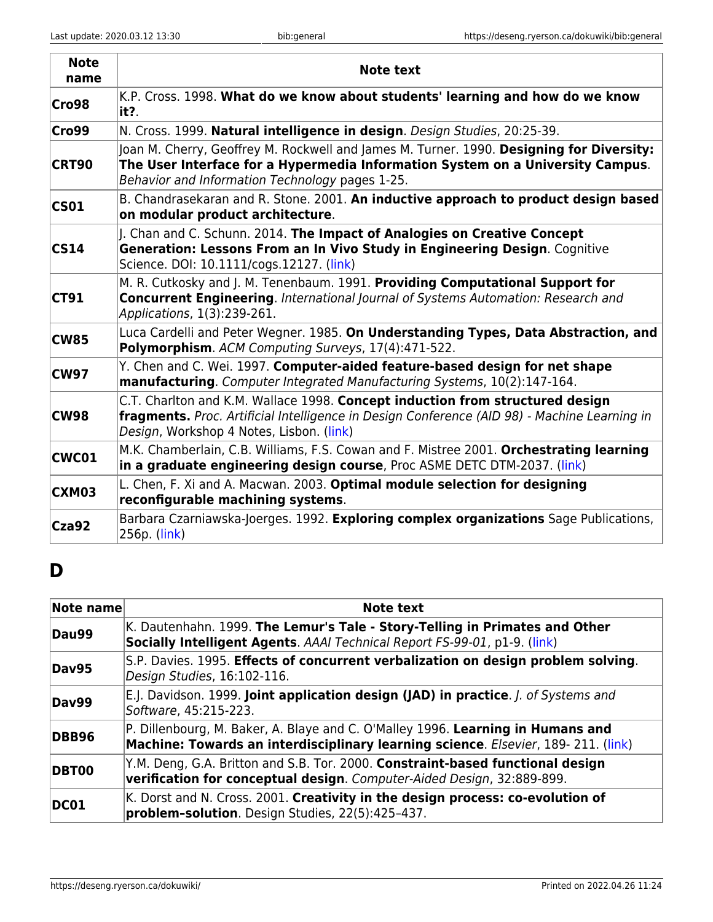| <b>Note</b><br>name | <b>Note text</b>                                                                                                                                                                                                              |
|---------------------|-------------------------------------------------------------------------------------------------------------------------------------------------------------------------------------------------------------------------------|
| Cro98               | K.P. Cross. 1998. What do we know about students' learning and how do we know<br>it?.                                                                                                                                         |
| Cro99               | N. Cross. 1999. Natural intelligence in design. Design Studies, 20:25-39.                                                                                                                                                     |
| CRT90               | Joan M. Cherry, Geoffrey M. Rockwell and James M. Turner. 1990. Designing for Diversity:<br>The User Interface for a Hypermedia Information System on a University Campus.<br>Behavior and Information Technology pages 1-25. |
| <b>CS01</b>         | B. Chandrasekaran and R. Stone. 2001. An inductive approach to product design based<br>on modular product architecture.                                                                                                       |
| <b>CS14</b>         | J. Chan and C. Schunn. 2014. The Impact of Analogies on Creative Concept<br>Generation: Lessons From an In Vivo Study in Engineering Design. Cognitive<br>Science. DOI: 10.1111/cogs.12127. (link)                            |
| <b>CT91</b>         | M. R. Cutkosky and J. M. Tenenbaum. 1991. Providing Computational Support for<br><b>Concurrent Engineering.</b> International Journal of Systems Automation: Research and<br>Applications, 1(3):239-261.                      |
| <b>CW85</b>         | Luca Cardelli and Peter Wegner. 1985. On Understanding Types, Data Abstraction, and<br>Polymorphism. ACM Computing Surveys, 17(4):471-522.                                                                                    |
| <b>CW97</b>         | Y. Chen and C. Wei. 1997. Computer-aided feature-based design for net shape<br>manufacturing. Computer Integrated Manufacturing Systems, 10(2):147-164.                                                                       |
| <b>CW98</b>         | C.T. Charlton and K.M. Wallace 1998. Concept induction from structured design<br>fragments. Proc. Artificial Intelligence in Design Conference (AID 98) - Machine Learning in<br>Design, Workshop 4 Notes, Lisbon. (link)     |
| CWC01               | M.K. Chamberlain, C.B. Williams, F.S. Cowan and F. Mistree 2001. Orchestrating learning<br>in a graduate engineering design course, Proc ASME DETC DTM-2037. (link)                                                           |
| <b>CXM03</b>        | L. Chen, F. Xi and A. Macwan. 2003. Optimal module selection for designing<br>reconfigurable machining systems.                                                                                                               |
| Cza92               | Barbara Czarniawska-Joerges. 1992. Exploring complex organizations Sage Publications,<br>256p. (link)                                                                                                                         |

#### <span id="page-13-1"></span><span id="page-13-0"></span>**D**

| Note name    | Note text                                                                                                                                                            |
|--------------|----------------------------------------------------------------------------------------------------------------------------------------------------------------------|
| Dau99        | K. Dautenhahn. 1999. The Lemur's Tale - Story-Telling in Primates and Other<br>Socially Intelligent Agents. AAAI Technical Report FS-99-01, p1-9. (link)             |
| Dav95        | S.P. Davies. 1995. Effects of concurrent verbalization on design problem solving.<br>Design Studies, 16:102-116.                                                     |
| Dav99        | E.J. Davidson. 1999. Joint application design (JAD) in practice. J. of Systems and<br>Software, 45:215-223.                                                          |
| <b>DBB96</b> | P. Dillenbourg, M. Baker, A. Blaye and C. O'Malley 1996. Learning in Humans and<br>Machine: Towards an interdisciplinary learning science. Elsevier, 189-211. (link) |
| <b>DBT00</b> | Y.M. Deng, G.A. Britton and S.B. Tor. 2000. Constraint-based functional design<br>verification for conceptual design. Computer-Aided Design, 32:889-899.             |
| <b>DC01</b>  | K. Dorst and N. Cross. 2001. Creativity in the design process: co-evolution of<br>problem-solution. Design Studies, 22(5):425-437.                                   |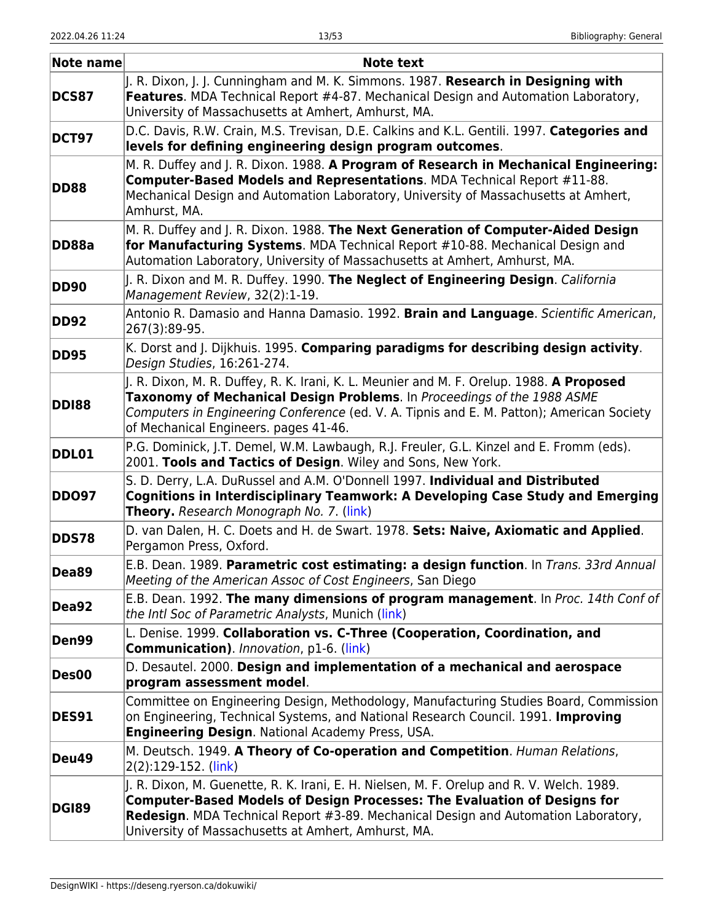| <b>Note name</b>  | Note text                                                                                                                                                                                                                                                                                                                 |
|-------------------|---------------------------------------------------------------------------------------------------------------------------------------------------------------------------------------------------------------------------------------------------------------------------------------------------------------------------|
| DCS87             | J. R. Dixon, J. J. Cunningham and M. K. Simmons. 1987. Research in Designing with<br>Features. MDA Technical Report #4-87. Mechanical Design and Automation Laboratory,<br>University of Massachusetts at Amhert, Amhurst, MA.                                                                                            |
| DCT97             | D.C. Davis, R.W. Crain, M.S. Trevisan, D.E. Calkins and K.L. Gentili. 1997. Categories and<br>levels for defining engineering design program outcomes.                                                                                                                                                                    |
| <b>DD88</b>       | M. R. Duffey and J. R. Dixon. 1988. A Program of Research in Mechanical Engineering:<br>Computer-Based Models and Representations. MDA Technical Report #11-88.<br>Mechanical Design and Automation Laboratory, University of Massachusetts at Amhert,<br>Amhurst, MA.                                                    |
| DD88a             | M. R. Duffey and J. R. Dixon. 1988. The Next Generation of Computer-Aided Design<br>for Manufacturing Systems. MDA Technical Report #10-88. Mechanical Design and<br>Automation Laboratory, University of Massachusetts at Amhert, Amhurst, MA.                                                                           |
| <b>DD90</b>       | J. R. Dixon and M. R. Duffey. 1990. The Neglect of Engineering Design. California<br>Management Review, 32(2):1-19.                                                                                                                                                                                                       |
| <b>DD92</b>       | Antonio R. Damasio and Hanna Damasio. 1992. Brain and Language. Scientific American,<br>267(3):89-95.                                                                                                                                                                                                                     |
| <b>DD95</b>       | K. Dorst and J. Dijkhuis. 1995. Comparing paradigms for describing design activity.<br>Design Studies, 16:261-274.                                                                                                                                                                                                        |
| <b>DDI88</b>      | J. R. Dixon, M. R. Duffey, R. K. Irani, K. L. Meunier and M. F. Orelup. 1988. A Proposed<br>Taxonomy of Mechanical Design Problems. In Proceedings of the 1988 ASME<br>Computers in Engineering Conference (ed. V. A. Tipnis and E. M. Patton); American Society<br>of Mechanical Engineers. pages 41-46.                 |
| DDL01             | P.G. Dominick, J.T. Demel, W.M. Lawbaugh, R.J. Freuler, G.L. Kinzel and E. Fromm (eds).<br>2001. Tools and Tactics of Design. Wiley and Sons, New York.                                                                                                                                                                   |
| <b>DD097</b>      | S. D. Derry, L.A. DuRussel and A.M. O'Donnell 1997. Individual and Distributed<br>Cognitions in Interdisciplinary Teamwork: A Developing Case Study and Emerging<br>Theory. Research Monograph No. 7. (link)                                                                                                              |
| <b>DDS78</b>      | D. van Dalen, H. C. Doets and H. de Swart. 1978. Sets: Naive, Axiomatic and Applied.<br>Pergamon Press, Oxford.                                                                                                                                                                                                           |
| Dea89             | E.B. Dean. 1989. Parametric cost estimating: a design function. In Trans. 33rd Annual<br>Meeting of the American Assoc of Cost Engineers, San Diego                                                                                                                                                                       |
| Dea92             | E.B. Dean. 1992. The many dimensions of program management. In Proc. 14th Conf of<br>the Intl Soc of Parametric Analysts, Munich (link)                                                                                                                                                                                   |
| Den99             | L. Denise. 1999. Collaboration vs. C-Three (Cooperation, Coordination, and<br><b>Communication)</b> . Innovation, p1-6. (link)                                                                                                                                                                                            |
| Des <sub>00</sub> | D. Desautel. 2000. Design and implementation of a mechanical and aerospace<br>program assessment model.                                                                                                                                                                                                                   |
| <b>DES91</b>      | Committee on Engineering Design, Methodology, Manufacturing Studies Board, Commission<br>on Engineering, Technical Systems, and National Research Council. 1991. Improving<br><b>Engineering Design. National Academy Press, USA.</b>                                                                                     |
| Deu49             | M. Deutsch. 1949. A Theory of Co-operation and Competition. Human Relations,<br>$2(2):129-152.$ (link)                                                                                                                                                                                                                    |
| <b>DGI89</b>      | J. R. Dixon, M. Guenette, R. K. Irani, E. H. Nielsen, M. F. Orelup and R. V. Welch. 1989.<br><b>Computer-Based Models of Design Processes: The Evaluation of Designs for</b><br>Redesign. MDA Technical Report #3-89. Mechanical Design and Automation Laboratory,<br>University of Massachusetts at Amhert, Amhurst, MA. |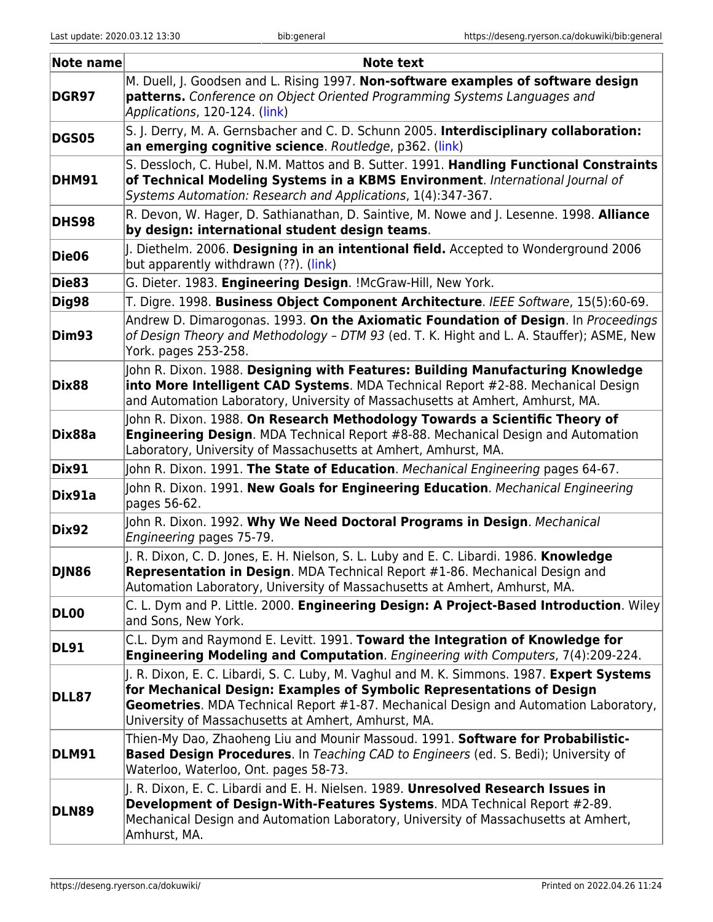| Note name    | <b>Note text</b>                                                                                                                                                                                                                                                                                                  |
|--------------|-------------------------------------------------------------------------------------------------------------------------------------------------------------------------------------------------------------------------------------------------------------------------------------------------------------------|
| DGR97        | M. Duell, J. Goodsen and L. Rising 1997. Non-software examples of software design<br>patterns. Conference on Object Oriented Programming Systems Languages and<br>Applications, 120-124. (link)                                                                                                                   |
| <b>DGS05</b> | S. J. Derry, M. A. Gernsbacher and C. D. Schunn 2005. Interdisciplinary collaboration:<br>an emerging cognitive science. Routledge, p362. (link)                                                                                                                                                                  |
| <b>DHM91</b> | S. Dessloch, C. Hubel, N.M. Mattos and B. Sutter. 1991. Handling Functional Constraints<br>of Technical Modeling Systems in a KBMS Environment. International Journal of<br>Systems Automation: Research and Applications, 1(4):347-367.                                                                          |
| DHS98        | R. Devon, W. Hager, D. Sathianathan, D. Saintive, M. Nowe and J. Lesenne. 1998. Alliance<br>by design: international student design teams.                                                                                                                                                                        |
| Die06        | J. Diethelm. 2006. Designing in an intentional field. Accepted to Wonderground 2006<br>but apparently withdrawn (??). (link)                                                                                                                                                                                      |
| Die83        | G. Dieter. 1983. Engineering Design. !McGraw-Hill, New York.                                                                                                                                                                                                                                                      |
| Dig98        | T. Digre. 1998. Business Object Component Architecture. IEEE Software, 15(5):60-69.                                                                                                                                                                                                                               |
| Dim93        | Andrew D. Dimarogonas. 1993. On the Axiomatic Foundation of Design. In Proceedings<br>of Design Theory and Methodology - DTM 93 (ed. T. K. Hight and L. A. Stauffer); ASME, New<br>York. pages 253-258.                                                                                                           |
| Dix88        | John R. Dixon. 1988. Designing with Features: Building Manufacturing Knowledge<br>into More Intelligent CAD Systems. MDA Technical Report #2-88. Mechanical Design<br>and Automation Laboratory, University of Massachusetts at Amhert, Amhurst, MA.                                                              |
| Dix88a       | John R. Dixon. 1988. On Research Methodology Towards a Scientific Theory of<br><b>Engineering Design.</b> MDA Technical Report #8-88. Mechanical Design and Automation<br>Laboratory, University of Massachusetts at Amhert, Amhurst, MA.                                                                         |
| <b>Dix91</b> | John R. Dixon. 1991. The State of Education. Mechanical Engineering pages 64-67.                                                                                                                                                                                                                                  |
| Dix91a       | John R. Dixon. 1991. New Goals for Engineering Education. Mechanical Engineering<br>pages 56-62.                                                                                                                                                                                                                  |
| Dix92        | John R. Dixon. 1992. Why We Need Doctoral Programs in Design. Mechanical<br>Engineering pages 75-79.                                                                                                                                                                                                              |
| DJN86        | J. R. Dixon, C. D. Jones, E. H. Nielson, S. L. Luby and E. C. Libardi. 1986. Knowledge<br>Representation in Design. MDA Technical Report #1-86. Mechanical Design and<br>Automation Laboratory, University of Massachusetts at Amhert, Amhurst, MA.                                                               |
| <b>DL00</b>  | C. L. Dym and P. Little. 2000. Engineering Design: A Project-Based Introduction. Wiley<br>and Sons, New York.                                                                                                                                                                                                     |
| <b>DL91</b>  | C.L. Dym and Raymond E. Levitt. 1991. Toward the Integration of Knowledge for<br><b>Engineering Modeling and Computation.</b> Engineering with Computers, 7(4):209-224.                                                                                                                                           |
| <b>DLL87</b> | J. R. Dixon, E. C. Libardi, S. C. Luby, M. Vaghul and M. K. Simmons. 1987. Expert Systems<br>for Mechanical Design: Examples of Symbolic Representations of Design<br>Geometries. MDA Technical Report #1-87. Mechanical Design and Automation Laboratory,<br>University of Massachusetts at Amhert, Amhurst, MA. |
| <b>DLM91</b> | Thien-My Dao, Zhaoheng Liu and Mounir Massoud. 1991. Software for Probabilistic-<br>Based Design Procedures. In Teaching CAD to Engineers (ed. S. Bedi); University of<br>Waterloo, Waterloo, Ont. pages 58-73.                                                                                                   |
| <b>DLN89</b> | J. R. Dixon, E. C. Libardi and E. H. Nielsen. 1989. Unresolved Research Issues in<br>Development of Design-With-Features Systems. MDA Technical Report #2-89.<br>Mechanical Design and Automation Laboratory, University of Massachusetts at Amhert,<br>Amhurst, MA.                                              |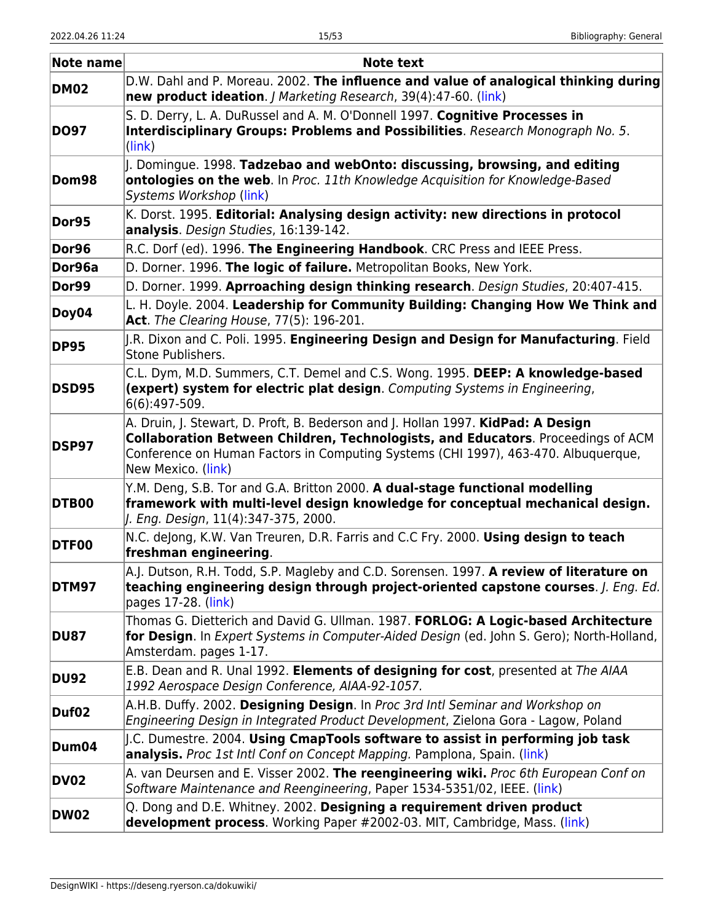| <b>Note name</b>  | <b>Note text</b>                                                                                                                                                                                                                                                                 |
|-------------------|----------------------------------------------------------------------------------------------------------------------------------------------------------------------------------------------------------------------------------------------------------------------------------|
| <b>DM02</b>       | D.W. Dahl and P. Moreau. 2002. The influence and value of analogical thinking during<br>new product ideation. J Marketing Research, 39(4):47-60. (link)                                                                                                                          |
| <b>DO97</b>       | S. D. Derry, L. A. DuRussel and A. M. O'Donnell 1997. Cognitive Processes in<br>Interdisciplinary Groups: Problems and Possibilities. Research Monograph No. 5.<br>(link)                                                                                                        |
| Dom98             | J. Domingue. 1998. Tadzebao and webOnto: discussing, browsing, and editing<br>ontologies on the web. In Proc. 11th Knowledge Acquisition for Knowledge-Based<br>Systems Workshop (link)                                                                                          |
| Dor95             | K. Dorst. 1995. Editorial: Analysing design activity: new directions in protocol<br>analysis. Design Studies, 16:139-142.                                                                                                                                                        |
| Dor96             | R.C. Dorf (ed). 1996. The Engineering Handbook. CRC Press and IEEE Press.                                                                                                                                                                                                        |
| Dor96a            | D. Dorner. 1996. The logic of failure. Metropolitan Books, New York.                                                                                                                                                                                                             |
| Dor99             | D. Dorner. 1999. Aprroaching design thinking research. Design Studies, 20:407-415.                                                                                                                                                                                               |
| Doy04             | L. H. Doyle. 2004. Leadership for Community Building: Changing How We Think and<br><b>Act.</b> The Clearing House, 77(5): 196-201.                                                                                                                                               |
| <b>DP95</b>       | J.R. Dixon and C. Poli. 1995. Engineering Design and Design for Manufacturing. Field<br>Stone Publishers.                                                                                                                                                                        |
| <b>DSD95</b>      | C.L. Dym, M.D. Summers, C.T. Demel and C.S. Wong. 1995. DEEP: A knowledge-based<br>(expert) system for electric plat design. Computing Systems in Engineering,<br>$6(6):497-509.$                                                                                                |
| <b>DSP97</b>      | A. Druin, J. Stewart, D. Proft, B. Bederson and J. Hollan 1997. KidPad: A Design<br>Collaboration Between Children, Technologists, and Educators. Proceedings of ACM<br>Conference on Human Factors in Computing Systems (CHI 1997), 463-470. Albuquerque,<br>New Mexico. (link) |
| DTB00             | Y.M. Deng, S.B. Tor and G.A. Britton 2000. A dual-stage functional modelling<br>framework with multi-level design knowledge for conceptual mechanical design.<br>J. Eng. Design, 11(4):347-375, 2000.                                                                            |
| DTF00             | N.C. delong, K.W. Van Treuren, D.R. Farris and C.C Fry. 2000. Using design to teach<br>freshman engineering.                                                                                                                                                                     |
| DTM97             | A.J. Dutson, R.H. Todd, S.P. Magleby and C.D. Sorensen. 1997. A review of literature on<br>teaching engineering design through project-oriented capstone courses. J. Eng. Ed.<br>pages 17-28. (link)                                                                             |
| <b>DU87</b>       | Thomas G. Dietterich and David G. Ullman. 1987. FORLOG: A Logic-based Architecture<br>for Design. In Expert Systems in Computer-Aided Design (ed. John S. Gero); North-Holland,<br>Amsterdam. pages 1-17.                                                                        |
| <b>DU92</b>       | E.B. Dean and R. Unal 1992. Elements of designing for cost, presented at The AIAA<br>1992 Aerospace Design Conference, AIAA-92-1057.                                                                                                                                             |
| Duf <sub>02</sub> | A.H.B. Duffy. 2002. Designing Design. In Proc 3rd Intl Seminar and Workshop on<br>Engineering Design in Integrated Product Development, Zielona Gora - Lagow, Poland                                                                                                             |
| Dum04             | J.C. Dumestre. 2004. Using CmapTools software to assist in performing job task<br>analysis. Proc 1st Intl Conf on Concept Mapping. Pamplona, Spain. (link)                                                                                                                       |
| <b>DV02</b>       | A. van Deursen and E. Visser 2002. The reengineering wiki. Proc 6th European Conf on<br>Software Maintenance and Reengineering, Paper 1534-5351/02, IEEE. (link)                                                                                                                 |
| <b>DW02</b>       | Q. Dong and D.E. Whitney. 2002. Designing a requirement driven product<br>development process. Working Paper #2002-03. MIT, Cambridge, Mass. (link)                                                                                                                              |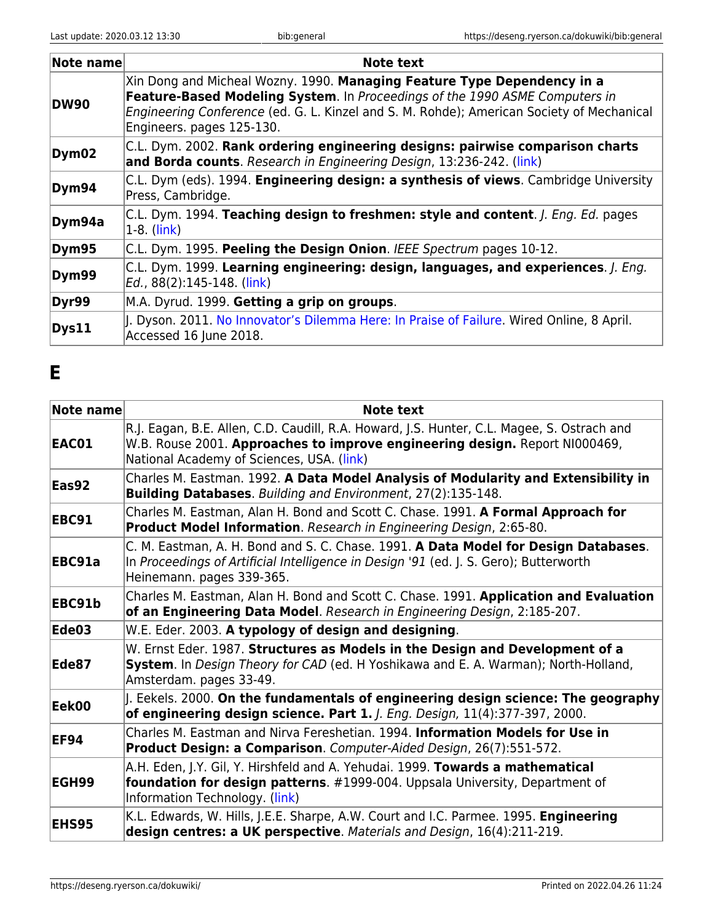| <b>Note name</b> | <b>Note text</b>                                                                                                                                                                                                                                                                 |
|------------------|----------------------------------------------------------------------------------------------------------------------------------------------------------------------------------------------------------------------------------------------------------------------------------|
| <b>DW90</b>      | Xin Dong and Micheal Wozny. 1990. Managing Feature Type Dependency in a<br>Feature-Based Modeling System. In Proceedings of the 1990 ASME Computers in<br>Engineering Conference (ed. G. L. Kinzel and S. M. Rohde); American Society of Mechanical<br>Engineers. pages 125-130. |
| Dym02            | C.L. Dym. 2002. Rank ordering engineering designs: pairwise comparison charts<br>and Borda counts. Research in Engineering Design, 13:236-242. (link)                                                                                                                            |
| Dym94            | C.L. Dym (eds). 1994. Engineering design: a synthesis of views. Cambridge University<br>Press, Cambridge.                                                                                                                                                                        |
| Dym94a           | C.L. Dym. 1994. Teaching design to freshmen: style and content. J. Eng. Ed. pages<br>$1-8.$ (link)                                                                                                                                                                               |
| Dym95            | C.L. Dym. 1995. Peeling the Design Onion. IEEE Spectrum pages 10-12.                                                                                                                                                                                                             |
| Dym99            | C.L. Dym. 1999. Learning engineering: design, languages, and experiences. J. Eng.<br>Ed., 88(2):145-148. (link)                                                                                                                                                                  |
| Dyr99            | M.A. Dyrud. 1999. Getting a grip on groups.                                                                                                                                                                                                                                      |
| Dys11            | J. Dyson. 2011. No Innovator's Dilemma Here: In Praise of Failure. Wired Online, 8 April.<br>Accessed 16 June 2018.                                                                                                                                                              |

### <span id="page-17-1"></span><span id="page-17-0"></span>**E**

| Note name     | <b>Note text</b>                                                                                                                                                                                                       |
|---------------|------------------------------------------------------------------------------------------------------------------------------------------------------------------------------------------------------------------------|
| <b>EAC01</b>  | R.J. Eagan, B.E. Allen, C.D. Caudill, R.A. Howard, J.S. Hunter, C.L. Magee, S. Ostrach and<br>W.B. Rouse 2001. Approaches to improve engineering design. Report NI000469,<br>National Academy of Sciences, USA. (link) |
| Eas92         | Charles M. Eastman. 1992. A Data Model Analysis of Modularity and Extensibility in<br>Building Databases. Building and Environment, 27(2):135-148.                                                                     |
| EBC91         | Charles M. Eastman, Alan H. Bond and Scott C. Chase. 1991. A Formal Approach for<br>Product Model Information. Research in Engineering Design, 2:65-80.                                                                |
| <b>EBC91a</b> | C. M. Eastman, A. H. Bond and S. C. Chase. 1991. A Data Model for Design Databases.<br>In Proceedings of Artificial Intelligence in Design '91 (ed. J. S. Gero); Butterworth<br>Heinemann. pages 339-365.              |
| EBC91b        | Charles M. Eastman, Alan H. Bond and Scott C. Chase. 1991. Application and Evaluation<br>of an Engineering Data Model. Research in Engineering Design, 2:185-207.                                                      |
| Ede03         | W.E. Eder. 2003. A typology of design and designing.                                                                                                                                                                   |
| Ede87         | W. Ernst Eder. 1987. Structures as Models in the Design and Development of a<br>System. In Design Theory for CAD (ed. H Yoshikawa and E. A. Warman); North-Holland,<br>Amsterdam. pages 33-49.                         |
| Eek00         | J. Eekels. 2000. On the fundamentals of engineering design science: The geography<br>of engineering design science. Part 1. J. Eng. Design, 11(4):377-397, 2000.                                                       |
| <b>EF94</b>   | Charles M. Eastman and Nirva Fereshetian. 1994. <b>Information Models for Use in</b><br>Product Design: a Comparison. Computer-Aided Design, 26(7):551-572.                                                            |
| EGH99         | A.H. Eden, J.Y. Gil, Y. Hirshfeld and A. Yehudai. 1999. Towards a mathematical<br>foundation for design patterns. #1999-004. Uppsala University, Department of<br>Information Technology. (link)                       |
| <b>EHS95</b>  | K.L. Edwards, W. Hills, J.E.E. Sharpe, A.W. Court and I.C. Parmee. 1995. Engineering<br>design centres: a UK perspective. Materials and Design, 16(4):211-219.                                                         |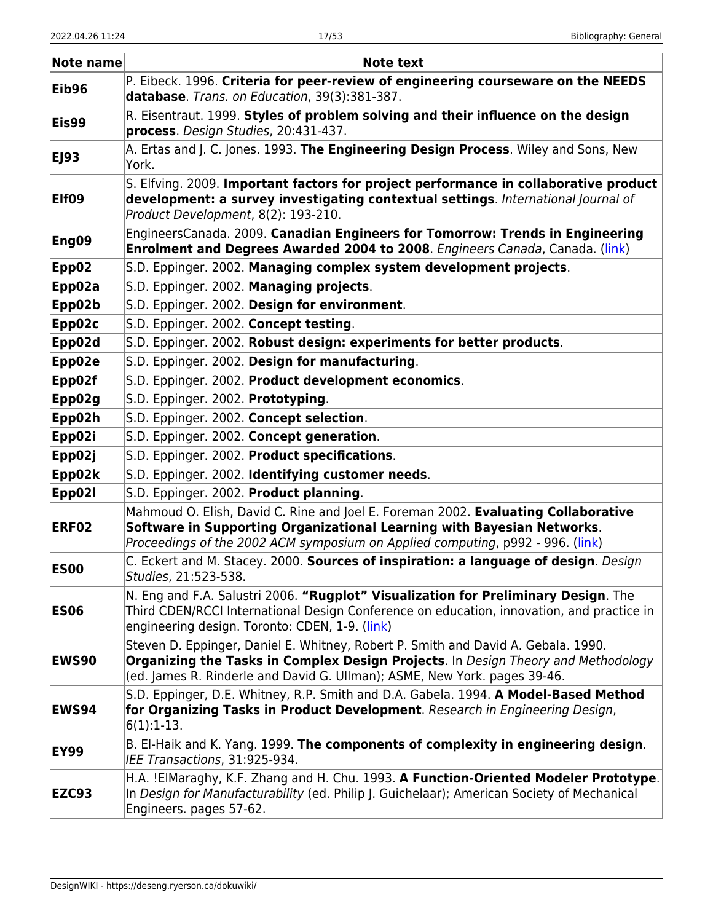<span id="page-18-0"></span>

| <b>Note name</b>  | <b>Note text</b>                                                                                                                                                                                                                                    |
|-------------------|-----------------------------------------------------------------------------------------------------------------------------------------------------------------------------------------------------------------------------------------------------|
| Eib <sub>96</sub> | P. Eibeck. 1996. Criteria for peer-review of engineering courseware on the NEEDS<br>database. Trans. on Education, 39(3):381-387.                                                                                                                   |
| Eis99             | R. Eisentraut. 1999. Styles of problem solving and their influence on the design<br>process. Design Studies, 20:431-437.                                                                                                                            |
| <b>EJ93</b>       | A. Ertas and J. C. Jones. 1993. The Engineering Design Process. Wiley and Sons, New<br>York.                                                                                                                                                        |
| Elf09             | S. Elfving. 2009. Important factors for project performance in collaborative product<br>development: a survey investigating contextual settings. International Journal of<br>Product Development, 8(2): 193-210.                                    |
| Eng09             | EngineersCanada. 2009. Canadian Engineers for Tomorrow: Trends in Engineering<br>Enrolment and Degrees Awarded 2004 to 2008. Engineers Canada, Canada. (link)                                                                                       |
| Epp02             | S.D. Eppinger. 2002. Managing complex system development projects.                                                                                                                                                                                  |
| Epp02a            | S.D. Eppinger. 2002. Managing projects.                                                                                                                                                                                                             |
| Epp02b            | S.D. Eppinger. 2002. Design for environment.                                                                                                                                                                                                        |
| Epp02c            | S.D. Eppinger. 2002. Concept testing.                                                                                                                                                                                                               |
| Epp02d            | S.D. Eppinger. 2002. Robust design: experiments for better products.                                                                                                                                                                                |
| Epp02e            | S.D. Eppinger. 2002. Design for manufacturing.                                                                                                                                                                                                      |
| Epp02f            | S.D. Eppinger. 2002. Product development economics.                                                                                                                                                                                                 |
| Epp02g            | S.D. Eppinger. 2002. Prototyping.                                                                                                                                                                                                                   |
| Epp02h            | S.D. Eppinger. 2002. Concept selection.                                                                                                                                                                                                             |
| Epp02i            | S.D. Eppinger. 2002. Concept generation.                                                                                                                                                                                                            |
| Epp02j            | S.D. Eppinger. 2002. Product specifications.                                                                                                                                                                                                        |
| Epp02k            | S.D. Eppinger. 2002. Identifying customer needs.                                                                                                                                                                                                    |
| Epp02l            | S.D. Eppinger. 2002. Product planning.                                                                                                                                                                                                              |
| <b>ERF02</b>      | Mahmoud O. Elish, David C. Rine and Joel E. Foreman 2002. Evaluating Collaborative<br>Software in Supporting Organizational Learning with Bayesian Networks.<br>Proceedings of the 2002 ACM symposium on Applied computing, p992 - 996. (link)      |
| <b>ES00</b>       | C. Eckert and M. Stacey. 2000. Sources of inspiration: a language of design. Design<br>Studies, 21:523-538.                                                                                                                                         |
| <b>ES06</b>       | N. Eng and F.A. Salustri 2006. "Rugplot" Visualization for Preliminary Design. The<br>Third CDEN/RCCI International Design Conference on education, innovation, and practice in<br>engineering design. Toronto: CDEN, 1-9. (link)                   |
| <b>EWS90</b>      | Steven D. Eppinger, Daniel E. Whitney, Robert P. Smith and David A. Gebala. 1990.<br>Organizing the Tasks in Complex Design Projects. In Design Theory and Methodology<br>(ed. James R. Rinderle and David G. Ullman); ASME, New York. pages 39-46. |
| <b>EWS94</b>      | S.D. Eppinger, D.E. Whitney, R.P. Smith and D.A. Gabela. 1994. A Model-Based Method<br>for Organizing Tasks in Product Development. Research in Engineering Design,<br>$ 6(1):1-13.$                                                                |
| <b>EY99</b>       | B. El-Haik and K. Yang. 1999. The components of complexity in engineering design.<br>IEE Transactions, 31:925-934.                                                                                                                                  |
| EZC93             | H.A. !ElMaraghy, K.F. Zhang and H. Chu. 1993. A Function-Oriented Modeler Prototype.<br>In Design for Manufacturability (ed. Philip J. Guichelaar); American Society of Mechanical<br>Engineers. pages 57-62.                                       |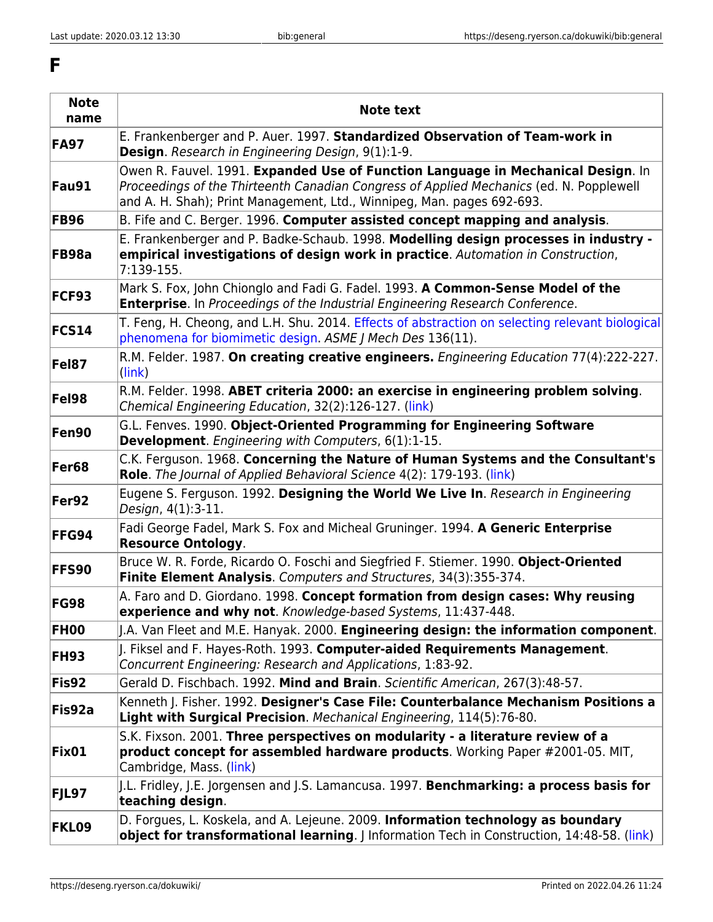<span id="page-19-0"></span>**F**

| <b>Note</b><br>name | <b>Note text</b>                                                                                                                                                                                                                                      |
|---------------------|-------------------------------------------------------------------------------------------------------------------------------------------------------------------------------------------------------------------------------------------------------|
| <b>FA97</b>         | E. Frankenberger and P. Auer. 1997. Standardized Observation of Team-work in<br>Design. Research in Engineering Design, 9(1):1-9.                                                                                                                     |
| Fau91               | Owen R. Fauvel. 1991. Expanded Use of Function Language in Mechanical Design. In<br>Proceedings of the Thirteenth Canadian Congress of Applied Mechanics (ed. N. Popplewell<br>and A. H. Shah); Print Management, Ltd., Winnipeg, Man. pages 692-693. |
| <b>FB96</b>         | B. Fife and C. Berger. 1996. Computer assisted concept mapping and analysis.                                                                                                                                                                          |
| FB98a               | E. Frankenberger and P. Badke-Schaub. 1998. Modelling design processes in industry -<br>empirical investigations of design work in practice. Automation in Construction,<br>7:139-155.                                                                |
| <b>FCF93</b>        | Mark S. Fox, John Chionglo and Fadi G. Fadel. 1993. A Common-Sense Model of the<br>Enterprise. In Proceedings of the Industrial Engineering Research Conference.                                                                                      |
| <b>FCS14</b>        | T. Feng, H. Cheong, and L.H. Shu. 2014. Effects of abstraction on selecting relevant biological<br>phenomena for biomimetic design. ASME J Mech Des 136(11).                                                                                          |
| Fel87               | R.M. Felder. 1987. On creating creative engineers. Engineering Education 77(4):222-227.<br>(link)                                                                                                                                                     |
| Fel98               | R.M. Felder. 1998. ABET criteria 2000: an exercise in engineering problem solving.<br>Chemical Engineering Education, 32(2):126-127. (link)                                                                                                           |
| Fen90               | G.L. Fenves. 1990. Object-Oriented Programming for Engineering Software<br><b>Development.</b> Engineering with Computers, 6(1):1-15.                                                                                                                 |
| Fer68               | C.K. Ferguson. 1968. Concerning the Nature of Human Systems and the Consultant's<br>Role. The Journal of Applied Behavioral Science 4(2): 179-193. (link)                                                                                             |
| Fer92               | Eugene S. Ferguson. 1992. Designing the World We Live In. Research in Engineering<br>Design, 4(1):3-11.                                                                                                                                               |
| FFG94               | Fadi George Fadel, Mark S. Fox and Micheal Gruninger. 1994. A Generic Enterprise<br><b>Resource Ontology.</b>                                                                                                                                         |
| <b>FFS90</b>        | Bruce W. R. Forde, Ricardo O. Foschi and Siegfried F. Stiemer. 1990. Object-Oriented<br>Finite Element Analysis. Computers and Structures, 34(3):355-374.                                                                                             |
| <b>FG98</b>         | A. Faro and D. Giordano. 1998. Concept formation from design cases: Why reusing<br>experience and why not. Knowledge-based Systems, 11:437-448.                                                                                                       |
| <b>FH00</b>         | J.A. Van Fleet and M.E. Hanyak. 2000. Engineering design: the information component.                                                                                                                                                                  |
| <b>FH93</b>         | J. Fiksel and F. Hayes-Roth. 1993. Computer-aided Requirements Management.<br>Concurrent Engineering: Research and Applications, 1:83-92.                                                                                                             |
| Fis92               | Gerald D. Fischbach. 1992. Mind and Brain. Scientific American, 267(3):48-57.                                                                                                                                                                         |
| Fis92a              | Kenneth J. Fisher. 1992. Designer's Case File: Counterbalance Mechanism Positions a<br>Light with Surgical Precision. Mechanical Engineering, 114(5):76-80.                                                                                           |
| Fix01               | S.K. Fixson. 2001. Three perspectives on modularity - a literature review of a<br>product concept for assembled hardware products. Working Paper #2001-05. MIT,<br>Cambridge, Mass. (link)                                                            |
| <b>FJL97</b>        | J.L. Fridley, J.E. Jorgensen and J.S. Lamancusa. 1997. Benchmarking: a process basis for<br>teaching design.                                                                                                                                          |
| FKL09               | D. Forgues, L. Koskela, and A. Lejeune. 2009. Information technology as boundary<br>object for transformational learning. J Information Tech in Construction, 14:48-58. (link)                                                                        |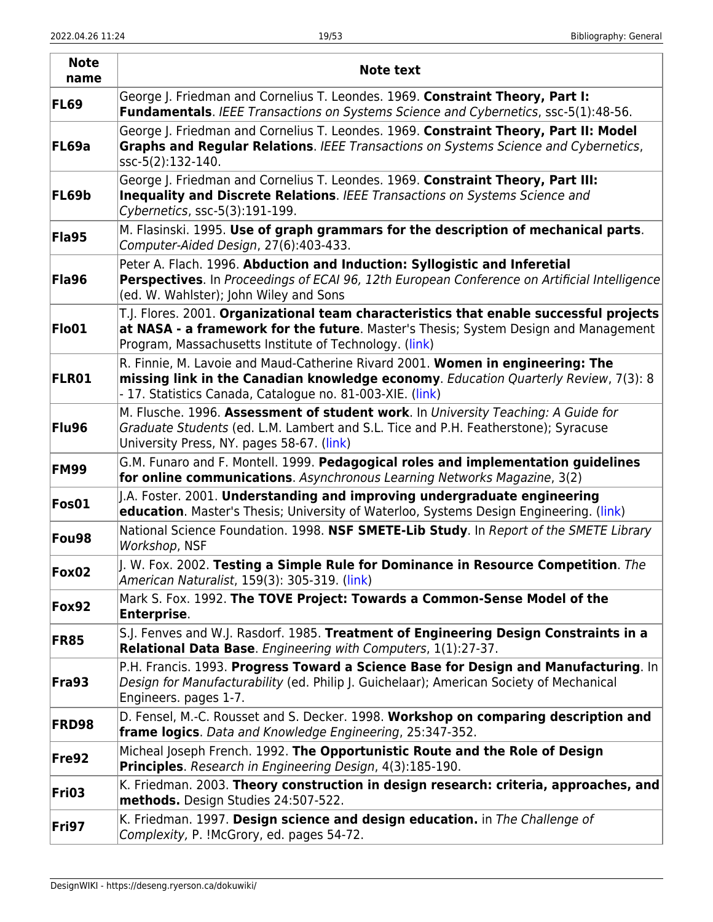| <b>Note</b><br>name | <b>Note text</b>                                                                                                                                                                                                                        |
|---------------------|-----------------------------------------------------------------------------------------------------------------------------------------------------------------------------------------------------------------------------------------|
| <b>FL69</b>         | George J. Friedman and Cornelius T. Leondes. 1969. Constraint Theory, Part I:<br>Fundamentals. IEEE Transactions on Systems Science and Cybernetics, ssc-5(1):48-56.                                                                    |
| FL69a               | George J. Friedman and Cornelius T. Leondes. 1969. Constraint Theory, Part II: Model<br>Graphs and Regular Relations. IEEE Transactions on Systems Science and Cybernetics,<br>ssc-5(2):132-140.                                        |
| <b>FL69b</b>        | George J. Friedman and Cornelius T. Leondes. 1969. Constraint Theory, Part III:<br>Inequality and Discrete Relations. IEEE Transactions on Systems Science and<br>Cybernetics, ssc-5(3):191-199.                                        |
| Fla95               | M. Flasinski. 1995. Use of graph grammars for the description of mechanical parts.<br>Computer-Aided Design, 27(6):403-433.                                                                                                             |
| Fla96               | Peter A. Flach. 1996. Abduction and Induction: Syllogistic and Inferetial<br>Perspectives. In Proceedings of ECAI 96, 12th European Conference on Artificial Intelligence<br>(ed. W. Wahlster); John Wiley and Sons                     |
| <b>Flo01</b>        | T.J. Flores. 2001. Organizational team characteristics that enable successful projects<br>at NASA - a framework for the future. Master's Thesis; System Design and Management<br>Program, Massachusetts Institute of Technology. (link) |
| <b>FLR01</b>        | R. Finnie, M. Lavoie and Maud-Catherine Rivard 2001. Women in engineering: The<br>missing link in the Canadian knowledge economy. Education Quarterly Review, 7(3): 8<br>- 17. Statistics Canada, Catalogue no. 81-003-XIE. (link)      |
| Flu96               | M. Flusche. 1996. Assessment of student work. In University Teaching: A Guide for<br>Graduate Students (ed. L.M. Lambert and S.L. Tice and P.H. Featherstone); Syracuse<br>University Press, NY. pages 58-67. (link)                    |
| <b>FM99</b>         | G.M. Funaro and F. Montell. 1999. Pedagogical roles and implementation guidelines<br>for online communications. Asynchronous Learning Networks Magazine, 3(2)                                                                           |
| Fos01               | J.A. Foster. 2001. Understanding and improving undergraduate engineering<br>education. Master's Thesis; University of Waterloo, Systems Design Engineering. (link)                                                                      |
| Fou98               | National Science Foundation. 1998. NSF SMETE-Lib Study. In Report of the SMETE Library<br>Workshop, NSF                                                                                                                                 |
| Fox <sub>02</sub>   | J. W. Fox. 2002. Testing a Simple Rule for Dominance in Resource Competition. The<br>American Naturalist, 159(3): 305-319. (link)                                                                                                       |
| Fox92               | Mark S. Fox. 1992. The TOVE Project: Towards a Common-Sense Model of the<br>Enterprise.                                                                                                                                                 |
| <b>FR85</b>         | S.J. Fenves and W.J. Rasdorf. 1985. Treatment of Engineering Design Constraints in a<br>Relational Data Base. Engineering with Computers, 1(1):27-37.                                                                                   |
| Fra93               | P.H. Francis. 1993. Progress Toward a Science Base for Design and Manufacturing. In<br>Design for Manufacturability (ed. Philip J. Guichelaar); American Society of Mechanical<br>Engineers. pages 1-7.                                 |
| <b>FRD98</b>        | D. Fensel, M.-C. Rousset and S. Decker. 1998. Workshop on comparing description and<br>frame logics. Data and Knowledge Engineering, 25:347-352.                                                                                        |
| Fre92               | Micheal Joseph French. 1992. The Opportunistic Route and the Role of Design<br>Principles. Research in Engineering Design, 4(3):185-190.                                                                                                |
| Fri03               | K. Friedman. 2003. Theory construction in design research: criteria, approaches, and<br>methods. Design Studies 24:507-522.                                                                                                             |
| Fri97               | K. Friedman. 1997. Design science and design education. in The Challenge of<br>Complexity, P. !McGrory, ed. pages 54-72.                                                                                                                |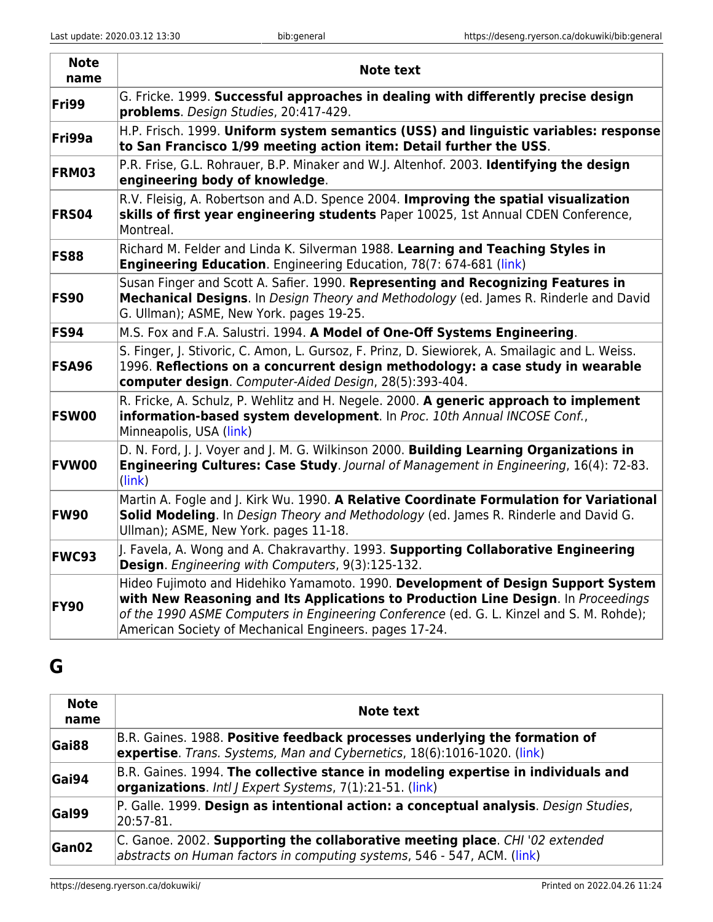| <b>Note</b><br>name | <b>Note text</b>                                                                                                                                                                                                                                                                                                            |
|---------------------|-----------------------------------------------------------------------------------------------------------------------------------------------------------------------------------------------------------------------------------------------------------------------------------------------------------------------------|
| Fri99               | G. Fricke. 1999. Successful approaches in dealing with differently precise design<br>problems. Design Studies, 20:417-429.                                                                                                                                                                                                  |
| Fri99a              | H.P. Frisch. 1999. Uniform system semantics (USS) and linguistic variables: response<br>to San Francisco 1/99 meeting action item: Detail further the USS.                                                                                                                                                                  |
| <b>FRM03</b>        | P.R. Frise, G.L. Rohrauer, B.P. Minaker and W.J. Altenhof. 2003. Identifying the design<br>engineering body of knowledge.                                                                                                                                                                                                   |
| <b>FRS04</b>        | R.V. Fleisig, A. Robertson and A.D. Spence 2004. Improving the spatial visualization<br>skills of first year engineering students Paper 10025, 1st Annual CDEN Conference,<br>Montreal.                                                                                                                                     |
| <b>FS88</b>         | Richard M. Felder and Linda K. Silverman 1988. Learning and Teaching Styles in<br><b>Engineering Education</b> . Engineering Education, 78(7: 674-681 (link)                                                                                                                                                                |
| <b>FS90</b>         | Susan Finger and Scott A. Safier. 1990. Representing and Recognizing Features in<br>Mechanical Designs. In Design Theory and Methodology (ed. James R. Rinderle and David<br>G. Ullman); ASME, New York. pages 19-25.                                                                                                       |
| <b>FS94</b>         | M.S. Fox and F.A. Salustri. 1994. A Model of One-Off Systems Engineering.                                                                                                                                                                                                                                                   |
| <b>FSA96</b>        | S. Finger, J. Stivoric, C. Amon, L. Gursoz, F. Prinz, D. Siewiorek, A. Smailagic and L. Weiss.<br>1996. Reflections on a concurrent design methodology: a case study in wearable<br>computer design. Computer-Aided Design, 28(5):393-404.                                                                                  |
| <b>FSW00</b>        | R. Fricke, A. Schulz, P. Wehlitz and H. Negele. 2000. A generic approach to implement<br>information-based system development. In Proc. 10th Annual INCOSE Conf.,<br>Minneapolis, USA (link)                                                                                                                                |
| <b>FVW00</b>        | D. N. Ford, J. J. Voyer and J. M. G. Wilkinson 2000. Building Learning Organizations in<br><b>Engineering Cultures: Case Study</b> . Journal of Management in Engineering, 16(4): 72-83.<br>(link)                                                                                                                          |
| <b>FW90</b>         | Martin A. Fogle and J. Kirk Wu. 1990. A Relative Coordinate Formulation for Variational<br>Solid Modeling. In Design Theory and Methodology (ed. James R. Rinderle and David G.<br>Ullman); ASME, New York. pages 11-18.                                                                                                    |
| <b>FWC93</b>        | J. Favela, A. Wong and A. Chakravarthy. 1993. Supporting Collaborative Engineering<br>Design. Engineering with Computers, 9(3):125-132.                                                                                                                                                                                     |
| <b>FY90</b>         | Hideo Fujimoto and Hidehiko Yamamoto. 1990. Development of Design Support System<br>with New Reasoning and Its Applications to Production Line Design. In Proceedings<br>of the 1990 ASME Computers in Engineering Conference (ed. G. L. Kinzel and S. M. Rohde);<br>American Society of Mechanical Engineers. pages 17-24. |

### <span id="page-21-1"></span><span id="page-21-0"></span>**G**

| <b>Note</b><br>name | Note text                                                                                                                                               |
|---------------------|---------------------------------------------------------------------------------------------------------------------------------------------------------|
| Gai88               | B.R. Gaines. 1988. Positive feedback processes underlying the formation of<br>expertise. Trans. Systems, Man and Cybernetics, 18(6):1016-1020. (link)   |
| Gai94               | B.R. Gaines. 1994. The collective stance in modeling expertise in individuals and<br>organizations. Intl J Expert Systems, 7(1):21-51. (link)           |
| Gal99               | P. Galle. 1999. Design as intentional action: a conceptual analysis. Design Studies,<br>20:57-81.                                                       |
| Gan02               | C. Ganoe. 2002. Supporting the collaborative meeting place. CHI '02 extended<br>abstracts on Human factors in computing systems, 546 - 547, ACM. (link) |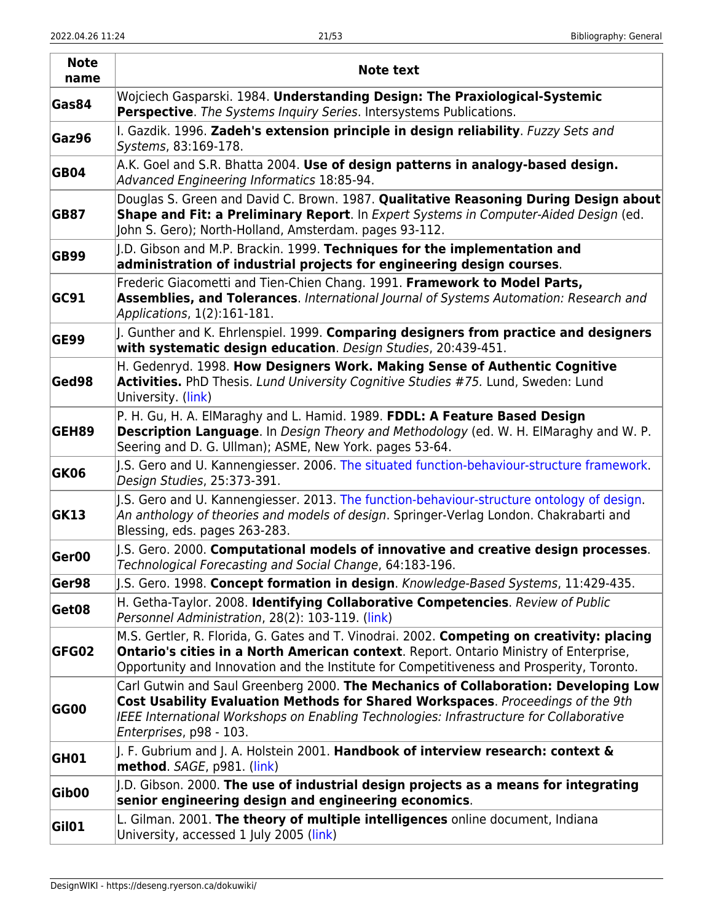| <b>Note</b><br>name | <b>Note text</b>                                                                                                                                                                                                                                                                             |
|---------------------|----------------------------------------------------------------------------------------------------------------------------------------------------------------------------------------------------------------------------------------------------------------------------------------------|
| Gas84               | Wojciech Gasparski. 1984. Understanding Design: The Praxiological-Systemic<br>Perspective. The Systems Inquiry Series. Intersystems Publications.                                                                                                                                            |
| Gaz96               | I. Gazdik. 1996. Zadeh's extension principle in design reliability. Fuzzy Sets and<br>Systems, 83:169-178.                                                                                                                                                                                   |
| GB04                | A.K. Goel and S.R. Bhatta 2004. Use of design patterns in analogy-based design.<br>Advanced Engineering Informatics 18:85-94.                                                                                                                                                                |
| GB87                | Douglas S. Green and David C. Brown. 1987. Qualitative Reasoning During Design about<br>Shape and Fit: a Preliminary Report. In Expert Systems in Computer-Aided Design (ed.<br>John S. Gero); North-Holland, Amsterdam. pages 93-112.                                                       |
| GB99                | J.D. Gibson and M.P. Brackin. 1999. Techniques for the implementation and<br>administration of industrial projects for engineering design courses.                                                                                                                                           |
| GC91                | Frederic Giacometti and Tien-Chien Chang. 1991. Framework to Model Parts,<br>Assemblies, and Tolerances. International Journal of Systems Automation: Research and<br>Applications, 1(2):161-181.                                                                                            |
| <b>GE99</b>         | J. Gunther and K. Ehrlenspiel. 1999. Comparing designers from practice and designers<br>with systematic design education. Design Studies, 20:439-451.                                                                                                                                        |
| Ged98               | H. Gedenryd. 1998. How Designers Work. Making Sense of Authentic Cognitive<br>Activities. PhD Thesis. Lund University Cognitive Studies #75. Lund, Sweden: Lund<br>University. (link)                                                                                                        |
| GEH89               | P. H. Gu, H. A. ElMaraghy and L. Hamid. 1989. FDDL: A Feature Based Design<br>Description Language. In Design Theory and Methodology (ed. W. H. ElMaraghy and W. P.<br>Seering and D. G. Ullman); ASME, New York. pages 53-64.                                                               |
| GK06                | J.S. Gero and U. Kannengiesser. 2006. The situated function-behaviour-structure framework.<br>Design Studies, 25:373-391.                                                                                                                                                                    |
| <b>GK13</b>         | J.S. Gero and U. Kannengiesser. 2013. The function-behaviour-structure ontology of design.<br>An anthology of theories and models of design. Springer-Verlag London. Chakrabarti and<br>Blessing, eds. pages 263-283.                                                                        |
| Ger00               | J.S. Gero. 2000. Computational models of innovative and creative design processes.<br>Technological Forecasting and Social Change, 64:183-196.                                                                                                                                               |
| Ger98               | [J.S. Gero. 1998. Concept formation in design. Knowledge-Based Systems, 11:429-435.                                                                                                                                                                                                          |
| Get08               | H. Getha-Taylor. 2008. Identifying Collaborative Competencies. Review of Public<br>Personnel Administration, 28(2): 103-119. (link)                                                                                                                                                          |
| GFG02               | M.S. Gertler, R. Florida, G. Gates and T. Vinodrai. 2002. Competing on creativity: placing<br>Ontario's cities in a North American context. Report. Ontario Ministry of Enterprise,<br>Opportunity and Innovation and the Institute for Competitiveness and Prosperity, Toronto.             |
| GG00                | Carl Gutwin and Saul Greenberg 2000. The Mechanics of Collaboration: Developing Low<br>Cost Usability Evaluation Methods for Shared Workspaces. Proceedings of the 9th<br>IEEE International Workshops on Enabling Technologies: Infrastructure for Collaborative<br>Enterprises, p98 - 103. |
| GH01                | J. F. Gubrium and J. A. Holstein 2001. Handbook of interview research: context &<br>method. SAGE, p981. (link)                                                                                                                                                                               |
| Gib00               | J.D. Gibson. 2000. The use of industrial design projects as a means for integrating<br>senior engineering design and engineering economics.                                                                                                                                                  |
| Gil01               | L. Gilman. 2001. The theory of multiple intelligences online document, Indiana<br>University, accessed 1 July 2005 (link)                                                                                                                                                                    |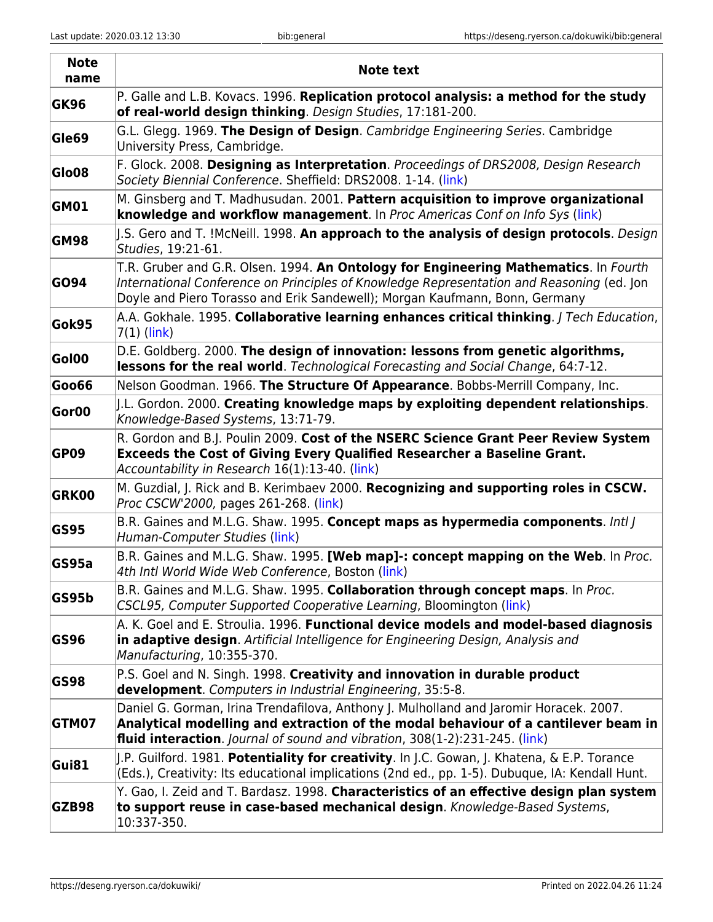<span id="page-23-0"></span>

| <b>Note</b><br>name | Note text                                                                                                                                                                                                                                                        |
|---------------------|------------------------------------------------------------------------------------------------------------------------------------------------------------------------------------------------------------------------------------------------------------------|
| <b>GK96</b>         | P. Galle and L.B. Kovacs. 1996. Replication protocol analysis: a method for the study<br>of real-world design thinking. Design Studies, 17:181-200.                                                                                                              |
| Gle69               | G.L. Glegg. 1969. The Design of Design. Cambridge Engineering Series. Cambridge<br>University Press, Cambridge.                                                                                                                                                  |
| Glo <sub>08</sub>   | F. Glock. 2008. Designing as Interpretation. Proceedings of DRS2008, Design Research<br>Society Biennial Conference. Sheffield: DRS2008. 1-14. (link)                                                                                                            |
| <b>GM01</b>         | M. Ginsberg and T. Madhusudan. 2001. Pattern acquisition to improve organizational<br>knowledge and workflow management. In Proc Americas Conf on Info Sys (link)                                                                                                |
| <b>GM98</b>         | J.S. Gero and T. !McNeill. 1998. An approach to the analysis of design protocols. Design<br>Studies, 19:21-61.                                                                                                                                                   |
| GO94                | T.R. Gruber and G.R. Olsen. 1994. An Ontology for Engineering Mathematics. In Fourth<br>International Conference on Principles of Knowledge Representation and Reasoning (ed. Jon<br>Doyle and Piero Torasso and Erik Sandewell); Morgan Kaufmann, Bonn, Germany |
| Gok95               | A.A. Gokhale. 1995. Collaborative learning enhances critical thinking. J Tech Education,<br>$7(1)$ (link)                                                                                                                                                        |
| Gol00               | D.E. Goldberg. 2000. The design of innovation: lessons from genetic algorithms,<br>lessons for the real world. Technological Forecasting and Social Change, 64:7-12.                                                                                             |
| Goo66               | Nelson Goodman. 1966. The Structure Of Appearance. Bobbs-Merrill Company, Inc.                                                                                                                                                                                   |
| Gor <sub>00</sub>   | J.L. Gordon. 2000. Creating knowledge maps by exploiting dependent relationships.<br>Knowledge-Based Systems, 13:71-79.                                                                                                                                          |
| GP09                | R. Gordon and B.J. Poulin 2009. Cost of the NSERC Science Grant Peer Review System<br>Exceeds the Cost of Giving Every Qualified Researcher a Baseline Grant.<br>Accountability in Research 16(1):13-40. (link)                                                  |
| GRK00               | M. Guzdial, J. Rick and B. Kerimbaev 2000. Recognizing and supporting roles in CSCW.<br>Proc CSCW'2000, pages 261-268. (link)                                                                                                                                    |
| <b>GS95</b>         | B.R. Gaines and M.L.G. Shaw. 1995. Concept maps as hypermedia components. Intl J<br>Human-Computer Studies (link)                                                                                                                                                |
| GS95a               | B.R. Gaines and M.L.G. Shaw. 1995. [Web map]-: concept mapping on the Web. In Proc.<br>4th Intl World Wide Web Conference, Boston (link)                                                                                                                         |
| GS95b               | B.R. Gaines and M.L.G. Shaw. 1995. Collaboration through concept maps. In Proc.<br>CSCL95, Computer Supported Cooperative Learning, Bloomington (link)                                                                                                           |
| GS96                | A. K. Goel and E. Stroulia. 1996. Functional device models and model-based diagnosis<br>in adaptive design. Artificial Intelligence for Engineering Design, Analysis and<br>Manufacturing, 10:355-370.                                                           |
| <b>GS98</b>         | P.S. Goel and N. Singh. 1998. Creativity and innovation in durable product<br>development. Computers in Industrial Engineering, 35:5-8.                                                                                                                          |
| GTM07               | Daniel G. Gorman, Irina Trendafilova, Anthony J. Mulholland and Jaromir Horacek. 2007.<br>Analytical modelling and extraction of the modal behaviour of a cantilever beam in<br>fluid interaction. Journal of sound and vibration, 308(1-2):231-245. (link)      |
| Gui81               | J.P. Guilford. 1981. Potentiality for creativity. In J.C. Gowan, J. Khatena, & E.P. Torance<br>(Eds.), Creativity: Its educational implications (2nd ed., pp. 1-5). Dubuque, IA: Kendall Hunt.                                                                   |
| GZB98               | Y. Gao, I. Zeid and T. Bardasz. 1998. Characteristics of an effective design plan system<br>to support reuse in case-based mechanical design. Knowledge-Based Systems,<br>10:337-350.                                                                            |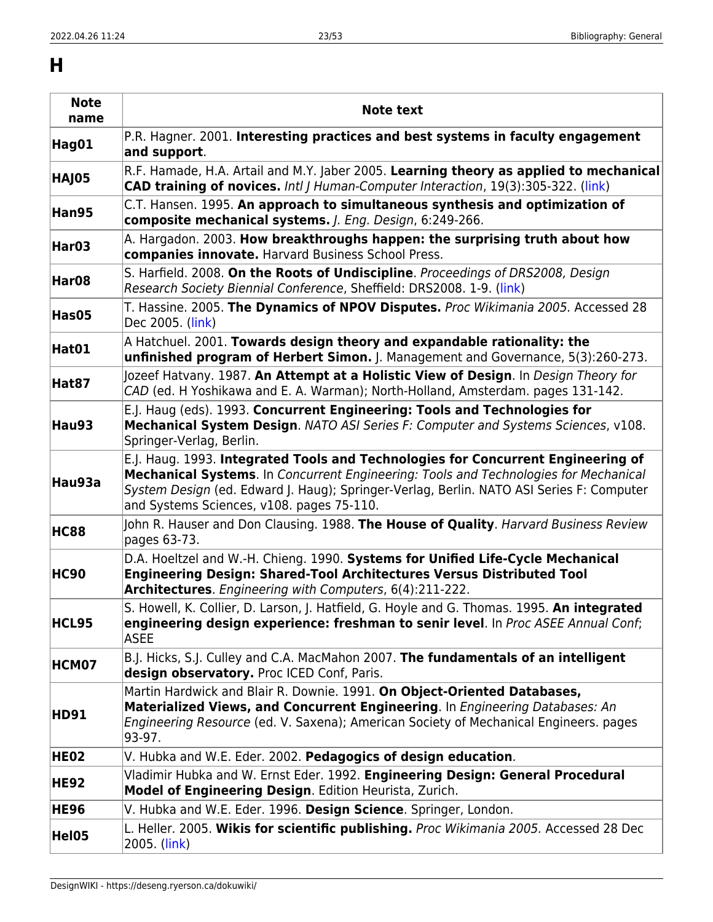<span id="page-24-0"></span>**H**

| <b>Note</b><br>name | Note text                                                                                                                                                                                                                                                                                                         |
|---------------------|-------------------------------------------------------------------------------------------------------------------------------------------------------------------------------------------------------------------------------------------------------------------------------------------------------------------|
| Hag01               | P.R. Hagner. 2001. Interesting practices and best systems in faculty engagement<br>and support.                                                                                                                                                                                                                   |
| <b>HAJ05</b>        | R.F. Hamade, H.A. Artail and M.Y. Jaber 2005. Learning theory as applied to mechanical<br>CAD training of novices. Intl J Human-Computer Interaction, 19(3):305-322. (link)                                                                                                                                       |
| Han95               | C.T. Hansen. 1995. An approach to simultaneous synthesis and optimization of<br>composite mechanical systems. J. Eng. Design, 6:249-266.                                                                                                                                                                          |
| Har <sub>03</sub>   | A. Hargadon. 2003. How breakthroughs happen: the surprising truth about how<br>companies innovate. Harvard Business School Press.                                                                                                                                                                                 |
| Har <sub>08</sub>   | S. Harfield. 2008. On the Roots of Undiscipline. Proceedings of DRS2008, Design<br>Research Society Biennial Conference, Sheffield: DRS2008. 1-9. (link)                                                                                                                                                          |
| Has05               | T. Hassine. 2005. The Dynamics of NPOV Disputes. Proc Wikimania 2005. Accessed 28<br>Dec 2005. (link)                                                                                                                                                                                                             |
| Hat01               | A Hatchuel. 2001. Towards design theory and expandable rationality: the<br>unfinished program of Herbert Simon. J. Management and Governance, 5(3):260-273.                                                                                                                                                       |
| Hat87               | Jozeef Hatvany. 1987. An Attempt at a Holistic View of Design. In Design Theory for<br>CAD (ed. H Yoshikawa and E. A. Warman); North-Holland, Amsterdam. pages 131-142.                                                                                                                                           |
| Hau93               | E.J. Haug (eds). 1993. Concurrent Engineering: Tools and Technologies for<br>Mechanical System Design. NATO ASI Series F: Computer and Systems Sciences, v108.<br>Springer-Verlag, Berlin.                                                                                                                        |
| Hau93a              | E.J. Haug. 1993. Integrated Tools and Technologies for Concurrent Engineering of<br>Mechanical Systems. In Concurrent Engineering: Tools and Technologies for Mechanical<br>System Design (ed. Edward J. Haug); Springer-Verlag, Berlin. NATO ASI Series F: Computer<br>and Systems Sciences, v108. pages 75-110. |
| <b>HC88</b>         | John R. Hauser and Don Clausing. 1988. The House of Quality. Harvard Business Review<br>pages 63-73.                                                                                                                                                                                                              |
| <b>HC90</b>         | D.A. Hoeltzel and W.-H. Chieng. 1990. Systems for Unified Life-Cycle Mechanical<br><b>Engineering Design: Shared-Tool Architectures Versus Distributed Tool</b><br>Architectures. Engineering with Computers, 6(4):211-222.                                                                                       |
| HCL95               | S. Howell, K. Collier, D. Larson, J. Hatfield, G. Hoyle and G. Thomas. 1995. An integrated<br>engineering design experience: freshman to senir level. In Proc ASEE Annual Conf;<br><b>ASEE</b>                                                                                                                    |
| HCM07               | B.J. Hicks, S.J. Culley and C.A. MacMahon 2007. The fundamentals of an intelligent<br>design observatory. Proc ICED Conf, Paris.                                                                                                                                                                                  |
| <b>HD91</b>         | Martin Hardwick and Blair R. Downie. 1991. On Object-Oriented Databases,<br>Materialized Views, and Concurrent Engineering. In Engineering Databases: An<br>Engineering Resource (ed. V. Saxena); American Society of Mechanical Engineers. pages<br>93-97.                                                       |
| HE02                | V. Hubka and W.E. Eder. 2002. Pedagogics of design education.                                                                                                                                                                                                                                                     |
| <b>HE92</b>         | Vladimir Hubka and W. Ernst Eder. 1992. Engineering Design: General Procedural<br>Model of Engineering Design. Edition Heurista, Zurich.                                                                                                                                                                          |
| <b>HE96</b>         | V. Hubka and W.E. Eder. 1996. Design Science. Springer, London.                                                                                                                                                                                                                                                   |
| Hel05               | L. Heller. 2005. Wikis for scientific publishing. Proc Wikimania 2005. Accessed 28 Dec<br>2005. (link)                                                                                                                                                                                                            |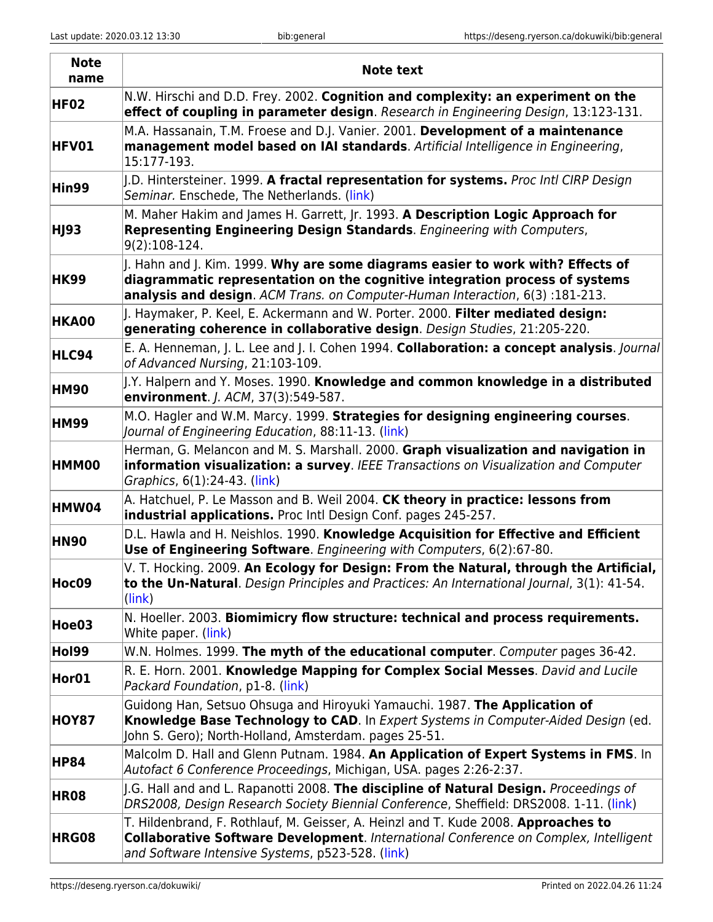| <b>Note</b><br>name | Note text                                                                                                                                                                                                                                      |
|---------------------|------------------------------------------------------------------------------------------------------------------------------------------------------------------------------------------------------------------------------------------------|
| <b>HF02</b>         | N.W. Hirschi and D.D. Frey. 2002. Cognition and complexity: an experiment on the<br>effect of coupling in parameter design. Research in Engineering Design, 13:123-131.                                                                        |
| HFV01               | M.A. Hassanain, T.M. Froese and D.J. Vanier. 2001. Development of a maintenance<br>management model based on IAI standards. Artificial Intelligence in Engineering,<br>15:177-193.                                                             |
| Hin99               | J.D. Hintersteiner. 1999. A fractal representation for systems. Proc Intl CIRP Design<br>Seminar. Enschede, The Netherlands. (link)                                                                                                            |
| HJ93                | M. Maher Hakim and James H. Garrett, Jr. 1993. A Description Logic Approach for<br>Representing Engineering Design Standards. Engineering with Computers,<br>$9(2):108-124.$                                                                   |
| <b>HK99</b>         | J. Hahn and J. Kim. 1999. Why are some diagrams easier to work with? Effects of<br>diagrammatic representation on the cognitive integration process of systems<br>analysis and design. ACM Trans. on Computer-Human Interaction, 6(3):181-213. |
| <b>HKA00</b>        | J. Haymaker, P. Keel, E. Ackermann and W. Porter. 2000. Filter mediated design:<br>generating coherence in collaborative design. Design Studies, 21:205-220.                                                                                   |
| HLC94               | E. A. Henneman, J. L. Lee and J. I. Cohen 1994. Collaboration: a concept analysis. Journal<br>of Advanced Nursing, 21:103-109.                                                                                                                 |
| <b>HM90</b>         | J.Y. Halpern and Y. Moses. 1990. Knowledge and common knowledge in a distributed<br>environment. J. ACM, 37(3):549-587.                                                                                                                        |
| <b>HM99</b>         | M.O. Hagler and W.M. Marcy. 1999. Strategies for designing engineering courses.<br>Journal of Engineering Education, 88:11-13. (link)                                                                                                          |
| HMM00               | Herman, G. Melancon and M. S. Marshall. 2000. Graph visualization and navigation in<br>information visualization: a survey. IEEE Transactions on Visualization and Computer<br>Graphics, 6(1):24-43. (link)                                    |
| HMW04               | A. Hatchuel, P. Le Masson and B. Weil 2004. CK theory in practice: lessons from<br>industrial applications. Proc Intl Design Conf. pages 245-257.                                                                                              |
| <b>HN90</b>         | D.L. Hawla and H. Neishlos. 1990. Knowledge Acquisition for Effective and Efficient<br>Use of Engineering Software. Engineering with Computers, 6(2):67-80.                                                                                    |
| Hoc09               | V. T. Hocking. 2009. An Ecology for Design: From the Natural, through the Artificial,<br>to the Un-Natural. Design Principles and Practices: An International Journal, 3(1): 41-54.<br>(link)                                                  |
| Hoe03               | N. Hoeller. 2003. Biomimicry flow structure: technical and process requirements.<br>White paper. (link)                                                                                                                                        |
| <b>Hol99</b>        | W.N. Holmes. 1999. The myth of the educational computer. Computer pages 36-42.                                                                                                                                                                 |
| Hor01               | R. E. Horn. 2001. Knowledge Mapping for Complex Social Messes. David and Lucile<br>Packard Foundation, p1-8. (link)                                                                                                                            |
| <b>HOY87</b>        | Guidong Han, Setsuo Ohsuga and Hiroyuki Yamauchi. 1987. The Application of<br>Knowledge Base Technology to CAD. In Expert Systems in Computer-Aided Design (ed.<br>John S. Gero); North-Holland, Amsterdam. pages 25-51.                       |
| <b>HP84</b>         | Malcolm D. Hall and Glenn Putnam. 1984. An Application of Expert Systems in FMS. In<br>Autofact 6 Conference Proceedings, Michigan, USA. pages 2:26-2:37.                                                                                      |
| <b>HR08</b>         | J.G. Hall and and L. Rapanotti 2008. The discipline of Natural Design. Proceedings of<br>DRS2008, Design Research Society Biennial Conference, Sheffield: DRS2008. 1-11. (link)                                                                |
| <b>HRG08</b>        | T. Hildenbrand, F. Rothlauf, M. Geisser, A. Heinzl and T. Kude 2008. Approaches to<br>Collaborative Software Development. International Conference on Complex, Intelligent<br>and Software Intensive Systems, p523-528. (link)                 |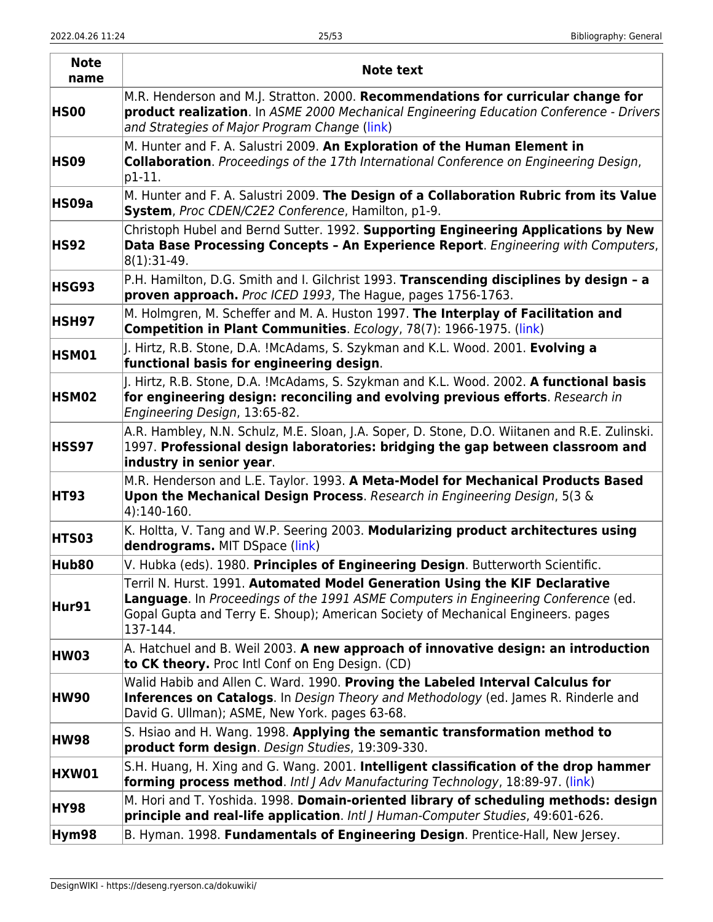| <b>Note</b><br>name | <b>Note text</b>                                                                                                                                                                                                                                                  |
|---------------------|-------------------------------------------------------------------------------------------------------------------------------------------------------------------------------------------------------------------------------------------------------------------|
| <b>HS00</b>         | M.R. Henderson and M.J. Stratton. 2000. Recommendations for curricular change for<br>product realization. In ASME 2000 Mechanical Engineering Education Conference - Drivers<br>and Strategies of Major Program Change (link)                                     |
| <b>HS09</b>         | M. Hunter and F. A. Salustri 2009. An Exploration of the Human Element in<br><b>Collaboration</b> . Proceedings of the 17th International Conference on Engineering Design,<br>p1-11.                                                                             |
| HS09a               | M. Hunter and F. A. Salustri 2009. The Design of a Collaboration Rubric from its Value<br>System, Proc CDEN/C2E2 Conference, Hamilton, p1-9.                                                                                                                      |
| <b>HS92</b>         | Christoph Hubel and Bernd Sutter. 1992. Supporting Engineering Applications by New<br>Data Base Processing Concepts - An Experience Report. Engineering with Computers,<br>$8(1):31-49.$                                                                          |
| <b>HSG93</b>        | P.H. Hamilton, D.G. Smith and I. Gilchrist 1993. Transcending disciplines by design - a<br>proven approach. Proc ICED 1993, The Hague, pages 1756-1763.                                                                                                           |
| <b>HSH97</b>        | M. Holmgren, M. Scheffer and M. A. Huston 1997. The Interplay of Facilitation and<br>Competition in Plant Communities. Ecology, 78(7): 1966-1975. (link)                                                                                                          |
| <b>HSM01</b>        | J. Hirtz, R.B. Stone, D.A. !McAdams, S. Szykman and K.L. Wood. 2001. Evolving a<br>functional basis for engineering design.                                                                                                                                       |
| <b>HSM02</b>        | J. Hirtz, R.B. Stone, D.A. !McAdams, S. Szykman and K.L. Wood. 2002. A functional basis<br>for engineering design: reconciling and evolving previous efforts. Research in<br>Engineering Design, 13:65-82.                                                        |
| <b>HSS97</b>        | A.R. Hambley, N.N. Schulz, M.E. Sloan, J.A. Soper, D. Stone, D.O. Wiitanen and R.E. Zulinski.<br>1997. Professional design laboratories: bridging the gap between classroom and<br>industry in senior year.                                                       |
| <b>HT93</b>         | M.R. Henderson and L.E. Taylor. 1993. A Meta-Model for Mechanical Products Based<br>Upon the Mechanical Design Process. Research in Engineering Design, 5(3 &<br>4):140-160.                                                                                      |
| HTS03               | K. Holtta, V. Tang and W.P. Seering 2003. Modularizing product architectures using<br>dendrograms. MIT DSpace (link)                                                                                                                                              |
| Hub80               | V. Hubka (eds). 1980. Principles of Engineering Design. Butterworth Scientific.                                                                                                                                                                                   |
| Hur91               | Terril N. Hurst. 1991. Automated Model Generation Using the KIF Declarative<br>Language. In Proceedings of the 1991 ASME Computers in Engineering Conference (ed.<br>Gopal Gupta and Terry E. Shoup); American Society of Mechanical Engineers. pages<br>137-144. |
| <b>HW03</b>         | A. Hatchuel and B. Weil 2003. A new approach of innovative design: an introduction<br>to CK theory. Proc Intl Conf on Eng Design. (CD)                                                                                                                            |
| <b>HW90</b>         | Walid Habib and Allen C. Ward. 1990. Proving the Labeled Interval Calculus for<br><b>Inferences on Catalogs.</b> In Design Theory and Methodology (ed. James R. Rinderle and<br>David G. Ullman); ASME, New York. pages 63-68.                                    |
| <b>HW98</b>         | S. Hsiao and H. Wang. 1998. Applying the semantic transformation method to<br>product form design. Design Studies, 19:309-330.                                                                                                                                    |
| HXW01               | S.H. Huang, H. Xing and G. Wang. 2001. Intelligent classification of the drop hammer<br>forming process method. Intl J Adv Manufacturing Technology, 18:89-97. (link)                                                                                             |
| <b>HY98</b>         | M. Hori and T. Yoshida. 1998. Domain-oriented library of scheduling methods: design<br>principle and real-life application. Intl J Human-Computer Studies, 49:601-626.                                                                                            |
| Hym98               | B. Hyman. 1998. Fundamentals of Engineering Design. Prentice-Hall, New Jersey.                                                                                                                                                                                    |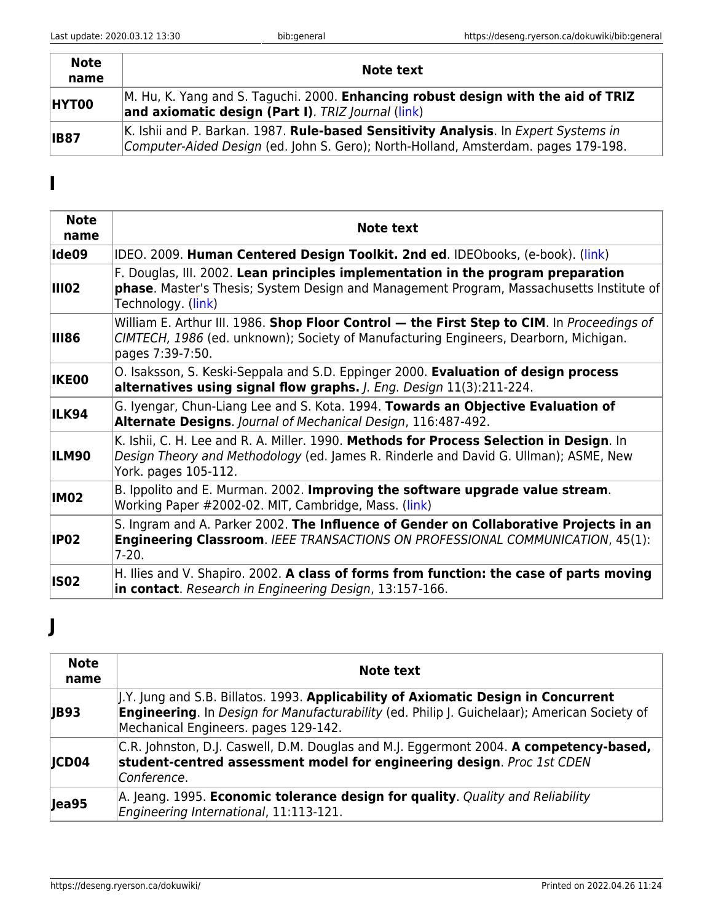| <b>Note</b><br>name | Note text                                                                                                                                                                 |
|---------------------|---------------------------------------------------------------------------------------------------------------------------------------------------------------------------|
| <b>HYT00</b>        | M. Hu, K. Yang and S. Taguchi. 2000. Enhancing robust design with the aid of TRIZ<br>and axiomatic design (Part I). TRIZ Journal (link)                                   |
| <b>IB87</b>         | K. Ishii and P. Barkan. 1987. Rule-based Sensitivity Analysis. In Expert Systems in<br>Computer-Aided Design (ed. John S. Gero); North-Holland, Amsterdam. pages 179-198. |

#### <span id="page-27-2"></span><span id="page-27-0"></span>**I**

| <b>Note</b><br>name | Note text                                                                                                                                                                                                  |
|---------------------|------------------------------------------------------------------------------------------------------------------------------------------------------------------------------------------------------------|
| Ide09               | IDEO. 2009. Human Centered Design Toolkit. 2nd ed. IDEObooks, (e-book). (link)                                                                                                                             |
| <b>III02</b>        | F. Douglas, III. 2002. Lean principles implementation in the program preparation<br><b>phase</b> . Master's Thesis; System Design and Management Program, Massachusetts Institute of<br>Technology. (link) |
| <b>III86</b>        | William E. Arthur III. 1986. Shop Floor Control - the First Step to CIM. In Proceedings of<br>CIMTECH, 1986 (ed. unknown); Society of Manufacturing Engineers, Dearborn, Michigan.<br>pages 7:39-7:50.     |
| <b>IKE00</b>        | O. Isaksson, S. Keski-Seppala and S.D. Eppinger 2000. Evaluation of design process<br>alternatives using signal flow graphs. J. Eng. Design 11(3):211-224.                                                 |
| ILK94               | G. Iyengar, Chun-Liang Lee and S. Kota. 1994. Towards an Objective Evaluation of<br>Alternate Designs. Journal of Mechanical Design, 116:487-492.                                                          |
| ILM90               | K. Ishii, C. H. Lee and R. A. Miller. 1990. Methods for Process Selection in Design. In<br>Design Theory and Methodology (ed. James R. Rinderle and David G. Ullman); ASME, New<br>York. pages 105-112.    |
| <b>IM02</b>         | B. Ippolito and E. Murman. 2002. Improving the software upgrade value stream.<br>Working Paper #2002-02. MIT, Cambridge, Mass. (link)                                                                      |
| <b>IP02</b>         | S. Ingram and A. Parker 2002. The Influence of Gender on Collaborative Projects in an<br>Engineering Classroom. IEEE TRANSACTIONS ON PROFESSIONAL COMMUNICATION, 45(1):<br>$7-20.$                         |
| <b>IS02</b>         | H. Ilies and V. Shapiro. 2002. A class of forms from function: the case of parts moving<br>in contact. Research in Engineering Design, 13:157-166.                                                         |

### <span id="page-27-3"></span><span id="page-27-1"></span>**J**

| <b>Note</b><br>name | Note text                                                                                                                                                                                                                  |
|---------------------|----------------------------------------------------------------------------------------------------------------------------------------------------------------------------------------------------------------------------|
| IB93                | J.Y. Jung and S.B. Billatos. 1993. Applicability of Axiomatic Design in Concurrent<br>Engineering. In Design for Manufacturability (ed. Philip J. Guichelaar); American Society of<br>Mechanical Engineers. pages 129-142. |
| ICDO4               | C.R. Johnston, D.J. Caswell, D.M. Douglas and M.J. Eggermont 2004. A competency-based,<br>student-centred assessment model for engineering design. Proc 1st CDEN<br>Conference.                                            |
| Jea95               | A. Jeang. 1995. <b>Economic tolerance design for quality</b> . Quality and Reliability<br>Engineering International, 11:113-121.                                                                                           |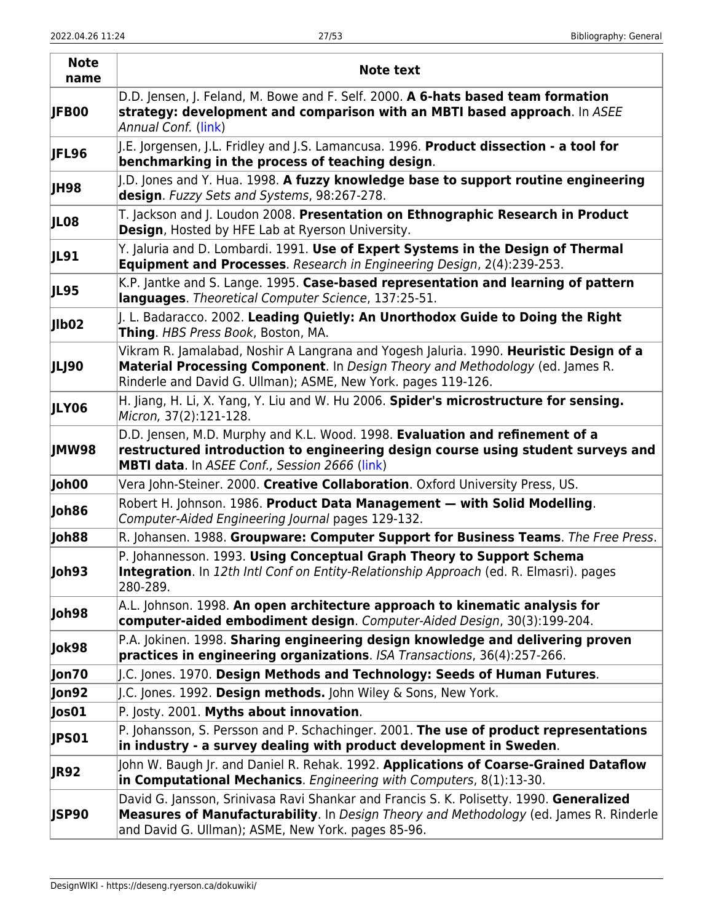| <b>Note</b><br>name | Note text                                                                                                                                                                                                                                |
|---------------------|------------------------------------------------------------------------------------------------------------------------------------------------------------------------------------------------------------------------------------------|
| JFB00               | D.D. Jensen, J. Feland, M. Bowe and F. Self. 2000. A 6-hats based team formation<br>strategy: development and comparison with an MBTI based approach. In ASEE<br>Annual Conf. (link)                                                     |
| JFL96               | J.E. Jorgensen, J.L. Fridley and J.S. Lamancusa. 1996. Product dissection - a tool for<br>benchmarking in the process of teaching design.                                                                                                |
| JH98                | J.D. Jones and Y. Hua. 1998. A fuzzy knowledge base to support routine engineering<br>design. Fuzzy Sets and Systems, 98:267-278.                                                                                                        |
| JL08                | T. Jackson and J. Loudon 2008. Presentation on Ethnographic Research in Product<br><b>Design</b> , Hosted by HFE Lab at Ryerson University.                                                                                              |
| JL91                | Y. Jaluria and D. Lombardi. 1991. Use of Expert Systems in the Design of Thermal<br><b>Equipment and Processes.</b> Research in Engineering Design, 2(4):239-253.                                                                        |
| JL95                | K.P. Jantke and S. Lange. 1995. Case-based representation and learning of pattern<br>languages. Theoretical Computer Science, 137:25-51.                                                                                                 |
| Jlb02               | J. L. Badaracco. 2002. Leading Quietly: An Unorthodox Guide to Doing the Right<br>Thing. HBS Press Book, Boston, MA.                                                                                                                     |
| JLJ90               | Vikram R. Jamalabad, Noshir A Langrana and Yogesh Jaluria. 1990. Heuristic Design of a<br>Material Processing Component. In Design Theory and Methodology (ed. James R.<br>Rinderle and David G. Ullman); ASME, New York. pages 119-126. |
| JLY06               | H. Jiang, H. Li, X. Yang, Y. Liu and W. Hu 2006. Spider's microstructure for sensing.<br>Micron, 37(2):121-128.                                                                                                                          |
| <b>JMW98</b>        | D.D. Jensen, M.D. Murphy and K.L. Wood. 1998. Evaluation and refinement of a<br>restructured introduction to engineering design course using student surveys and<br>MBTI data. In ASEE Conf., Session 2666 (link)                        |
| Joh00               | Vera John-Steiner. 2000. Creative Collaboration. Oxford University Press, US.                                                                                                                                                            |
| Joh86               | Robert H. Johnson. 1986. Product Data Management - with Solid Modelling.<br>Computer-Aided Engineering Journal pages 129-132.                                                                                                            |
| Joh88               | R. Johansen. 1988. Groupware: Computer Support for Business Teams. The Free Press.                                                                                                                                                       |
| Joh93               | P. Johannesson. 1993. Using Conceptual Graph Theory to Support Schema<br>Integration. In 12th Intl Conf on Entity-Relationship Approach (ed. R. Elmasri). pages<br>280-289.                                                              |
| Joh98               | A.L. Johnson. 1998. An open architecture approach to kinematic analysis for<br>computer-aided embodiment design. Computer-Aided Design, 30(3):199-204.                                                                                   |
| Jok98               | P.A. Jokinen. 1998. Sharing engineering design knowledge and delivering proven<br>practices in engineering organizations. ISA Transactions, 36(4):257-266.                                                                               |
| Jon70               | J.C. Jones. 1970. Design Methods and Technology: Seeds of Human Futures.                                                                                                                                                                 |
| Jon92               | J.C. Jones. 1992. Design methods. John Wiley & Sons, New York.                                                                                                                                                                           |
| Jos01               | P. Josty. 2001. Myths about innovation.                                                                                                                                                                                                  |
| JPS01               | P. Johansson, S. Persson and P. Schachinger. 2001. The use of product representations<br>in industry - a survey dealing with product development in Sweden.                                                                              |
| JR92                | John W. Baugh Jr. and Daniel R. Rehak. 1992. Applications of Coarse-Grained Dataflow<br>in Computational Mechanics. Engineering with Computers, 8(1):13-30.                                                                              |
| JSP90               | David G. Jansson, Srinivasa Ravi Shankar and Francis S. K. Polisetty. 1990. Generalized<br>Measures of Manufacturability. In Design Theory and Methodology (ed. James R. Rinderle<br>and David G. Ullman); ASME, New York. pages 85-96.  |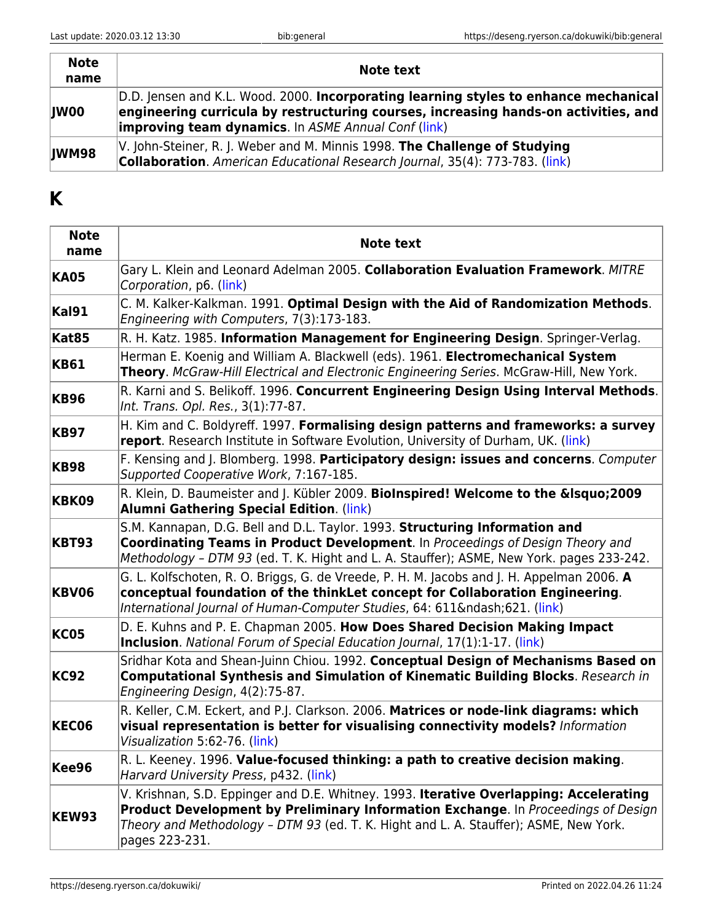| <b>Note</b><br>name | Note text                                                                                                                                                                                                                                 |
|---------------------|-------------------------------------------------------------------------------------------------------------------------------------------------------------------------------------------------------------------------------------------|
| <b>JW00</b>         | D.D. Jensen and K.L. Wood. 2000. Incorporating learning styles to enhance mechanical<br>engineering curricula by restructuring courses, increasing hands-on activities, and<br><b>improving team dynamics.</b> In ASME Annual Conf (link) |
| JWM98               | V. John-Steiner, R. J. Weber and M. Minnis 1998. The Challenge of Studying<br>Collaboration. American Educational Research Journal, 35(4): 773-783. (link)                                                                                |

#### <span id="page-29-1"></span><span id="page-29-0"></span>**K**

| <b>Note</b><br>name | <b>Note text</b>                                                                                                                                                                                                                                                                       |
|---------------------|----------------------------------------------------------------------------------------------------------------------------------------------------------------------------------------------------------------------------------------------------------------------------------------|
| <b>KA05</b>         | Gary L. Klein and Leonard Adelman 2005. Collaboration Evaluation Framework. MITRE<br>Corporation, p6. (link)                                                                                                                                                                           |
| Kal91               | C. M. Kalker-Kalkman. 1991. Optimal Design with the Aid of Randomization Methods.<br>Engineering with Computers, 7(3):173-183.                                                                                                                                                         |
| Kat85               | R. H. Katz. 1985. Information Management for Engineering Design. Springer-Verlag.                                                                                                                                                                                                      |
| <b>KB61</b>         | Herman E. Koenig and William A. Blackwell (eds). 1961. Electromechanical System<br>Theory. McGraw-Hill Electrical and Electronic Engineering Series. McGraw-Hill, New York.                                                                                                            |
| <b>KB96</b>         | R. Karni and S. Belikoff. 1996. Concurrent Engineering Design Using Interval Methods.<br>Int. Trans. Opl. Res., 3(1):77-87.                                                                                                                                                            |
| <b>KB97</b>         | H. Kim and C. Boldyreff. 1997. Formalising design patterns and frameworks: a survey<br>report. Research Institute in Software Evolution, University of Durham, UK. (link)                                                                                                              |
| <b>KB98</b>         | F. Kensing and J. Blomberg. 1998. Participatory design: issues and concerns. Computer<br>Supported Cooperative Work, 7:167-185.                                                                                                                                                        |
| <b>KBK09</b>        | R. Klein, D. Baumeister and J. Kübler 2009. BioInspired! Welcome to the &Isquo2009<br><b>Alumni Gathering Special Edition. (link)</b>                                                                                                                                                  |
| <b>KBT93</b>        | S.M. Kannapan, D.G. Bell and D.L. Taylor. 1993. Structuring Information and<br>Coordinating Teams in Product Development. In Proceedings of Design Theory and<br>Methodology - DTM 93 (ed. T. K. Hight and L. A. Stauffer); ASME, New York. pages 233-242.                             |
| <b>KBV06</b>        | G. L. Kolfschoten, R. O. Briggs, G. de Vreede, P. H. M. Jacobs and J. H. Appelman 2006. A<br>conceptual foundation of the thinkLet concept for Collaboration Engineering.<br>International Journal of Human-Computer Studies, 64: 611– 621. (link)                                     |
| <b>KC05</b>         | D. E. Kuhns and P. E. Chapman 2005. How Does Shared Decision Making Impact<br>Inclusion. National Forum of Special Education Journal, 17(1):1-17. (link)                                                                                                                               |
| <b>KC92</b>         | Sridhar Kota and Shean-Juinn Chiou. 1992. Conceptual Design of Mechanisms Based on<br><b>Computational Synthesis and Simulation of Kinematic Building Blocks. Research in</b><br>Engineering Design, 4(2):75-87.                                                                       |
| KEC06               | R. Keller, C.M. Eckert, and P.J. Clarkson. 2006. Matrices or node-link diagrams: which<br>visual representation is better for visualising connectivity models? Information<br>Visualization 5:62-76. (link)                                                                            |
| Kee96               | R. L. Keeney. 1996. Value-focused thinking: a path to creative decision making.<br>Harvard University Press, p432. (link)                                                                                                                                                              |
| KEW93               | V. Krishnan, S.D. Eppinger and D.E. Whitney. 1993. Iterative Overlapping: Accelerating<br>Product Development by Preliminary Information Exchange. In Proceedings of Design<br>Theory and Methodology - DTM 93 (ed. T. K. Hight and L. A. Stauffer); ASME, New York.<br>pages 223-231. |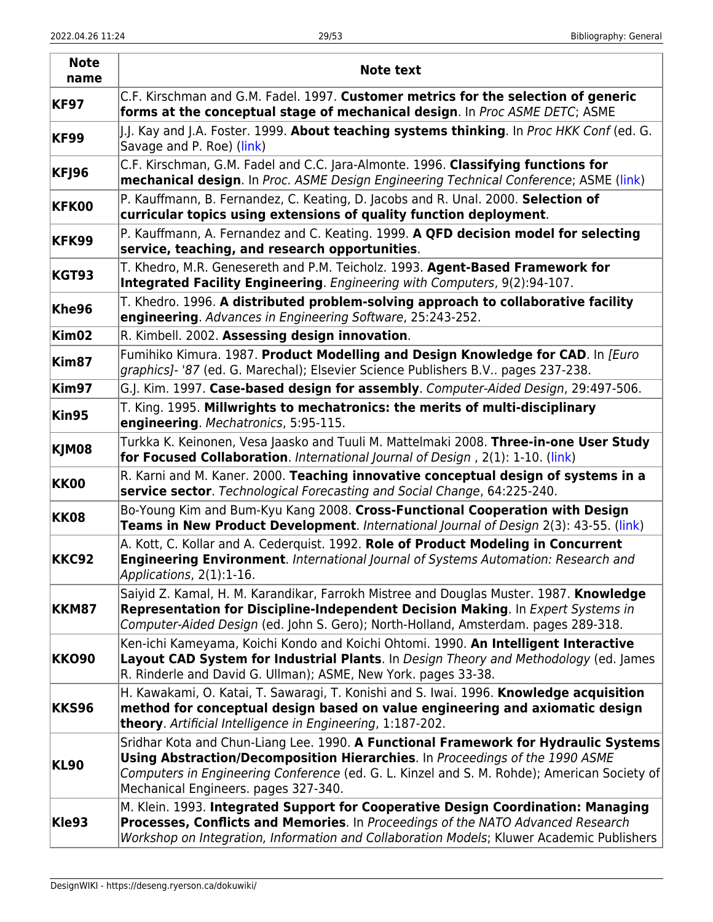| <b>Note</b><br>name | <b>Note text</b>                                                                                                                                                                                                                                                                                           |
|---------------------|------------------------------------------------------------------------------------------------------------------------------------------------------------------------------------------------------------------------------------------------------------------------------------------------------------|
| <b>KF97</b>         | C.F. Kirschman and G.M. Fadel. 1997. Customer metrics for the selection of generic<br>forms at the conceptual stage of mechanical design. In Proc ASME DETC; ASME                                                                                                                                          |
| <b>KF99</b>         | [.]. Kay and J.A. Foster. 1999. About teaching systems thinking. In Proc HKK Conf (ed. G.<br>Savage and P. Roe) (link)                                                                                                                                                                                     |
| KFJ96               | C.F. Kirschman, G.M. Fadel and C.C. Jara-Almonte. 1996. Classifying functions for<br>mechanical design. In Proc. ASME Design Engineering Technical Conference; ASME (link)                                                                                                                                 |
| KFK00               | P. Kauffmann, B. Fernandez, C. Keating, D. Jacobs and R. Unal. 2000. Selection of<br>curricular topics using extensions of quality function deployment.                                                                                                                                                    |
| <b>KFK99</b>        | P. Kauffmann, A. Fernandez and C. Keating. 1999. A QFD decision model for selecting<br>service, teaching, and research opportunities.                                                                                                                                                                      |
| <b>KGT93</b>        | T. Khedro, M.R. Genesereth and P.M. Teicholz. 1993. Agent-Based Framework for<br>Integrated Facility Engineering. Engineering with Computers, 9(2):94-107.                                                                                                                                                 |
| Khe96               | T. Khedro. 1996. A distributed problem-solving approach to collaborative facility<br>engineering. Advances in Engineering Software, 25:243-252.                                                                                                                                                            |
| Kim <sub>02</sub>   | R. Kimbell. 2002. Assessing design innovation.                                                                                                                                                                                                                                                             |
| Kim87               | Fumihiko Kimura. 1987. Product Modelling and Design Knowledge for CAD. In [Euro<br>graphics]- '87 (ed. G. Marechal); Elsevier Science Publishers B.V pages 237-238.                                                                                                                                        |
| Kim97               | G.J. Kim. 1997. Case-based design for assembly. Computer-Aided Design, 29:497-506.                                                                                                                                                                                                                         |
| Kin95               | T. King. 1995. Millwrights to mechatronics: the merits of multi-disciplinary<br>engineering. Mechatronics, 5:95-115.                                                                                                                                                                                       |
| KJM08               | Turkka K. Keinonen, Vesa Jaasko and Tuuli M. Mattelmaki 2008. Three-in-one User Study<br>for Focused Collaboration. International Journal of Design, 2(1): 1-10. (link)                                                                                                                                    |
| <b>KK00</b>         | R. Karni and M. Kaner. 2000. Teaching innovative conceptual design of systems in a<br>service sector. Technological Forecasting and Social Change, 64:225-240.                                                                                                                                             |
| <b>KK08</b>         | Bo-Young Kim and Bum-Kyu Kang 2008. Cross-Functional Cooperation with Design<br>Teams in New Product Development. International Journal of Design 2(3): 43-55. (link)                                                                                                                                      |
| <b>KKC92</b>        | A. Kott, C. Kollar and A. Cederquist. 1992. Role of Product Modeling in Concurrent<br>Engineering Environment. International Journal of Systems Automation: Research and<br>Applications, 2(1):1-16.                                                                                                       |
| <b>KKM87</b>        | Saiyid Z. Kamal, H. M. Karandikar, Farrokh Mistree and Douglas Muster. 1987. Knowledge<br>Representation for Discipline-Independent Decision Making. In Expert Systems in<br>Computer-Aided Design (ed. John S. Gero); North-Holland, Amsterdam. pages 289-318.                                            |
| <b>KKO90</b>        | Ken-ichi Kameyama, Koichi Kondo and Koichi Ohtomi. 1990. An Intelligent Interactive<br>Layout CAD System for Industrial Plants. In Design Theory and Methodology (ed. James<br>R. Rinderle and David G. Ullman); ASME, New York. pages 33-38.                                                              |
| <b>KKS96</b>        | H. Kawakami, O. Katai, T. Sawaragi, T. Konishi and S. Iwai. 1996. Knowledge acquisition<br>method for conceptual design based on value engineering and axiomatic design<br>theory. Artificial Intelligence in Engineering, 1:187-202.                                                                      |
| <b>KL90</b>         | Sridhar Kota and Chun-Liang Lee. 1990. A Functional Framework for Hydraulic Systems<br>Using Abstraction/Decomposition Hierarchies. In Proceedings of the 1990 ASME<br>Computers in Engineering Conference (ed. G. L. Kinzel and S. M. Rohde); American Society of<br>Mechanical Engineers. pages 327-340. |
| Kle93               | M. Klein. 1993. Integrated Support for Cooperative Design Coordination: Managing<br>Processes, Conflicts and Memories. In Proceedings of the NATO Advanced Research<br>Workshop on Integration, Information and Collaboration Models; Kluwer Academic Publishers                                           |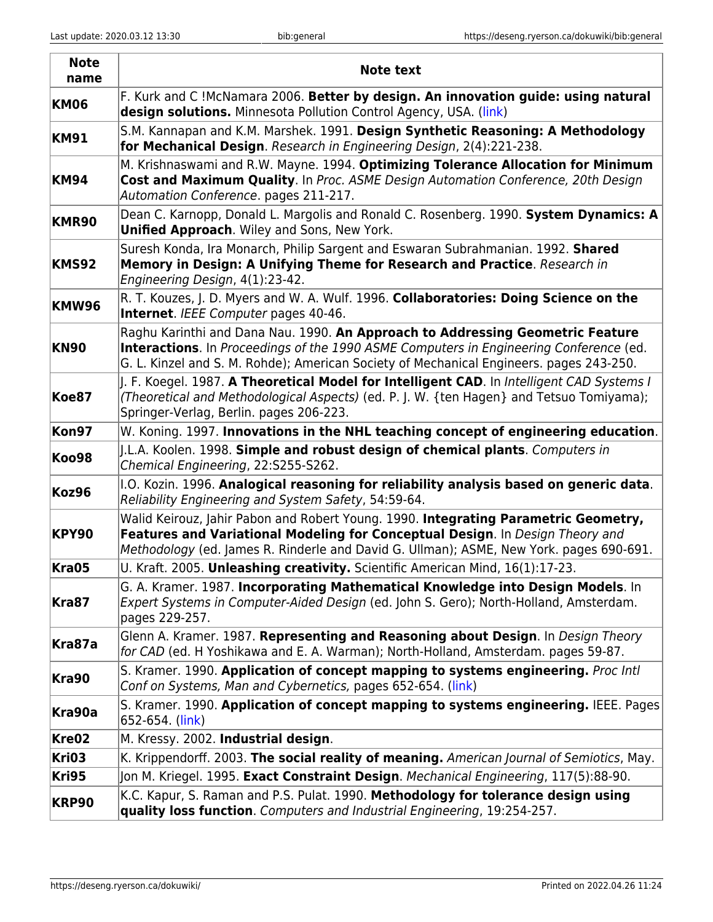| <b>Note</b><br>name | <b>Note text</b>                                                                                                                                                                                                                                                           |
|---------------------|----------------------------------------------------------------------------------------------------------------------------------------------------------------------------------------------------------------------------------------------------------------------------|
| <b>KM06</b>         | F. Kurk and C!McNamara 2006. Better by design. An innovation guide: using natural<br>design solutions. Minnesota Pollution Control Agency, USA. (link)                                                                                                                     |
| <b>KM91</b>         | S.M. Kannapan and K.M. Marshek. 1991. Design Synthetic Reasoning: A Methodology<br>for Mechanical Design. Research in Engineering Design, 2(4):221-238.                                                                                                                    |
| <b>KM94</b>         | M. Krishnaswami and R.W. Mayne. 1994. Optimizing Tolerance Allocation for Minimum<br>Cost and Maximum Quality. In Proc. ASME Design Automation Conference, 20th Design<br>Automation Conference. pages 211-217.                                                            |
| <b>KMR90</b>        | Dean C. Karnopp, Donald L. Margolis and Ronald C. Rosenberg. 1990. System Dynamics: A<br><b>Unified Approach.</b> Wiley and Sons, New York.                                                                                                                                |
| KMS92               | Suresh Konda, Ira Monarch, Philip Sargent and Eswaran Subrahmanian. 1992. Shared<br>Memory in Design: A Unifying Theme for Research and Practice. Research in<br>Engineering Design, 4(1):23-42.                                                                           |
| <b>KMW96</b>        | R. T. Kouzes, J. D. Myers and W. A. Wulf. 1996. Collaboratories: Doing Science on the<br><b>Internet.</b> IEEE Computer pages 40-46.                                                                                                                                       |
| <b>KN90</b>         | Raghu Karinthi and Dana Nau. 1990. An Approach to Addressing Geometric Feature<br><b>Interactions.</b> In Proceedings of the 1990 ASME Computers in Engineering Conference (ed.<br>G. L. Kinzel and S. M. Rohde); American Society of Mechanical Engineers. pages 243-250. |
| Koe87               | J. F. Koegel. 1987. A Theoretical Model for Intelligent CAD. In Intelligent CAD Systems I<br>(Theoretical and Methodological Aspects) (ed. P. J. W. {ten Hagen} and Tetsuo Tomiyama);<br>Springer-Verlag, Berlin. pages 206-223.                                           |
| Kon97               | W. Koning. 1997. Innovations in the NHL teaching concept of engineering education.                                                                                                                                                                                         |
| Koo98               | J.L.A. Koolen. 1998. Simple and robust design of chemical plants. Computers in<br>Chemical Engineering, 22:S255-S262.                                                                                                                                                      |
| Koz96               | I.O. Kozin. 1996. Analogical reasoning for reliability analysis based on generic data.<br>Reliability Engineering and System Safety, 54:59-64.                                                                                                                             |
| <b>KPY90</b>        | Walid Keirouz, Jahir Pabon and Robert Young. 1990. Integrating Parametric Geometry,<br>Features and Variational Modeling for Conceptual Design. In Design Theory and<br>Methodology (ed. James R. Rinderle and David G. Ullman); ASME, New York. pages 690-691.            |
| Kra05               | U. Kraft. 2005. Unleashing creativity. Scientific American Mind, 16(1):17-23.                                                                                                                                                                                              |
| Kra87               | G. A. Kramer. 1987. Incorporating Mathematical Knowledge into Design Models. In<br>Expert Systems in Computer-Aided Design (ed. John S. Gero); North-Holland, Amsterdam.<br>pages 229-257.                                                                                 |
| Kra87a              | Glenn A. Kramer. 1987. Representing and Reasoning about Design. In Design Theory<br>for CAD (ed. H Yoshikawa and E. A. Warman); North-Holland, Amsterdam. pages 59-87.                                                                                                     |
| Kra90               | S. Kramer. 1990. Application of concept mapping to systems engineering. Proc Intl<br>Conf on Systems, Man and Cybernetics, pages 652-654. (link)                                                                                                                           |
| Kra90a              | S. Kramer. 1990. Application of concept mapping to systems engineering. IEEE. Pages<br>652-654. (link)                                                                                                                                                                     |
| Kre02               | M. Kressy. 2002. Industrial design.                                                                                                                                                                                                                                        |
| Kri03               | K. Krippendorff. 2003. The social reality of meaning. American Journal of Semiotics, May.                                                                                                                                                                                  |
| Kri95               | Jon M. Kriegel. 1995. Exact Constraint Design. Mechanical Engineering, 117(5):88-90.                                                                                                                                                                                       |
| <b>KRP90</b>        | K.C. Kapur, S. Raman and P.S. Pulat. 1990. Methodology for tolerance design using<br>quality loss function. Computers and Industrial Engineering, 19:254-257.                                                                                                              |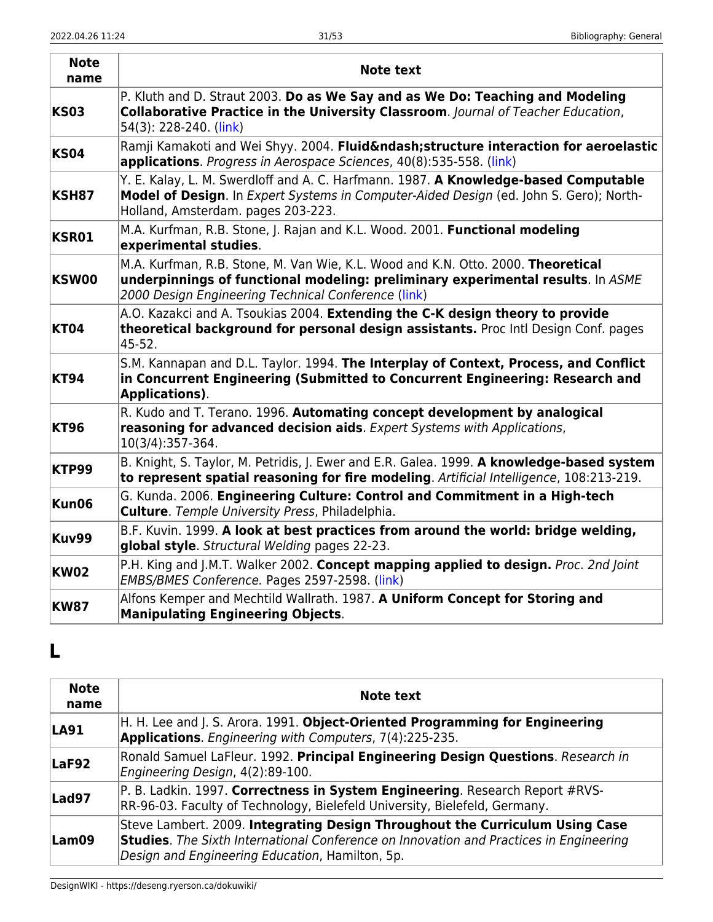| <b>Note</b><br>name | Note text                                                                                                                                                                                                                  |
|---------------------|----------------------------------------------------------------------------------------------------------------------------------------------------------------------------------------------------------------------------|
| KS03                | P. Kluth and D. Straut 2003. Do as We Say and as We Do: Teaching and Modeling<br>Collaborative Practice in the University Classroom. Journal of Teacher Education,<br>54(3): 228-240. (link)                               |
| KS04                | Ramji Kamakoti and Wei Shyy. 2004. Fluid–structure interaction for aeroelastic<br>applications. Progress in Aerospace Sciences, 40(8):535-558. (link)                                                                      |
| <b>KSH87</b>        | Y. E. Kalay, L. M. Swerdloff and A. C. Harfmann. 1987. A Knowledge-based Computable<br>Model of Design. In Expert Systems in Computer-Aided Design (ed. John S. Gero); North-<br>Holland, Amsterdam. pages 203-223.        |
| <b>KSR01</b>        | M.A. Kurfman, R.B. Stone, J. Rajan and K.L. Wood. 2001. Functional modeling<br>experimental studies.                                                                                                                       |
| <b>KSW00</b>        | M.A. Kurfman, R.B. Stone, M. Van Wie, K.L. Wood and K.N. Otto. 2000. Theoretical<br>underpinnings of functional modeling: preliminary experimental results. In ASME<br>2000 Design Engineering Technical Conference (link) |
| <b>KT04</b>         | A.O. Kazakci and A. Tsoukias 2004. Extending the C-K design theory to provide<br>theoretical background for personal design assistants. Proc Intl Design Conf. pages<br>45-52.                                             |
| <b>KT94</b>         | S.M. Kannapan and D.L. Taylor. 1994. The Interplay of Context, Process, and Conflict<br>in Concurrent Engineering (Submitted to Concurrent Engineering: Research and<br><b>Applications).</b>                              |
| <b>KT96</b>         | R. Kudo and T. Terano. 1996. Automating concept development by analogical<br>reasoning for advanced decision aids. Expert Systems with Applications,<br>10(3/4):357-364.                                                   |
| <b>KTP99</b>        | B. Knight, S. Taylor, M. Petridis, J. Ewer and E.R. Galea. 1999. A knowledge-based system<br>to represent spatial reasoning for fire modeling. Artificial Intelligence, 108:213-219.                                       |
| Kun06               | G. Kunda. 2006. Engineering Culture: Control and Commitment in a High-tech<br>Culture. Temple University Press, Philadelphia.                                                                                              |
| Kuv99               | B.F. Kuvin. 1999. A look at best practices from around the world: bridge welding,<br>global style. Structural Welding pages 22-23.                                                                                         |
| <b>KW02</b>         | P.H. King and J.M.T. Walker 2002. Concept mapping applied to design. Proc. 2nd Joint<br>EMBS/BMES Conference. Pages 2597-2598. (link)                                                                                      |
| <b>KW87</b>         | Alfons Kemper and Mechtild Wallrath. 1987. A Uniform Concept for Storing and<br><b>Manipulating Engineering Objects.</b>                                                                                                   |

#### <span id="page-32-1"></span><span id="page-32-0"></span>**L**

| <b>Note</b><br>name | Note text                                                                                                                                                                                                                         |
|---------------------|-----------------------------------------------------------------------------------------------------------------------------------------------------------------------------------------------------------------------------------|
| <b>LA91</b>         | H. H. Lee and J. S. Arora. 1991. Object-Oriented Programming for Engineering<br><b>Applications</b> . Engineering with Computers, 7(4):225-235.                                                                                   |
| LaF92               | Ronald Samuel LaFleur. 1992. Principal Engineering Design Questions. Research in<br>Engineering Design, 4(2):89-100.                                                                                                              |
| Lad97               | P. B. Ladkin. 1997. Correctness in System Engineering. Research Report #RVS-<br>RR-96-03. Faculty of Technology, Bielefeld University, Bielefeld, Germany.                                                                        |
| Lam09               | Steve Lambert. 2009. Integrating Design Throughout the Curriculum Using Case<br><b>Studies</b> . The Sixth International Conference on Innovation and Practices in Engineering<br>Design and Engineering Education, Hamilton, 5p. |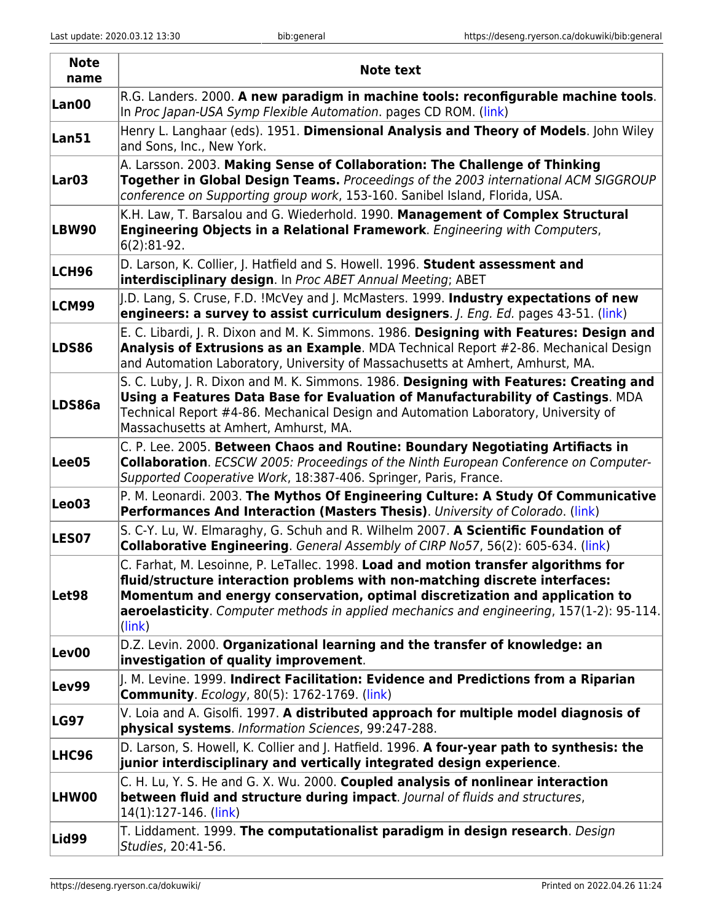| <b>Note</b><br>name | <b>Note text</b>                                                                                                                                                                                                                                                                                                                                       |
|---------------------|--------------------------------------------------------------------------------------------------------------------------------------------------------------------------------------------------------------------------------------------------------------------------------------------------------------------------------------------------------|
| Lan00               | R.G. Landers. 2000. A new paradigm in machine tools: reconfigurable machine tools.<br>In Proc Japan-USA Symp Flexible Automation. pages CD ROM. (link)                                                                                                                                                                                                 |
| Lan51               | Henry L. Langhaar (eds). 1951. Dimensional Analysis and Theory of Models. John Wiley<br>and Sons, Inc., New York.                                                                                                                                                                                                                                      |
| Lar <sub>03</sub>   | A. Larsson. 2003. Making Sense of Collaboration: The Challenge of Thinking<br>Together in Global Design Teams. Proceedings of the 2003 international ACM SIGGROUP<br>conference on Supporting group work, 153-160. Sanibel Island, Florida, USA.                                                                                                       |
| <b>LBW90</b>        | K.H. Law, T. Barsalou and G. Wiederhold. 1990. Management of Complex Structural<br>Engineering Objects in a Relational Framework. Engineering with Computers,<br>$6(2):81-92.$                                                                                                                                                                         |
| LCH96               | D. Larson, K. Collier, J. Hatfield and S. Howell. 1996. Student assessment and<br>interdisciplinary design. In Proc ABET Annual Meeting; ABET                                                                                                                                                                                                          |
| LCM99               | J.D. Lang, S. Cruse, F.D. !McVey and J. McMasters. 1999. Industry expectations of new<br>engineers: a survey to assist curriculum designers. J. Eng. Ed. pages 43-51. (link)                                                                                                                                                                           |
| <b>LDS86</b>        | E. C. Libardi, J. R. Dixon and M. K. Simmons. 1986. Designing with Features: Design and<br>Analysis of Extrusions as an Example. MDA Technical Report #2-86. Mechanical Design<br>and Automation Laboratory, University of Massachusetts at Amhert, Amhurst, MA.                                                                                       |
| LDS86a              | S. C. Luby, J. R. Dixon and M. K. Simmons. 1986. Designing with Features: Creating and<br>Using a Features Data Base for Evaluation of Manufacturability of Castings. MDA<br>Technical Report #4-86. Mechanical Design and Automation Laboratory, University of<br>Massachusetts at Amhert, Amhurst, MA.                                               |
| Lee05               | C. P. Lee. 2005. Between Chaos and Routine: Boundary Negotiating Artifiacts in<br>Collaboration. ECSCW 2005: Proceedings of the Ninth European Conference on Computer-<br>Supported Cooperative Work, 18:387-406. Springer, Paris, France.                                                                                                             |
| Leo03               | P. M. Leonardi. 2003. The Mythos Of Engineering Culture: A Study Of Communicative<br>Performances And Interaction (Masters Thesis). University of Colorado. (link)                                                                                                                                                                                     |
| <b>LES07</b>        | S. C-Y. Lu, W. Elmaraghy, G. Schuh and R. Wilhelm 2007. A Scientific Foundation of<br>Collaborative Engineering. General Assembly of CIRP No57, 56(2): 605-634. (link)                                                                                                                                                                                 |
| Let98               | C. Farhat, M. Lesoinne, P. LeTallec. 1998. Load and motion transfer algorithms for<br>fluid/structure interaction problems with non-matching discrete interfaces:<br>Momentum and energy conservation, optimal discretization and application to<br>aeroelasticity. Computer methods in applied mechanics and engineering, 157(1-2): 95-114.<br>(link) |
| Lev00               | D.Z. Levin. 2000. Organizational learning and the transfer of knowledge: an<br>investigation of quality improvement.                                                                                                                                                                                                                                   |
| Lev99               | I. M. Levine. 1999. Indirect Facilitation: Evidence and Predictions from a Riparian<br><b>Community</b> . Ecology, 80(5): 1762-1769. (link)                                                                                                                                                                                                            |
| <b>LG97</b>         | V. Loia and A. Gisolfi. 1997. A distributed approach for multiple model diagnosis of<br>physical systems. Information Sciences, 99:247-288.                                                                                                                                                                                                            |
| <b>LHC96</b>        | D. Larson, S. Howell, K. Collier and J. Hatfield. 1996. A four-year path to synthesis: the<br>junior interdisciplinary and vertically integrated design experience.                                                                                                                                                                                    |
| LHW00               | C. H. Lu, Y. S. He and G. X. Wu. 2000. Coupled analysis of nonlinear interaction<br>between fluid and structure during impact. Journal of fluids and structures,<br>$14(1):127-146.$ (link)                                                                                                                                                            |
| Lid99               | T. Liddament. 1999. The computationalist paradigm in design research. Design<br>Studies, 20:41-56.                                                                                                                                                                                                                                                     |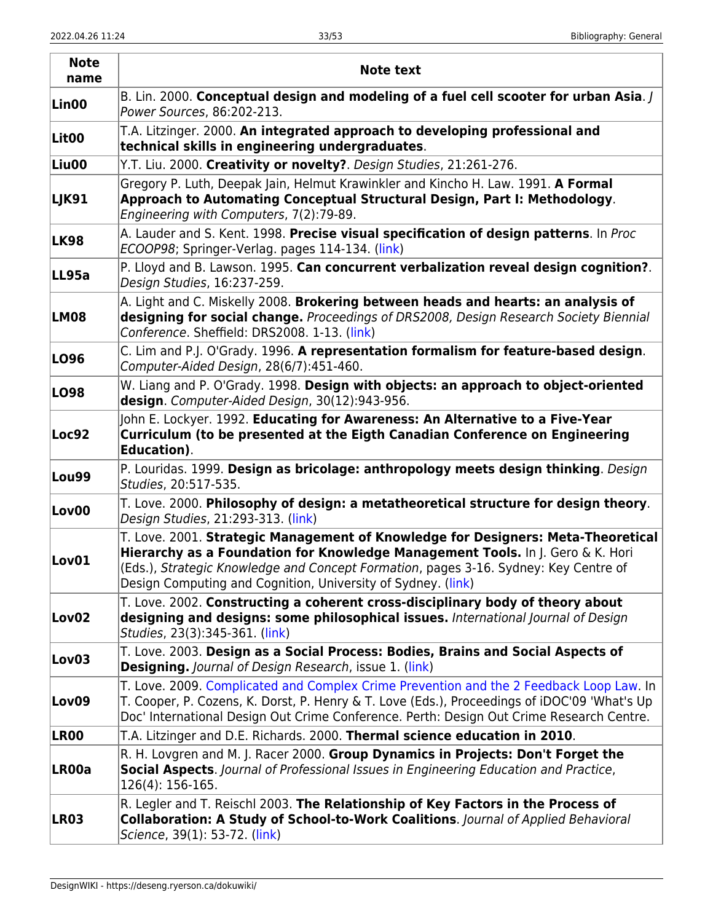| <b>Note</b><br>name | <b>Note text</b>                                                                                                                                                                                                                                                                                                           |
|---------------------|----------------------------------------------------------------------------------------------------------------------------------------------------------------------------------------------------------------------------------------------------------------------------------------------------------------------------|
| Lin00               | B. Lin. 2000. Conceptual design and modeling of a fuel cell scooter for urban Asia. /<br>Power Sources, 86:202-213.                                                                                                                                                                                                        |
| Lit <sub>00</sub>   | T.A. Litzinger. 2000. An integrated approach to developing professional and<br>technical skills in engineering undergraduates.                                                                                                                                                                                             |
| Liu00               | Y.T. Liu. 2000. Creativity or novelty?. Design Studies, 21:261-276.                                                                                                                                                                                                                                                        |
| <b>LJK91</b>        | Gregory P. Luth, Deepak Jain, Helmut Krawinkler and Kincho H. Law. 1991. A Formal<br>Approach to Automating Conceptual Structural Design, Part I: Methodology.<br>Engineering with Computers, 7(2):79-89.                                                                                                                  |
| <b>LK98</b>         | A. Lauder and S. Kent. 1998. Precise visual specification of design patterns. In Proc<br>ECOOP98; Springer-Verlag. pages 114-134. (link)                                                                                                                                                                                   |
| LL95a               | P. Lloyd and B. Lawson. 1995. Can concurrent verbalization reveal design cognition?.<br>Design Studies, 16:237-259.                                                                                                                                                                                                        |
| <b>LM08</b>         | A. Light and C. Miskelly 2008. Brokering between heads and hearts: an analysis of<br>designing for social change. Proceedings of DRS2008, Design Research Society Biennial<br>Conference. Sheffield: DRS2008. 1-13. (link)                                                                                                 |
| LO96                | C. Lim and P.J. O'Grady. 1996. A representation formalism for feature-based design.<br>Computer-Aided Design, 28(6/7):451-460.                                                                                                                                                                                             |
| LO98                | W. Liang and P. O'Grady. 1998. Design with objects: an approach to object-oriented<br>design. Computer-Aided Design, 30(12):943-956.                                                                                                                                                                                       |
| Loc92               | John E. Lockyer. 1992. Educating for Awareness: An Alternative to a Five-Year<br>Curriculum (to be presented at the Eigth Canadian Conference on Engineering<br><b>Education</b> ).                                                                                                                                        |
| Lou99               | P. Louridas. 1999. Design as bricolage: anthropology meets design thinking. Design<br>Studies, 20:517-535.                                                                                                                                                                                                                 |
| Lov <sub>00</sub>   | T. Love. 2000. Philosophy of design: a metatheoretical structure for design theory.<br>Design Studies, 21:293-313. (link)                                                                                                                                                                                                  |
| Lov01               | T. Love. 2001. Strategic Management of Knowledge for Designers: Meta-Theoretical<br>Hierarchy as a Foundation for Knowledge Management Tools. In J. Gero & K. Hori<br>(Eds.), Strategic Knowledge and Concept Formation, pages 3-16. Sydney: Key Centre of<br>Design Computing and Cognition, University of Sydney. (link) |
| Lov <sub>02</sub>   | T. Love. 2002. Constructing a coherent cross-disciplinary body of theory about<br>designing and designs: some philosophical issues. International Journal of Design<br>Studies, 23(3):345-361. (link)                                                                                                                      |
| Lov <sub>03</sub>   | T. Love. 2003. Design as a Social Process: Bodies, Brains and Social Aspects of<br><b>Designing.</b> Journal of Design Research, issue 1. (link)                                                                                                                                                                           |
| Lov <sub>09</sub>   | T. Love. 2009. Complicated and Complex Crime Prevention and the 2 Feedback Loop Law. In<br>T. Cooper, P. Cozens, K. Dorst, P. Henry & T. Love (Eds.), Proceedings of iDOC'09 'What's Up<br>Doc' International Design Out Crime Conference. Perth: Design Out Crime Research Centre.                                        |
| <b>LR00</b>         | T.A. Litzinger and D.E. Richards. 2000. Thermal science education in 2010.                                                                                                                                                                                                                                                 |
| LR00a               | R. H. Lovgren and M. J. Racer 2000. Group Dynamics in Projects: Don't Forget the<br>Social Aspects. Journal of Professional Issues in Engineering Education and Practice,<br>$126(4): 156-165.$                                                                                                                            |
| <b>LR03</b>         | R. Legler and T. Reischl 2003. The Relationship of Key Factors in the Process of<br>Collaboration: A Study of School-to-Work Coalitions. Journal of Applied Behavioral<br>Science, 39(1): 53-72. (link)                                                                                                                    |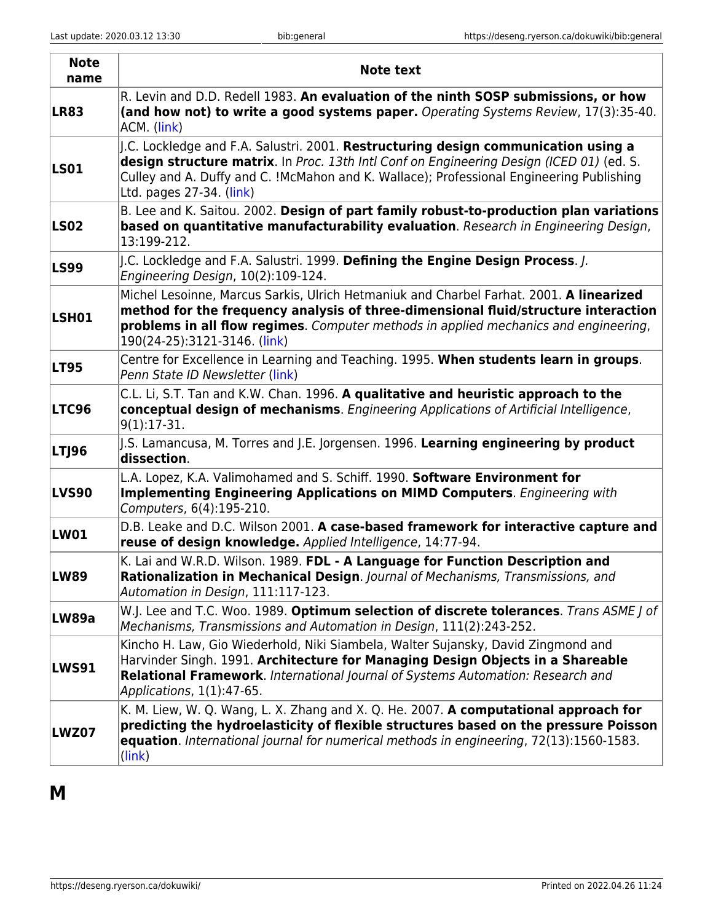| <b>Note</b><br>name | <b>Note text</b>                                                                                                                                                                                                                                                                                       |
|---------------------|--------------------------------------------------------------------------------------------------------------------------------------------------------------------------------------------------------------------------------------------------------------------------------------------------------|
| <b>LR83</b>         | R. Levin and D.D. Redell 1983. An evaluation of the ninth SOSP submissions, or how<br>(and how not) to write a good systems paper. Operating Systems Review, 17(3):35-40.<br>ACM. (link)                                                                                                               |
| <b>LS01</b>         | J.C. Lockledge and F.A. Salustri. 2001. Restructuring design communication using a<br>design structure matrix. In Proc. 13th Intl Conf on Engineering Design (ICED 01) (ed. S.<br>Culley and A. Duffy and C. !McMahon and K. Wallace); Professional Engineering Publishing<br>Ltd. pages 27-34. (link) |
| <b>LS02</b>         | B. Lee and K. Saitou. 2002. Design of part family robust-to-production plan variations<br>based on quantitative manufacturability evaluation. Research in Engineering Design,<br>13:199-212.                                                                                                           |
| LS99                | J.C. Lockledge and F.A. Salustri. 1999. Defining the Engine Design Process. J.<br>Engineering Design, 10(2):109-124.                                                                                                                                                                                   |
| LSH01               | Michel Lesoinne, Marcus Sarkis, Ulrich Hetmaniuk and Charbel Farhat. 2001. A linearized<br>method for the frequency analysis of three-dimensional fluid/structure interaction<br>problems in all flow regimes. Computer methods in applied mechanics and engineering,<br>190(24-25):3121-3146. (link)  |
| <b>LT95</b>         | Centre for Excellence in Learning and Teaching. 1995. When students learn in groups.<br>Penn State ID Newsletter (link)                                                                                                                                                                                |
| <b>LTC96</b>        | C.L. Li, S.T. Tan and K.W. Chan. 1996. A qualitative and heuristic approach to the<br>conceptual design of mechanisms. Engineering Applications of Artificial Intelligence,<br>$9(1):17-31.$                                                                                                           |
| <b>LTJ96</b>        | J.S. Lamancusa, M. Torres and J.E. Jorgensen. 1996. Learning engineering by product<br>dissection.                                                                                                                                                                                                     |
| <b>LVS90</b>        | L.A. Lopez, K.A. Valimohamed and S. Schiff. 1990. Software Environment for<br>Implementing Engineering Applications on MIMD Computers. Engineering with<br>Computers, 6(4):195-210.                                                                                                                    |
| <b>LW01</b>         | D.B. Leake and D.C. Wilson 2001. A case-based framework for interactive capture and<br>reuse of design knowledge. Applied Intelligence, 14:77-94.                                                                                                                                                      |
| LW89                | K. Lai and W.R.D. Wilson. 1989. FDL - A Language for Function Description and<br>Rationalization in Mechanical Design. Journal of Mechanisms, Transmissions, and<br>Automation in Design, 111:117-123.                                                                                                 |
| LW89a               | W.J. Lee and T.C. Woo. 1989. Optimum selection of discrete tolerances. Trans ASME J of<br>Mechanisms, Transmissions and Automation in Design, 111(2):243-252.                                                                                                                                          |
| LWS91               | Kincho H. Law, Gio Wiederhold, Niki Siambela, Walter Sujansky, David Zingmond and<br>Harvinder Singh. 1991. Architecture for Managing Design Objects in a Shareable<br>Relational Framework. International Journal of Systems Automation: Research and<br>Applications, 1(1):47-65.                    |
| LWZ07               | K. M. Liew, W. Q. Wang, L. X. Zhang and X. Q. He. 2007. A computational approach for<br>predicting the hydroelasticity of flexible structures based on the pressure Poisson<br>equation. International journal for numerical methods in engineering, 72(13):1560-1583.<br>(link)                       |

#### <span id="page-35-1"></span><span id="page-35-0"></span>**M**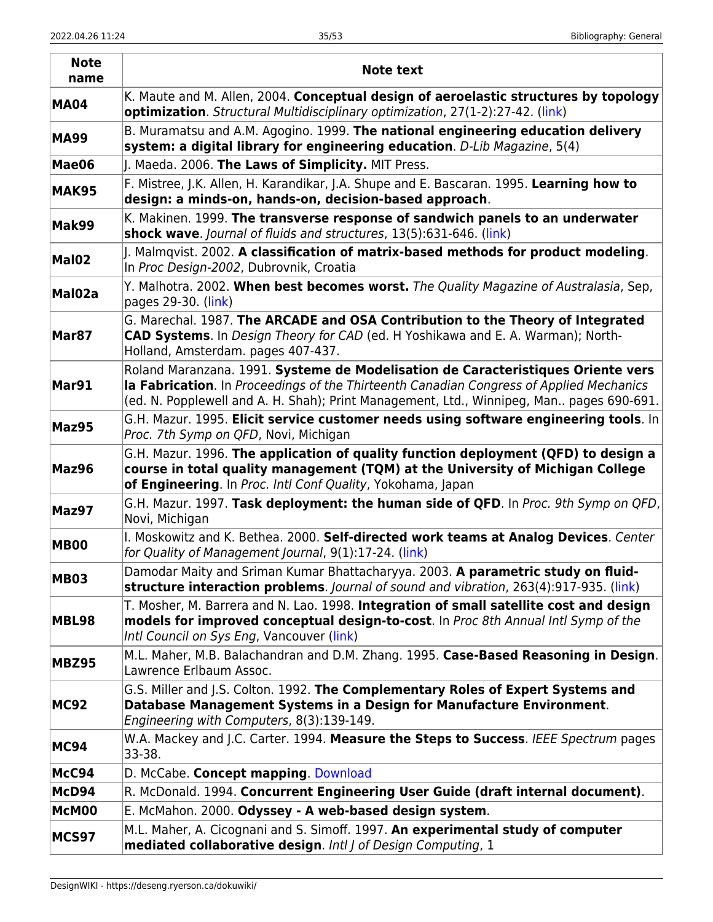| <b>Note</b><br>name | <b>Note text</b>                                                                                                                                                                                                                                                        |
|---------------------|-------------------------------------------------------------------------------------------------------------------------------------------------------------------------------------------------------------------------------------------------------------------------|
| <b>MA04</b>         | K. Maute and M. Allen, 2004. Conceptual design of aeroelastic structures by topology<br>optimization. Structural Multidisciplinary optimization, 27(1-2):27-42. (link)                                                                                                  |
| <b>MA99</b>         | B. Muramatsu and A.M. Agogino. 1999. The national engineering education delivery<br>system: a digital library for engineering education. D-Lib Magazine, 5(4)                                                                                                           |
| Mae06               | J. Maeda. 2006. The Laws of Simplicity. MIT Press.                                                                                                                                                                                                                      |
| <b>MAK95</b>        | F. Mistree, J.K. Allen, H. Karandikar, J.A. Shupe and E. Bascaran. 1995. Learning how to<br>design: a minds-on, hands-on, decision-based approach.                                                                                                                      |
| Mak99               | K. Makinen. 1999. The transverse response of sandwich panels to an underwater<br>shock wave. Journal of fluids and structures, 13(5):631-646. (link)                                                                                                                    |
| Mal <sub>02</sub>   | J. Malmqvist. 2002. A classification of matrix-based methods for product modeling.<br>In Proc Design-2002, Dubrovnik, Croatia                                                                                                                                           |
| Mal02a              | Y. Malhotra. 2002. When best becomes worst. The Quality Magazine of Australasia, Sep,<br>pages 29-30. (link)                                                                                                                                                            |
| Mar87               | G. Marechal. 1987. The ARCADE and OSA Contribution to the Theory of Integrated<br>CAD Systems. In Design Theory for CAD (ed. H Yoshikawa and E. A. Warman); North-<br>Holland, Amsterdam. pages 407-437.                                                                |
| Mar91               | Roland Maranzana. 1991. Systeme de Modelisation de Caracteristiques Oriente vers<br>la Fabrication. In Proceedings of the Thirteenth Canadian Congress of Applied Mechanics<br>(ed. N. Popplewell and A. H. Shah); Print Management, Ltd., Winnipeg, Man pages 690-691. |
| Maz95               | G.H. Mazur. 1995. Elicit service customer needs using software engineering tools. In<br>Proc. 7th Symp on QFD, Novi, Michigan                                                                                                                                           |
| Maz96               | G.H. Mazur. 1996. The application of quality function deployment (QFD) to design a<br>course in total quality management (TQM) at the University of Michigan College<br>of Engineering. In Proc. Intl Conf Quality, Yokohama, Japan                                     |
| Maz97               | G.H. Mazur. 1997. Task deployment: the human side of QFD. In Proc. 9th Symp on QFD,<br>Novi, Michigan                                                                                                                                                                   |
| <b>MB00</b>         | I. Moskowitz and K. Bethea. 2000. Self-directed work teams at Analog Devices. Center<br>for Quality of Management Journal, 9(1):17-24. (link)                                                                                                                           |
| <b>MB03</b>         | Damodar Maity and Sriman Kumar Bhattacharyya. 2003. A parametric study on fluid-<br>structure interaction problems. Journal of sound and vibration, 263(4):917-935. (link)                                                                                              |
| MBL98               | T. Mosher, M. Barrera and N. Lao. 1998. Integration of small satellite cost and design<br>models for improved conceptual design-to-cost. In Proc 8th Annual Intl Symp of the<br>Intl Council on Sys Eng, Vancouver (link)                                               |
| MBZ95               | M.L. Maher, M.B. Balachandran and D.M. Zhang. 1995. Case-Based Reasoning in Design.<br>Lawrence Erlbaum Assoc.                                                                                                                                                          |
| <b>MC92</b>         | G.S. Miller and J.S. Colton. 1992. The Complementary Roles of Expert Systems and<br>Database Management Systems in a Design for Manufacture Environment.<br>Engineering with Computers, 8(3):139-149.                                                                   |
| <b>MC94</b>         | W.A. Mackey and J.C. Carter. 1994. Measure the Steps to Success. IEEE Spectrum pages<br>33-38.                                                                                                                                                                          |
| McC94               | D. McCabe. Concept mapping. Download                                                                                                                                                                                                                                    |
| McD94               | R. McDonald. 1994. Concurrent Engineering User Guide (draft internal document).                                                                                                                                                                                         |
| McM00               | E. McMahon. 2000. Odyssey - A web-based design system.                                                                                                                                                                                                                  |
| MCS97               | M.L. Maher, A. Cicognani and S. Simoff. 1997. An experimental study of computer<br>mediated collaborative design. Intl J of Design Computing, 1                                                                                                                         |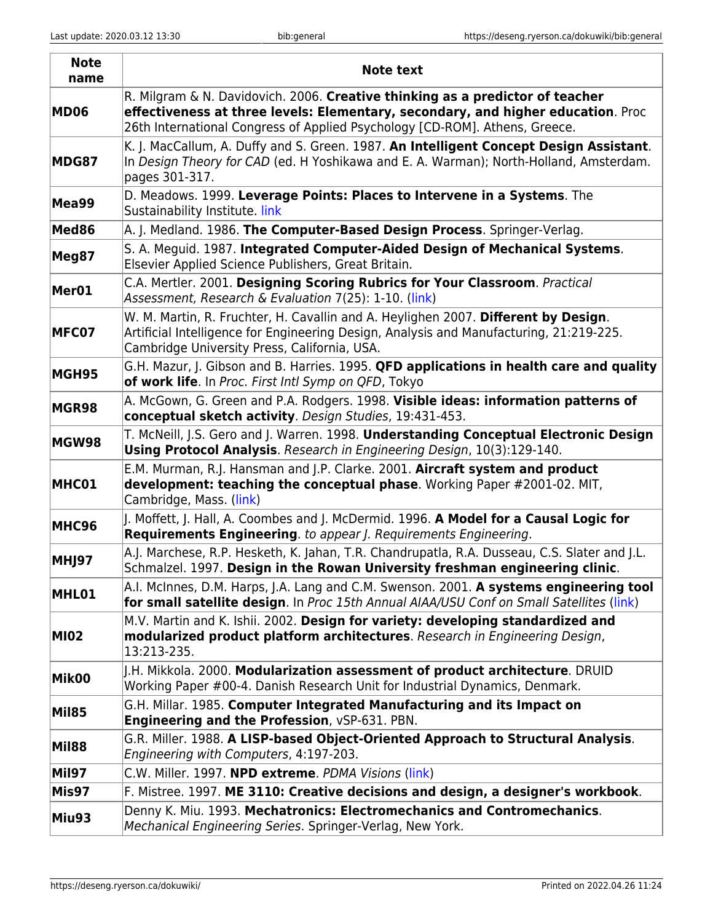| <b>Note</b><br>name | <b>Note text</b>                                                                                                                                                                                                                                 |
|---------------------|--------------------------------------------------------------------------------------------------------------------------------------------------------------------------------------------------------------------------------------------------|
| <b>MD06</b>         | R. Milgram & N. Davidovich. 2006. Creative thinking as a predictor of teacher<br>effectiveness at three levels: Elementary, secondary, and higher education. Proc<br>26th International Congress of Applied Psychology [CD-ROM]. Athens, Greece. |
| MDG87               | K. J. MacCallum, A. Duffy and S. Green. 1987. An Intelligent Concept Design Assistant.<br>In Design Theory for CAD (ed. H Yoshikawa and E. A. Warman); North-Holland, Amsterdam.<br>pages 301-317.                                               |
| Mea99               | D. Meadows. 1999. Leverage Points: Places to Intervene in a Systems. The<br>Sustainability Institute. link                                                                                                                                       |
| Med86               | A. J. Medland. 1986. The Computer-Based Design Process. Springer-Verlag.                                                                                                                                                                         |
| Meg87               | S. A. Meguid. 1987. Integrated Computer-Aided Design of Mechanical Systems.<br>Elsevier Applied Science Publishers, Great Britain.                                                                                                               |
| Mer <sub>01</sub>   | C.A. Mertler. 2001. Designing Scoring Rubrics for Your Classroom. Practical<br>Assessment, Research & Evaluation 7(25): 1-10. (link)                                                                                                             |
| MFC07               | W. M. Martin, R. Fruchter, H. Cavallin and A. Heylighen 2007. Different by Design.<br>Artificial Intelligence for Engineering Design, Analysis and Manufacturing, 21:219-225.<br>Cambridge University Press, California, USA.                    |
| MGH95               | G.H. Mazur, J. Gibson and B. Harries. 1995. QFD applications in health care and quality<br>of work life. In Proc. First Intl Symp on QFD, Tokyo                                                                                                  |
| MGR98               | A. McGown, G. Green and P.A. Rodgers. 1998. Visible ideas: information patterns of<br>conceptual sketch activity. Design Studies, 19:431-453.                                                                                                    |
| MGW98               | T. McNeill, J.S. Gero and J. Warren. 1998. Understanding Conceptual Electronic Design<br>Using Protocol Analysis. Research in Engineering Design, 10(3):129-140.                                                                                 |
| MHC01               | E.M. Murman, R.J. Hansman and J.P. Clarke. 2001. Aircraft system and product<br>development: teaching the conceptual phase. Working Paper #2001-02. MIT,<br>Cambridge, Mass. (link)                                                              |
| <b>MHC96</b>        | J. Moffett, J. Hall, A. Coombes and J. McDermid. 1996. A Model for a Causal Logic for<br>Requirements Engineering. to appear J. Requirements Engineering.                                                                                        |
| <b>MHJ97</b>        | A.J. Marchese, R.P. Hesketh, K. Jahan, T.R. Chandrupatla, R.A. Dusseau, C.S. Slater and J.L.<br>Schmalzel. 1997. Design in the Rowan University freshman engineering clinic.                                                                     |
| MHL01               | A.I. McInnes, D.M. Harps, J.A. Lang and C.M. Swenson. 2001. A systems engineering tool<br>for small satellite design. In Proc 15th Annual AIAA/USU Conf on Small Satellites (link)                                                               |
| <b>MI02</b>         | M.V. Martin and K. Ishii. 2002. Design for variety: developing standardized and<br>modularized product platform architectures. Research in Engineering Design,<br>13:213-235.                                                                    |
| Mik00               | J.H. Mikkola. 2000. Modularization assessment of product architecture. DRUID<br>Working Paper #00-4. Danish Research Unit for Industrial Dynamics, Denmark.                                                                                      |
| <b>Mil85</b>        | G.H. Millar. 1985. Computer Integrated Manufacturing and its Impact on<br>Engineering and the Profession, vSP-631. PBN.                                                                                                                          |
| Mil88               | G.R. Miller. 1988. A LISP-based Object-Oriented Approach to Structural Analysis.<br>Engineering with Computers, 4:197-203.                                                                                                                       |
| Mil97               | C.W. Miller. 1997. NPD extreme. PDMA Visions (link)                                                                                                                                                                                              |
| Mis97               | F. Mistree. 1997. ME 3110: Creative decisions and design, a designer's workbook.                                                                                                                                                                 |
| Miu93               | Denny K. Miu. 1993. Mechatronics: Electromechanics and Contromechanics.<br>Mechanical Engineering Series. Springer-Verlag, New York.                                                                                                             |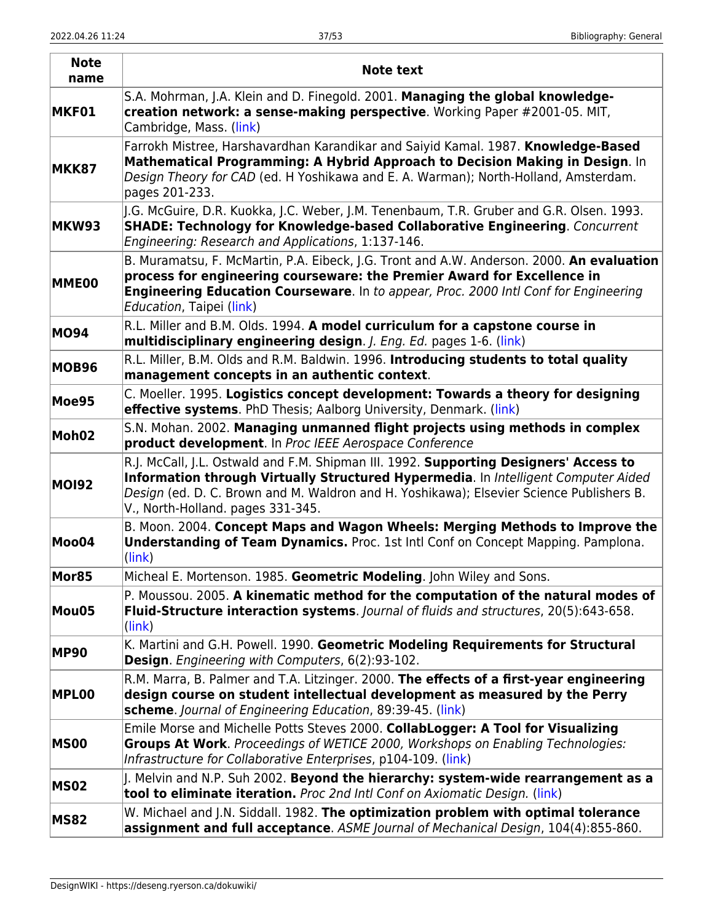| <b>Note</b><br>name | <b>Note text</b>                                                                                                                                                                                                                                                                                             |
|---------------------|--------------------------------------------------------------------------------------------------------------------------------------------------------------------------------------------------------------------------------------------------------------------------------------------------------------|
| <b>MKF01</b>        | S.A. Mohrman, J.A. Klein and D. Finegold. 2001. Managing the global knowledge-<br>creation network: a sense-making perspective. Working Paper #2001-05. MIT,<br>Cambridge, Mass. (link)                                                                                                                      |
| MKK87               | Farrokh Mistree, Harshavardhan Karandikar and Saiyid Kamal. 1987. Knowledge-Based<br>Mathematical Programming: A Hybrid Approach to Decision Making in Design. In<br>Design Theory for CAD (ed. H Yoshikawa and E. A. Warman); North-Holland, Amsterdam.<br>pages 201-233.                                   |
| MKW93               | J.G. McGuire, D.R. Kuokka, J.C. Weber, J.M. Tenenbaum, T.R. Gruber and G.R. Olsen. 1993.<br>SHADE: Technology for Knowledge-based Collaborative Engineering. Concurrent<br>Engineering: Research and Applications, 1:137-146.                                                                                |
| <b>MME00</b>        | B. Muramatsu, F. McMartin, P.A. Eibeck, J.G. Tront and A.W. Anderson. 2000. An evaluation<br>process for engineering courseware: the Premier Award for Excellence in<br>Engineering Education Courseware. In to appear, Proc. 2000 Intl Conf for Engineering<br>Education, Taipei (link)                     |
| <b>MO94</b>         | R.L. Miller and B.M. Olds. 1994. A model curriculum for a capstone course in<br>multidisciplinary engineering design. J. Eng. Ed. pages 1-6. (link)                                                                                                                                                          |
| <b>MOB96</b>        | R.L. Miller, B.M. Olds and R.M. Baldwin. 1996. Introducing students to total quality<br>management concepts in an authentic context.                                                                                                                                                                         |
| Moe95               | C. Moeller. 1995. Logistics concept development: Towards a theory for designing<br>effective systems. PhD Thesis; Aalborg University, Denmark. (link)                                                                                                                                                        |
| Moh02               | S.N. Mohan. 2002. Managing unmanned flight projects using methods in complex<br>product development. In Proc IEEE Aerospace Conference                                                                                                                                                                       |
| <b>MOI92</b>        | R.J. McCall, J.L. Ostwald and F.M. Shipman III. 1992. Supporting Designers' Access to<br>Information through Virtually Structured Hypermedia. In Intelligent Computer Aided<br>Design (ed. D. C. Brown and M. Waldron and H. Yoshikawa); Elsevier Science Publishers B.<br>V., North-Holland. pages 331-345. |
| Moo04               | B. Moon. 2004. Concept Maps and Wagon Wheels: Merging Methods to Improve the<br>Understanding of Team Dynamics. Proc. 1st Intl Conf on Concept Mapping. Pamplona.<br>(link)                                                                                                                                  |
| Mor85               | Micheal E. Mortenson. 1985. Geometric Modeling. John Wiley and Sons.                                                                                                                                                                                                                                         |
| Mou05               | P. Moussou. 2005. A kinematic method for the computation of the natural modes of<br>Fluid-Structure interaction systems. Journal of fluids and structures, 20(5):643-658.<br>(link)                                                                                                                          |
| <b>MP90</b>         | K. Martini and G.H. Powell. 1990. Geometric Modeling Requirements for Structural<br>Design. Engineering with Computers, 6(2):93-102.                                                                                                                                                                         |
| <b>MPL00</b>        | R.M. Marra, B. Palmer and T.A. Litzinger. 2000. The effects of a first-year engineering<br>design course on student intellectual development as measured by the Perry<br>scheme. Journal of Engineering Education, 89:39-45. (link)                                                                          |
| <b>MS00</b>         | Emile Morse and Michelle Potts Steves 2000. CollabLogger: A Tool for Visualizing<br>Groups At Work. Proceedings of WETICE 2000, Workshops on Enabling Technologies:<br>Infrastructure for Collaborative Enterprises, p104-109. (link)                                                                        |
| <b>MS02</b>         | J. Melvin and N.P. Suh 2002. Beyond the hierarchy: system-wide rearrangement as a<br>tool to eliminate iteration. Proc 2nd Intl Conf on Axiomatic Design. (link)                                                                                                                                             |
| <b>MS82</b>         | W. Michael and J.N. Siddall. 1982. The optimization problem with optimal tolerance<br>assignment and full acceptance. ASME Journal of Mechanical Design, 104(4):855-860.                                                                                                                                     |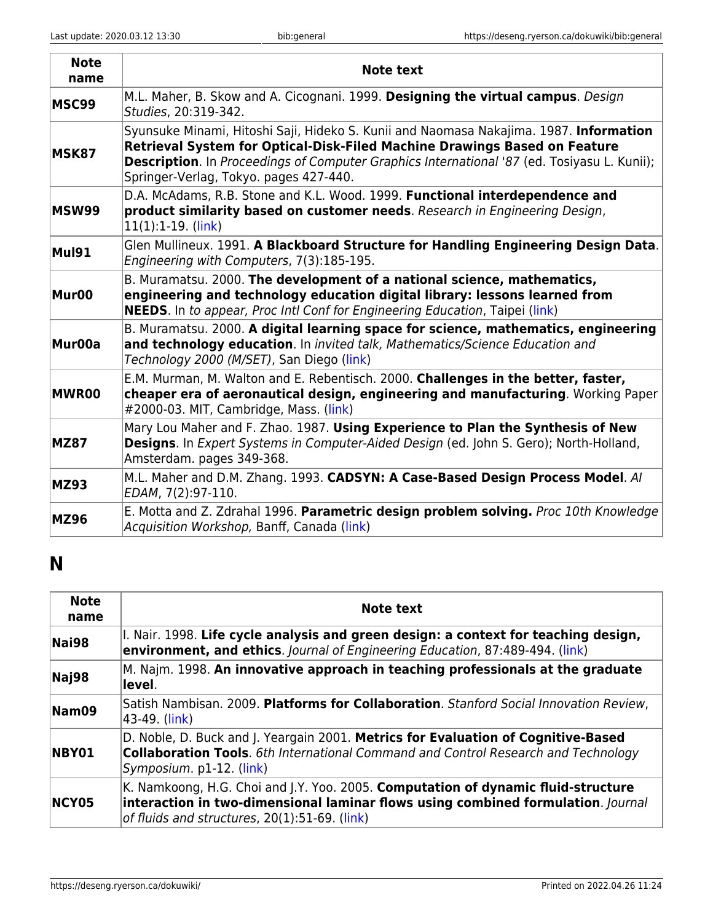| <b>Note</b><br>name | <b>Note text</b>                                                                                                                                                                                                                                                                                             |
|---------------------|--------------------------------------------------------------------------------------------------------------------------------------------------------------------------------------------------------------------------------------------------------------------------------------------------------------|
| MSC99               | M.L. Maher, B. Skow and A. Cicognani. 1999. Designing the virtual campus. Design<br>Studies, 20:319-342.                                                                                                                                                                                                     |
| <b>MSK87</b>        | Syunsuke Minami, Hitoshi Saji, Hideko S. Kunii and Naomasa Nakajima. 1987. Information<br>Retrieval System for Optical-Disk-Filed Machine Drawings Based on Feature<br>Description. In Proceedings of Computer Graphics International '87 (ed. Tosiyasu L. Kunii);<br>Springer-Verlag, Tokyo. pages 427-440. |
| MSW99               | D.A. McAdams, R.B. Stone and K.L. Wood. 1999. Functional interdependence and<br>product similarity based on customer needs. Research in Engineering Design,<br>$11(1):1-19.$ (link)                                                                                                                          |
| Mul91               | Glen Mullineux. 1991. A Blackboard Structure for Handling Engineering Design Data.<br>Engineering with Computers, 7(3):185-195.                                                                                                                                                                              |
| Mur00               | B. Muramatsu. 2000. The development of a national science, mathematics,<br>engineering and technology education digital library: lessons learned from<br><b>NEEDS.</b> In to appear, Proc Intl Conf for Engineering Education, Taipei (link)                                                                 |
| Mur00a              | B. Muramatsu. 2000. A digital learning space for science, mathematics, engineering<br>and technology education. In invited talk, Mathematics/Science Education and<br>Technology 2000 (M/SET), San Diego (link)                                                                                              |
| <b>MWR00</b>        | E.M. Murman, M. Walton and E. Rebentisch. 2000. Challenges in the better, faster,<br>cheaper era of aeronautical design, engineering and manufacturing. Working Paper<br>#2000-03. MIT, Cambridge, Mass. (link)                                                                                              |
| <b>MZ87</b>         | Mary Lou Maher and F. Zhao. 1987. Using Experience to Plan the Synthesis of New<br>Designs. In Expert Systems in Computer-Aided Design (ed. John S. Gero); North-Holland,<br>Amsterdam. pages 349-368.                                                                                                       |
| <b>MZ93</b>         | M.L. Maher and D.M. Zhang. 1993. CADSYN: A Case-Based Design Process Model. Al<br>EDAM, 7(2):97-110.                                                                                                                                                                                                         |
| <b>MZ96</b>         | E. Motta and Z. Zdrahal 1996. Parametric design problem solving. Proc 10th Knowledge<br>Acquisition Workshop, Banff, Canada (link)                                                                                                                                                                           |

#### <span id="page-39-1"></span><span id="page-39-0"></span>**N**

| <b>Note</b><br>name | Note text                                                                                                                                                                                                              |
|---------------------|------------------------------------------------------------------------------------------------------------------------------------------------------------------------------------------------------------------------|
| Nai98               | I. Nair. 1998. Life cycle analysis and green design: a context for teaching design,<br>environment, and ethics. Journal of Engineering Education, 87:489-494. (link)                                                   |
| Naj98               | M. Najm. 1998. An innovative approach in teaching professionals at the graduate<br>level.                                                                                                                              |
| Nam09               | Satish Nambisan. 2009. Platforms for Collaboration. Stanford Social Innovation Review,<br>43-49. (link)                                                                                                                |
| NBY01               | D. Noble, D. Buck and J. Yeargain 2001. Metrics for Evaluation of Cognitive-Based<br><b>Collaboration Tools.</b> 6th International Command and Control Research and Technology<br>Symposium. p1-12. (link)             |
| NCY05               | K. Namkoong, H.G. Choi and J.Y. Yoo. 2005. Computation of dynamic fluid-structure<br>interaction in two-dimensional laminar flows using combined formulation. Journal<br>of fluids and structures, 20(1):51-69. (link) |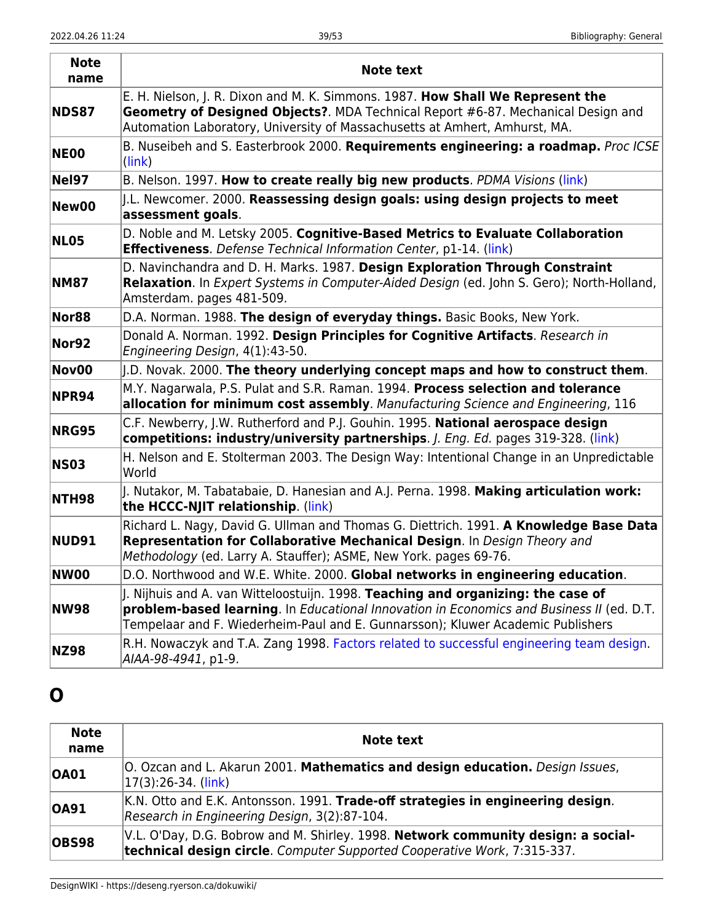| <b>Note</b><br>name | <b>Note text</b>                                                                                                                                                                                                                                                |
|---------------------|-----------------------------------------------------------------------------------------------------------------------------------------------------------------------------------------------------------------------------------------------------------------|
| <b>NDS87</b>        | E. H. Nielson, J. R. Dixon and M. K. Simmons. 1987. How Shall We Represent the<br>Geometry of Designed Objects?. MDA Technical Report #6-87. Mechanical Design and<br>Automation Laboratory, University of Massachusetts at Amhert, Amhurst, MA.                |
| <b>NE00</b>         | B. Nuseibeh and S. Easterbrook 2000. Requirements engineering: a roadmap. Proc ICSE<br>(link)                                                                                                                                                                   |
| Nel97               | B. Nelson. 1997. How to create really big new products. PDMA Visions (link)                                                                                                                                                                                     |
| New00               | J.L. Newcomer. 2000. Reassessing design goals: using design projects to meet<br>assessment goals.                                                                                                                                                               |
| <b>NL05</b>         | D. Noble and M. Letsky 2005. Cognitive-Based Metrics to Evaluate Collaboration<br><b>Effectiveness.</b> Defense Technical Information Center, p1-14. (link)                                                                                                     |
| <b>NM87</b>         | D. Navinchandra and D. H. Marks. 1987. Design Exploration Through Constraint<br>Relaxation. In Expert Systems in Computer-Aided Design (ed. John S. Gero); North-Holland,<br>Amsterdam. pages 481-509.                                                          |
| Nor88               | D.A. Norman. 1988. The design of everyday things. Basic Books, New York.                                                                                                                                                                                        |
| Nor92               | Donald A. Norman. 1992. Design Principles for Cognitive Artifacts. Research in<br>Engineering Design, 4(1):43-50.                                                                                                                                               |
| Nov00               | J.D. Novak. 2000. The theory underlying concept maps and how to construct them.                                                                                                                                                                                 |
| NPR94               | M.Y. Nagarwala, P.S. Pulat and S.R. Raman. 1994. Process selection and tolerance<br>allocation for minimum cost assembly. Manufacturing Science and Engineering, 116                                                                                            |
| <b>NRG95</b>        | C.F. Newberry, J.W. Rutherford and P.J. Gouhin. 1995. National aerospace design<br>competitions: industry/university partnerships. J. Eng. Ed. pages 319-328. (link)                                                                                            |
| <b>NS03</b>         | H. Nelson and E. Stolterman 2003. The Design Way: Intentional Change in an Unpredictable<br>World                                                                                                                                                               |
| <b>NTH98</b>        | J. Nutakor, M. Tabatabaie, D. Hanesian and A.J. Perna. 1998. Making articulation work:<br>the HCCC-NJIT relationship. (link)                                                                                                                                    |
| <b>NUD91</b>        | Richard L. Nagy, David G. Ullman and Thomas G. Diettrich. 1991. A Knowledge Base Data<br>Representation for Collaborative Mechanical Design. In Design Theory and<br>Methodology (ed. Larry A. Stauffer); ASME, New York. pages 69-76.                          |
| <b>NW00</b>         | D.O. Northwood and W.E. White. 2000. Global networks in engineering education.                                                                                                                                                                                  |
| <b>NW98</b>         | J. Nijhuis and A. van Witteloostuijn. 1998. Teaching and organizing: the case of<br>problem-based learning. In Educational Innovation in Economics and Business II (ed. D.T.<br>Tempelaar and F. Wiederheim-Paul and E. Gunnarsson); Kluwer Academic Publishers |
| <b>NZ98</b>         | R.H. Nowaczyk and T.A. Zang 1998. Factors related to successful engineering team design.<br>AIAA-98-4941, p1-9.                                                                                                                                                 |

#### <span id="page-40-1"></span><span id="page-40-0"></span>**O**

| <b>Note</b><br>name | Note text                                                                                                                                                     |
|---------------------|---------------------------------------------------------------------------------------------------------------------------------------------------------------|
| <b>OA01</b>         | O. Ozcan and L. Akarun 2001. Mathematics and design education. Design Issues,<br>$ 17(3):26-34$ . (link)                                                      |
| <b>OA91</b>         | K.N. Otto and E.K. Antonsson. 1991. Trade-off strategies in engineering design.<br>Research in Engineering Design, 3(2):87-104.                               |
| <b>OBS98</b>        | V.L. O'Day, D.G. Bobrow and M. Shirley. 1998. Network community design: a social-<br>technical design circle. Computer Supported Cooperative Work, 7:315-337. |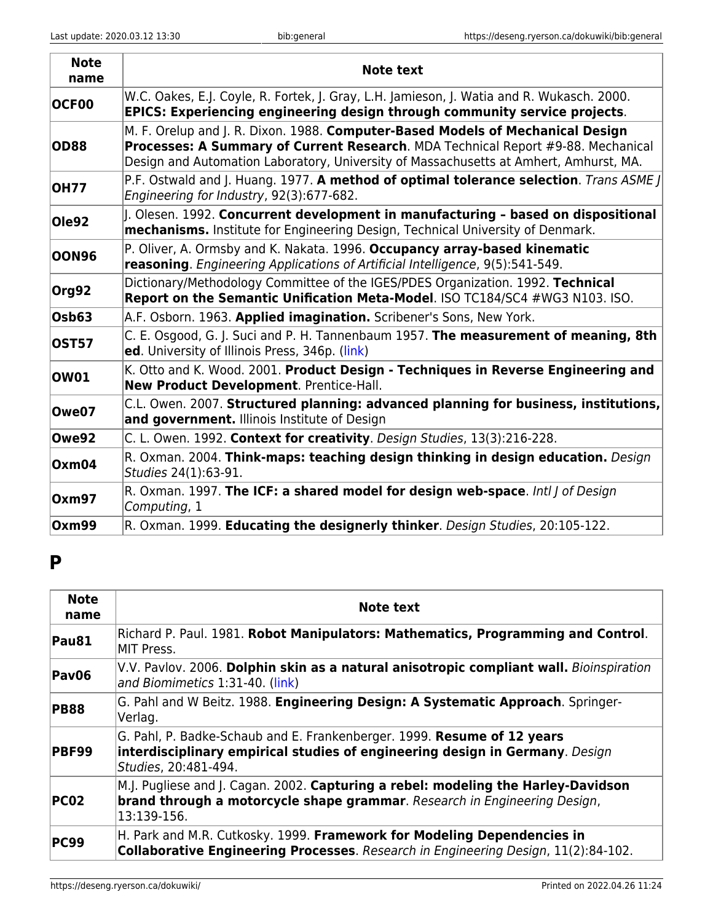| <b>Note</b><br>name | <b>Note text</b>                                                                                                                                                                                                                                            |
|---------------------|-------------------------------------------------------------------------------------------------------------------------------------------------------------------------------------------------------------------------------------------------------------|
| OCF00               | W.C. Oakes, E.J. Coyle, R. Fortek, J. Gray, L.H. Jamieson, J. Watia and R. Wukasch. 2000.<br>EPICS: Experiencing engineering design through community service projects.                                                                                     |
| <b>OD88</b>         | M. F. Orelup and J. R. Dixon. 1988. Computer-Based Models of Mechanical Design<br>Processes: A Summary of Current Research. MDA Technical Report #9-88. Mechanical<br>Design and Automation Laboratory, University of Massachusetts at Amhert, Amhurst, MA. |
| <b>OH77</b>         | P.F. Ostwald and J. Huang. 1977. A method of optimal tolerance selection. Trans ASME J<br>Engineering for Industry, 92(3):677-682.                                                                                                                          |
| Ole92               | J. Olesen. 1992. Concurrent development in manufacturing - based on dispositional<br>mechanisms. Institute for Engineering Design, Technical University of Denmark.                                                                                         |
| <b>OON96</b>        | P. Oliver, A. Ormsby and K. Nakata. 1996. Occupancy array-based kinematic<br>reasoning. Engineering Applications of Artificial Intelligence, 9(5):541-549.                                                                                                  |
| Org92               | Dictionary/Methodology Committee of the IGES/PDES Organization. 1992. Technical<br>Report on the Semantic Unification Meta-Model. ISO TC184/SC4 #WG3 N103. ISO.                                                                                             |
| Osb63               | A.F. Osborn. 1963. Applied imagination. Scribener's Sons, New York.                                                                                                                                                                                         |
| <b>OST57</b>        | C. E. Osgood, G. J. Suci and P. H. Tannenbaum 1957. The measurement of meaning, 8th<br>ed. University of Illinois Press, 346p. (link)                                                                                                                       |
| <b>OW01</b>         | K. Otto and K. Wood. 2001. Product Design - Techniques in Reverse Engineering and<br>New Product Development. Prentice-Hall.                                                                                                                                |
| Owe07               | C.L. Owen. 2007. Structured planning: advanced planning for business, institutions,<br>and government. Illinois Institute of Design                                                                                                                         |
| Owe92               | C. L. Owen. 1992. Context for creativity. Design Studies, 13(3):216-228.                                                                                                                                                                                    |
| Oxm04               | R. Oxman. 2004. Think-maps: teaching design thinking in design education. Design<br>Studies 24(1):63-91.                                                                                                                                                    |
| <b>Oxm97</b>        | R. Oxman. 1997. The ICF: a shared model for design web-space. Intl J of Design<br>Computing, 1                                                                                                                                                              |
| Oxm99               | R. Oxman. 1999. Educating the designerly thinker. Design Studies, 20:105-122.                                                                                                                                                                               |

#### <span id="page-41-1"></span><span id="page-41-0"></span>**P**

| <b>Note</b><br>name | Note text                                                                                                                                                                       |
|---------------------|---------------------------------------------------------------------------------------------------------------------------------------------------------------------------------|
| Pau81               | Richard P. Paul. 1981. Robot Manipulators: Mathematics, Programming and Control.<br>MIT Press.                                                                                  |
| Pav <sub>06</sub>   | V.V. Pavlov. 2006. Dolphin skin as a natural anisotropic compliant wall. Bioinspiration<br>and Biomimetics 1:31-40. (link)                                                      |
| <b>PB88</b>         | G. Pahl and W Beitz. 1988. Engineering Design: A Systematic Approach. Springer-<br>Verlag.                                                                                      |
| PBF99               | G. Pahl, P. Badke-Schaub and E. Frankenberger. 1999. Resume of 12 years<br>interdisciplinary empirical studies of engineering design in Germany. Design<br>Studies, 20:481-494. |
| PC02                | M.J. Pugliese and J. Cagan. 2002. Capturing a rebel: modeling the Harley-Davidson<br>brand through a motorcycle shape grammar. Research in Engineering Design,<br>13:139-156.   |
| <b>PC99</b>         | H. Park and M.R. Cutkosky. 1999. Framework for Modeling Dependencies in<br>Collaborative Engineering Processes. Research in Engineering Design, 11(2):84-102.                   |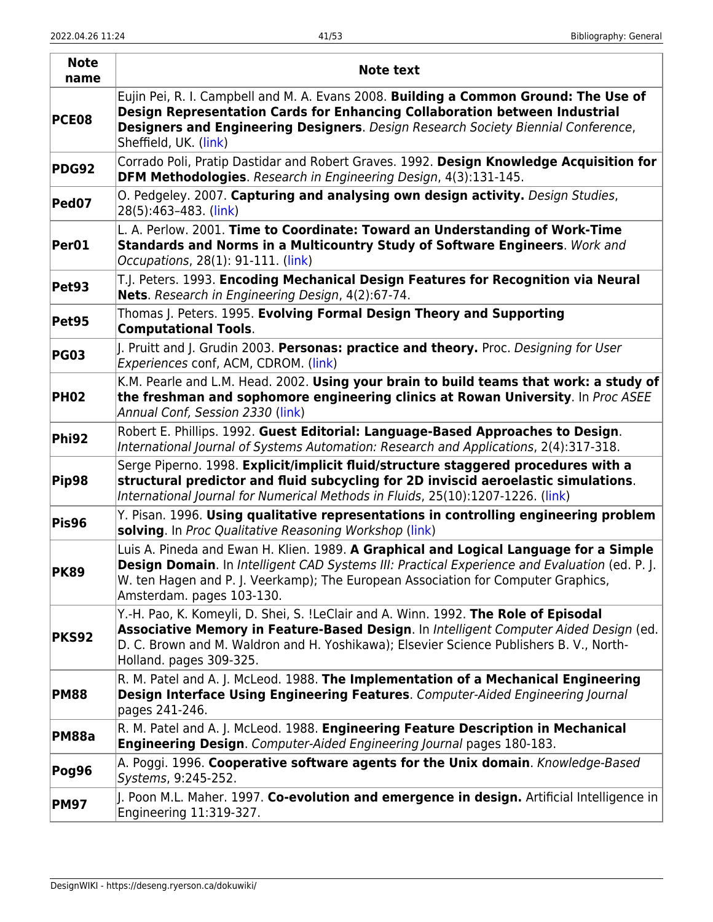| <b>Note</b><br>name | <b>Note text</b>                                                                                                                                                                                                                                                                                         |
|---------------------|----------------------------------------------------------------------------------------------------------------------------------------------------------------------------------------------------------------------------------------------------------------------------------------------------------|
| <b>PCE08</b>        | Eujin Pei, R. I. Campbell and M. A. Evans 2008. Building a Common Ground: The Use of<br>Design Representation Cards for Enhancing Collaboration between Industrial<br>Designers and Engineering Designers. Design Research Society Biennial Conference,<br>Sheffield, UK. (link)                         |
| <b>PDG92</b>        | Corrado Poli, Pratip Dastidar and Robert Graves. 1992. Design Knowledge Acquisition for<br>DFM Methodologies. Research in Engineering Design, 4(3):131-145.                                                                                                                                              |
| Ped <sub>07</sub>   | O. Pedgeley. 2007. Capturing and analysing own design activity. Design Studies,<br>28(5):463-483. (link)                                                                                                                                                                                                 |
| Per <sub>01</sub>   | L. A. Perlow. 2001. Time to Coordinate: Toward an Understanding of Work-Time<br>Standards and Norms in a Multicountry Study of Software Engineers. Work and<br>Occupations, 28(1): 91-111. (link)                                                                                                        |
| Pet93               | T.J. Peters. 1993. Encoding Mechanical Design Features for Recognition via Neural<br>Nets. Research in Engineering Design, 4(2):67-74.                                                                                                                                                                   |
| Pet95               | Thomas J. Peters. 1995. Evolving Formal Design Theory and Supporting<br><b>Computational Tools.</b>                                                                                                                                                                                                      |
| <b>PG03</b>         | J. Pruitt and J. Grudin 2003. Personas: practice and theory. Proc. Designing for User<br>Experiences conf, ACM, CDROM. (link)                                                                                                                                                                            |
| <b>PH02</b>         | K.M. Pearle and L.M. Head. 2002. Using your brain to build teams that work: a study of<br>the freshman and sophomore engineering clinics at Rowan University. In Proc ASEE<br>Annual Conf, Session 2330 (link)                                                                                           |
| Phi92               | Robert E. Phillips. 1992. Guest Editorial: Language-Based Approaches to Design.<br>International Journal of Systems Automation: Research and Applications, 2(4):317-318.                                                                                                                                 |
| Pip98               | Serge Piperno. 1998. Explicit/implicit fluid/structure staggered procedures with a<br>structural predictor and fluid subcycling for 2D inviscid aeroelastic simulations.<br>International Journal for Numerical Methods in Fluids, 25(10):1207-1226. (link)                                              |
| Pis96               | Y. Pisan. 1996. Using qualitative representations in controlling engineering problem<br>solving. In Proc Qualitative Reasoning Workshop (link)                                                                                                                                                           |
| <b>PK89</b>         | Luis A. Pineda and Ewan H. Klien. 1989. A Graphical and Logical Language for a Simple<br>Design Domain. In Intelligent CAD Systems III: Practical Experience and Evaluation (ed. P. J.<br>W. ten Hagen and P. J. Veerkamp); The European Association for Computer Graphics,<br>Amsterdam. pages 103-130. |
| <b>PKS92</b>        | Y.-H. Pao, K. Komeyli, D. Shei, S. !LeClair and A. Winn. 1992. The Role of Episodal<br>Associative Memory in Feature-Based Design. In Intelligent Computer Aided Design (ed.<br>D. C. Brown and M. Waldron and H. Yoshikawa); Elsevier Science Publishers B. V., North-<br>Holland. pages 309-325.       |
| <b>PM88</b>         | R. M. Patel and A. J. McLeod. 1988. The Implementation of a Mechanical Engineering<br>Design Interface Using Engineering Features. Computer-Aided Engineering Journal<br>pages 241-246.                                                                                                                  |
| PM88a               | R. M. Patel and A. J. McLeod. 1988. Engineering Feature Description in Mechanical<br><b>Engineering Design.</b> Computer-Aided Engineering Journal pages 180-183.                                                                                                                                        |
| Pog96               | A. Poggi. 1996. Cooperative software agents for the Unix domain. Knowledge-Based<br>Systems, 9:245-252.                                                                                                                                                                                                  |
| <b>PM97</b>         | J. Poon M.L. Maher. 1997. Co-evolution and emergence in design. Artificial Intelligence in<br>Engineering 11:319-327.                                                                                                                                                                                    |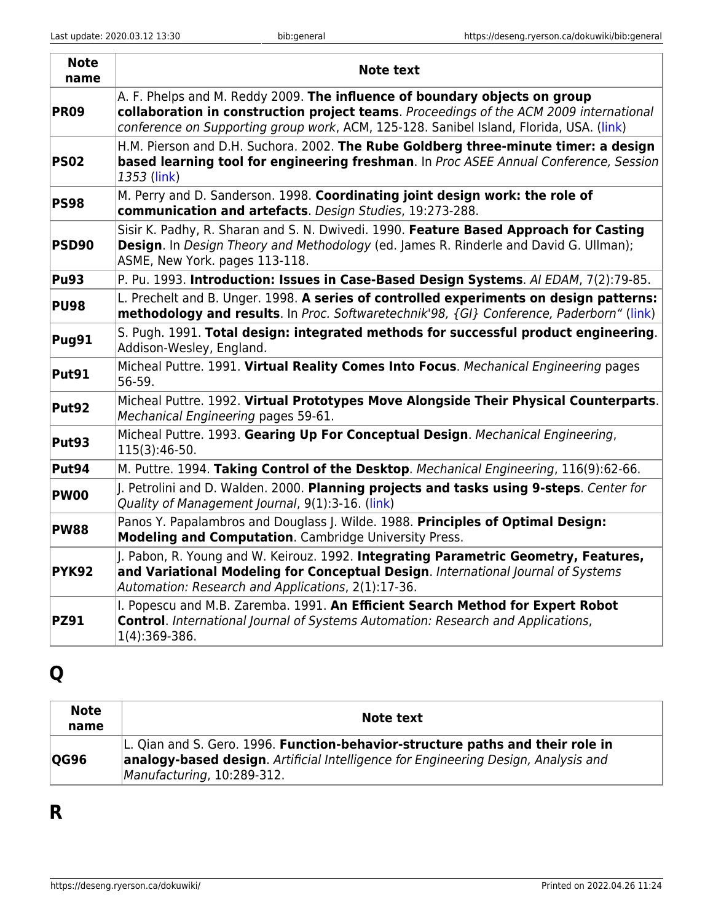| <b>Note</b><br>name | Note text                                                                                                                                                                                                                                                       |
|---------------------|-----------------------------------------------------------------------------------------------------------------------------------------------------------------------------------------------------------------------------------------------------------------|
| <b>PR09</b>         | A. F. Phelps and M. Reddy 2009. The influence of boundary objects on group<br>collaboration in construction project teams. Proceedings of the ACM 2009 international<br>conference on Supporting group work, ACM, 125-128. Sanibel Island, Florida, USA. (link) |
| <b>PS02</b>         | H.M. Pierson and D.H. Suchora. 2002. The Rube Goldberg three-minute timer: a design<br>based learning tool for engineering freshman. In Proc ASEE Annual Conference, Session<br>1353 (link)                                                                     |
| <b>PS98</b>         | M. Perry and D. Sanderson. 1998. Coordinating joint design work: the role of<br>communication and artefacts. Design Studies, 19:273-288.                                                                                                                        |
| <b>PSD90</b>        | Sisir K. Padhy, R. Sharan and S. N. Dwivedi. 1990. Feature Based Approach for Casting<br><b>Design</b> . In Design Theory and Methodology (ed. James R. Rinderle and David G. Ullman);<br>ASME, New York. pages 113-118.                                        |
| <b>Pu93</b>         | P. Pu. 1993. Introduction: Issues in Case-Based Design Systems. AI EDAM, 7(2):79-85.                                                                                                                                                                            |
| <b>PU98</b>         | L. Prechelt and B. Unger. 1998. A series of controlled experiments on design patterns:<br>methodology and results. In Proc. Softwaretechnik'98, {GI} Conference, Paderborn" (link)                                                                              |
| Pug91               | S. Pugh. 1991. Total design: integrated methods for successful product engineering.<br>Addison-Wesley, England.                                                                                                                                                 |
| <b>Put91</b>        | Micheal Puttre. 1991. Virtual Reality Comes Into Focus. Mechanical Engineering pages<br>56-59.                                                                                                                                                                  |
| Put92               | Micheal Puttre. 1992. Virtual Prototypes Move Alongside Their Physical Counterparts.<br>Mechanical Engineering pages 59-61.                                                                                                                                     |
| Put93               | Micheal Puttre. 1993. Gearing Up For Conceptual Design. Mechanical Engineering,<br>$115(3):46-50.$                                                                                                                                                              |
| Put94               | M. Puttre. 1994. Taking Control of the Desktop. Mechanical Engineering, 116(9):62-66.                                                                                                                                                                           |
| <b>PW00</b>         | J. Petrolini and D. Walden. 2000. Planning projects and tasks using 9-steps. Center for<br>Quality of Management Journal, 9(1):3-16. (link)                                                                                                                     |
| <b>PW88</b>         | Panos Y. Papalambros and Douglass J. Wilde. 1988. Principles of Optimal Design:<br>Modeling and Computation. Cambridge University Press.                                                                                                                        |
| PYK92               | J. Pabon, R. Young and W. Keirouz. 1992. Integrating Parametric Geometry, Features,<br>and Variational Modeling for Conceptual Design. International Journal of Systems<br>Automation: Research and Applications, 2(1):17-36.                                   |
| <b>PZ91</b>         | I. Popescu and M.B. Zaremba. 1991. An Efficient Search Method for Expert Robot<br><b>Control</b> . International Journal of Systems Automation: Research and Applications,<br>1(4):369-386.                                                                     |

# <span id="page-43-2"></span><span id="page-43-0"></span>**Q**

| <b>Note</b><br>name | Note text                                                                                                                                                                                          |
|---------------------|----------------------------------------------------------------------------------------------------------------------------------------------------------------------------------------------------|
| OG96                | L. Qian and S. Gero. 1996. Function-behavior-structure paths and their role in<br>analogy-based design. Artificial Intelligence for Engineering Design, Analysis and<br>Manufacturing, 10:289-312. |

#### <span id="page-43-3"></span><span id="page-43-1"></span>**R**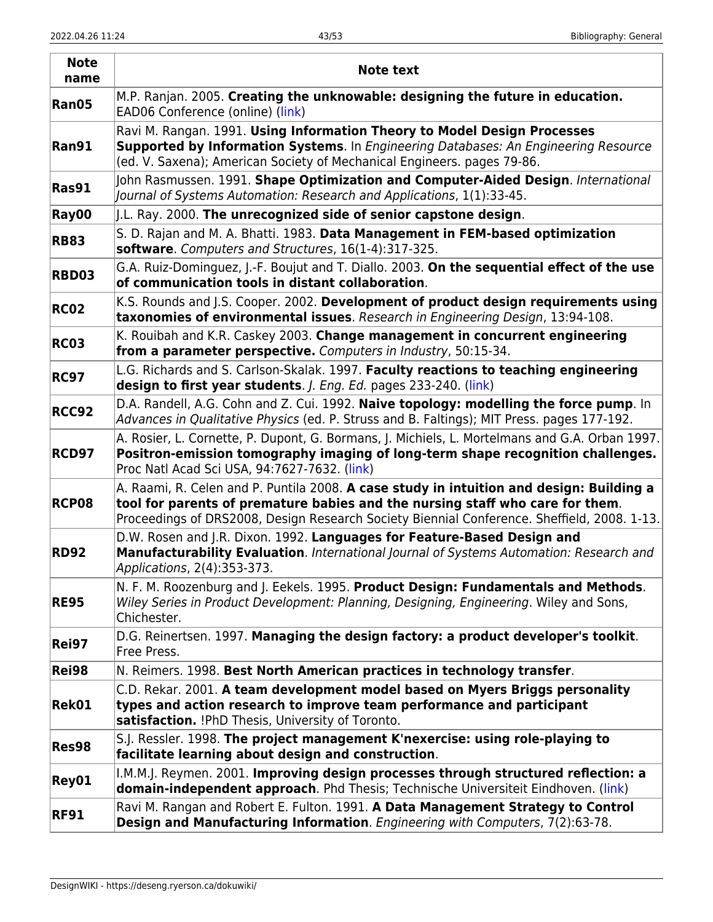| <b>Note</b><br>name | <b>Note text</b>                                                                                                                                                                                                                                                         |
|---------------------|--------------------------------------------------------------------------------------------------------------------------------------------------------------------------------------------------------------------------------------------------------------------------|
| Ran05               | M.P. Ranjan. 2005. Creating the unknowable: designing the future in education.<br>EAD06 Conference (online) (link)                                                                                                                                                       |
| Ran91               | Ravi M. Rangan. 1991. Using Information Theory to Model Design Processes<br>Supported by Information Systems. In Engineering Databases: An Engineering Resource<br>(ed. V. Saxena); American Society of Mechanical Engineers. pages 79-86.                               |
| Ras91               | John Rasmussen. 1991. Shape Optimization and Computer-Aided Design. International<br>Journal of Systems Automation: Research and Applications, 1(1):33-45.                                                                                                               |
| Ray00               | J.L. Ray. 2000. The unrecognized side of senior capstone design.                                                                                                                                                                                                         |
| <b>RB83</b>         | S. D. Rajan and M. A. Bhatti. 1983. Data Management in FEM-based optimization<br>software. Computers and Structures, 16(1-4):317-325.                                                                                                                                    |
| <b>RBD03</b>        | G.A. Ruiz-Dominguez, J.-F. Boujut and T. Diallo. 2003. On the sequential effect of the use<br>of communication tools in distant collaboration.                                                                                                                           |
| <b>RC02</b>         | K.S. Rounds and J.S. Cooper. 2002. Development of product design requirements using<br>taxonomies of environmental issues. Research in Engineering Design, 13:94-108.                                                                                                    |
| <b>RC03</b>         | K. Rouibah and K.R. Caskey 2003. Change management in concurrent engineering<br>from a parameter perspective. Computers in Industry, 50:15-34.                                                                                                                           |
| <b>RC97</b>         | L.G. Richards and S. Carlson-Skalak. 1997. Faculty reactions to teaching engineering<br>design to first year students. J. Eng. Ed. pages 233-240. (link)                                                                                                                 |
| <b>RCC92</b>        | D.A. Randell, A.G. Cohn and Z. Cui. 1992. Naive topology: modelling the force pump. In<br>Advances in Qualitative Physics (ed. P. Struss and B. Faltings); MIT Press. pages 177-192.                                                                                     |
| <b>RCD97</b>        | A. Rosier, L. Cornette, P. Dupont, G. Bormans, J. Michiels, L. Mortelmans and G.A. Orban 1997.<br>Positron-emission tomography imaging of long-term shape recognition challenges.<br>Proc Natl Acad Sci USA, 94:7627-7632. (link)                                        |
| RCP08               | A. Raami, R. Celen and P. Puntila 2008. A case study in intuition and design: Building a<br>tool for parents of premature babies and the nursing staff who care for them.<br>Proceedings of DRS2008, Design Research Society Biennial Conference. Sheffield, 2008. 1-13. |
| <b>RD92</b>         | D.W. Rosen and J.R. Dixon. 1992. Languages for Feature-Based Design and<br>Manufacturability Evaluation. International Journal of Systems Automation: Research and<br>Applications, 2(4):353-373.                                                                        |
| <b>RE95</b>         | N. F. M. Roozenburg and J. Eekels. 1995. Product Design: Fundamentals and Methods.<br>Wiley Series in Product Development: Planning, Designing, Engineering. Wiley and Sons,<br>Chichester.                                                                              |
| Rei97               | D.G. Reinertsen. 1997. Managing the design factory: a product developer's toolkit.<br>Free Press.                                                                                                                                                                        |
| Rei98               | N. Reimers. 1998. Best North American practices in technology transfer.                                                                                                                                                                                                  |
| Rek01               | C.D. Rekar. 2001. A team development model based on Myers Briggs personality<br>types and action research to improve team performance and participant<br>satisfaction. ! PhD Thesis, University of Toronto.                                                              |
| Res98               | S.J. Ressler. 1998. The project management K'nexercise: using role-playing to<br>facilitate learning about design and construction.                                                                                                                                      |
| Rey01               | I.M.M.J. Reymen. 2001. Improving design processes through structured reflection: a<br>domain-independent approach. Phd Thesis; Technische Universiteit Eindhoven. (link)                                                                                                 |
| <b>RF91</b>         | Ravi M. Rangan and Robert E. Fulton. 1991. A Data Management Strategy to Control<br>Design and Manufacturing Information. Engineering with Computers, 7(2):63-78.                                                                                                        |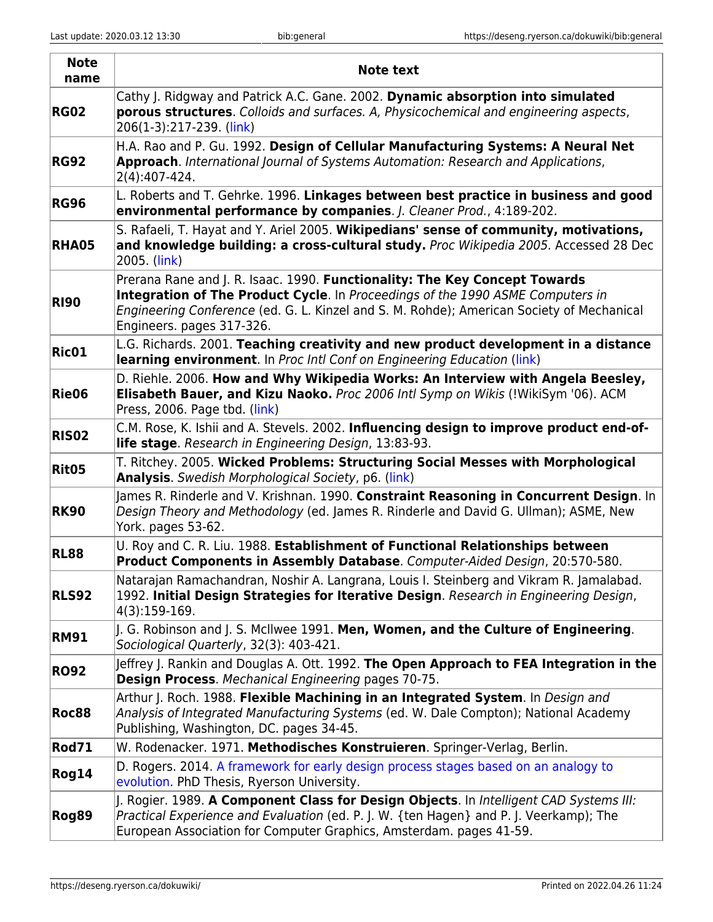| <b>Note</b><br>name | Note text                                                                                                                                                                                                                                                                              |
|---------------------|----------------------------------------------------------------------------------------------------------------------------------------------------------------------------------------------------------------------------------------------------------------------------------------|
| <b>RG02</b>         | Cathy J. Ridgway and Patrick A.C. Gane. 2002. Dynamic absorption into simulated                                                                                                                                                                                                        |
|                     | <b>porous structures</b> . Colloids and surfaces. A, Physicochemical and engineering aspects,<br>206(1-3):217-239. (link)                                                                                                                                                              |
| <b>RG92</b>         | H.A. Rao and P. Gu. 1992. Design of Cellular Manufacturing Systems: A Neural Net<br>Approach. International Journal of Systems Automation: Research and Applications,<br>2(4):407-424.                                                                                                 |
| <b>RG96</b>         | L. Roberts and T. Gehrke. 1996. Linkages between best practice in business and good<br>environmental performance by companies. J. Cleaner Prod., 4:189-202.                                                                                                                            |
| <b>RHA05</b>        | S. Rafaeli, T. Hayat and Y. Ariel 2005. Wikipedians' sense of community, motivations,<br>and knowledge building: a cross-cultural study. Proc Wikipedia 2005. Accessed 28 Dec<br>2005. (link)                                                                                          |
| <b>RI90</b>         | Prerana Rane and J. R. Isaac. 1990. Functionality: The Key Concept Towards<br>Integration of The Product Cycle. In Proceedings of the 1990 ASME Computers in<br>Engineering Conference (ed. G. L. Kinzel and S. M. Rohde); American Society of Mechanical<br>Engineers. pages 317-326. |
| Ric01               | L.G. Richards. 2001. Teaching creativity and new product development in a distance<br>learning environment. In Proc Intl Conf on Engineering Education (link)                                                                                                                          |
| Rie06               | D. Riehle. 2006. How and Why Wikipedia Works: An Interview with Angela Beesley,<br>Elisabeth Bauer, and Kizu Naoko. Proc 2006 Intl Symp on Wikis (!WikiSym '06). ACM<br>Press, 2006. Page tbd. (link)                                                                                  |
| <b>RISO2</b>        | C.M. Rose, K. Ishii and A. Stevels. 2002. Influencing design to improve product end-of-<br>life stage. Research in Engineering Design, 13:83-93.                                                                                                                                       |
| Rit <sub>05</sub>   | T. Ritchey. 2005. Wicked Problems: Structuring Social Messes with Morphological<br>Analysis. Swedish Morphological Society, p6. (link)                                                                                                                                                 |
| <b>RK90</b>         | James R. Rinderle and V. Krishnan. 1990. Constraint Reasoning in Concurrent Design. In<br>Design Theory and Methodology (ed. James R. Rinderle and David G. Ullman); ASME, New<br>York. pages 53-62.                                                                                   |
| <b>RL88</b>         | U. Roy and C. R. Liu. 1988. Establishment of Functional Relationships between<br>Product Components in Assembly Database. Computer-Aided Design, 20:570-580.                                                                                                                           |
| <b>RLS92</b>        | Natarajan Ramachandran, Noshir A. Langrana, Louis I. Steinberg and Vikram R. Jamalabad.<br>1992. Initial Design Strategies for Iterative Design. Research in Engineering Design,<br>4(3):159-169.                                                                                      |
| <b>RM91</b>         | J. G. Robinson and J. S. Mcllwee 1991. Men, Women, and the Culture of Engineering.<br>Sociological Quarterly, 32(3): 403-421.                                                                                                                                                          |
| <b>RO92</b>         | Jeffrey J. Rankin and Douglas A. Ott. 1992. The Open Approach to FEA Integration in the<br>Design Process. Mechanical Engineering pages 70-75.                                                                                                                                         |
| Roc88               | Arthur J. Roch. 1988. Flexible Machining in an Integrated System. In Design and<br>Analysis of Integrated Manufacturing Systems (ed. W. Dale Compton); National Academy<br>Publishing, Washington, DC. pages 34-45.                                                                    |
| <b>Rod71</b>        | W. Rodenacker. 1971. Methodisches Konstruieren. Springer-Verlag, Berlin.                                                                                                                                                                                                               |
| Rog14               | D. Rogers. 2014. A framework for early design process stages based on an analogy to<br>evolution. PhD Thesis, Ryerson University.                                                                                                                                                      |
| Rog89               | J. Rogier. 1989. A Component Class for Design Objects. In Intelligent CAD Systems III:<br>Practical Experience and Evaluation (ed. P. J. W. {ten Hagen} and P. J. Veerkamp); The<br>European Association for Computer Graphics, Amsterdam. pages 41-59.                                |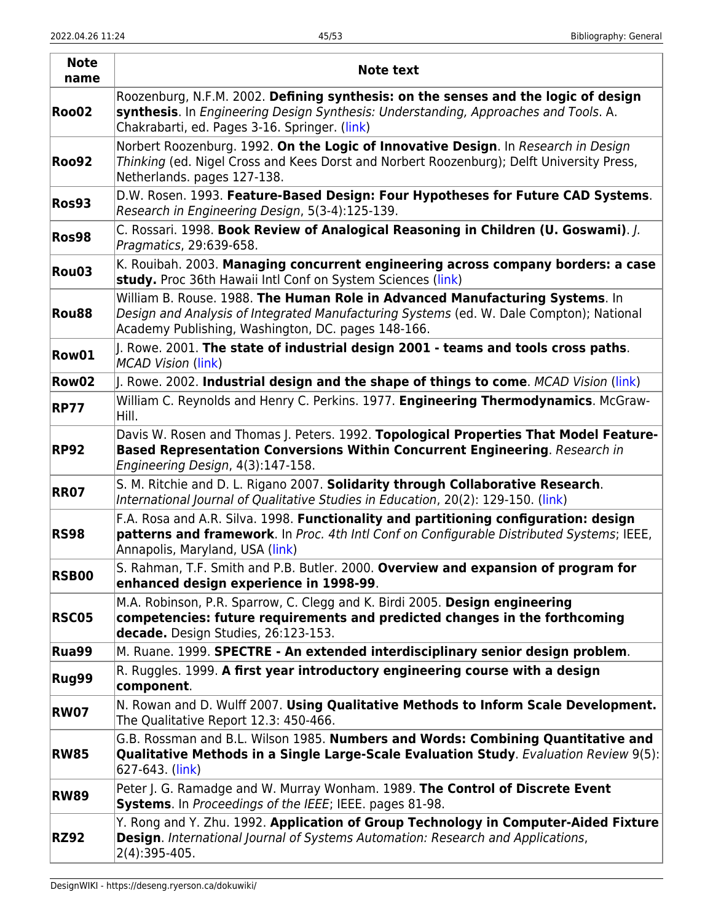| <b>Note</b><br>name | Note text                                                                                                                                                                                                                     |
|---------------------|-------------------------------------------------------------------------------------------------------------------------------------------------------------------------------------------------------------------------------|
| <b>Roo02</b>        | Roozenburg, N.F.M. 2002. Defining synthesis: on the senses and the logic of design<br>synthesis. In Engineering Design Synthesis: Understanding, Approaches and Tools. A.<br>Chakrabarti, ed. Pages 3-16. Springer. (link)    |
| <b>Roo92</b>        | Norbert Roozenburg. 1992. On the Logic of Innovative Design. In Research in Design<br>Thinking (ed. Nigel Cross and Kees Dorst and Norbert Roozenburg); Delft University Press,<br>Netherlands. pages 127-138.                |
| Ros93               | D.W. Rosen. 1993. Feature-Based Design: Four Hypotheses for Future CAD Systems.<br>Research in Engineering Design, 5(3-4):125-139.                                                                                            |
| Ros98               | C. Rossari. 1998. Book Review of Analogical Reasoning in Children (U. Goswami). J.<br>Pragmatics, 29:639-658.                                                                                                                 |
| Rou03               | K. Rouibah. 2003. Managing concurrent engineering across company borders: a case<br>study. Proc 36th Hawaii Intl Conf on System Sciences (link)                                                                               |
| Rou88               | William B. Rouse. 1988. The Human Role in Advanced Manufacturing Systems. In<br>Design and Analysis of Integrated Manufacturing Systems (ed. W. Dale Compton); National<br>Academy Publishing, Washington, DC. pages 148-166. |
| Row01               | J. Rowe. 2001. The state of industrial design 2001 - teams and tools cross paths.<br><b>MCAD Vision (link)</b>                                                                                                                |
| Row02               | J. Rowe. 2002. Industrial design and the shape of things to come. MCAD Vision (link)                                                                                                                                          |
| <b>RP77</b>         | William C. Reynolds and Henry C. Perkins. 1977. Engineering Thermodynamics. McGraw-<br>Hill.                                                                                                                                  |
| <b>RP92</b>         | Davis W. Rosen and Thomas J. Peters. 1992. Topological Properties That Model Feature-<br>Based Representation Conversions Within Concurrent Engineering. Research in<br>Engineering Design, 4(3):147-158.                     |
| <b>RR07</b>         | S. M. Ritchie and D. L. Rigano 2007. Solidarity through Collaborative Research.<br>International Journal of Qualitative Studies in Education, 20(2): 129-150. (link)                                                          |
| <b>RS98</b>         | F.A. Rosa and A.R. Silva. 1998. Functionality and partitioning configuration: design<br>patterns and framework. In Proc. 4th Intl Conf on Configurable Distributed Systems; IEEE,<br>Annapolis, Maryland, USA (link)          |
| <b>RSB00</b>        | S. Rahman, T.F. Smith and P.B. Butler. 2000. Overview and expansion of program for<br>enhanced design experience in 1998-99.                                                                                                  |
| <b>RSC05</b>        | M.A. Robinson, P.R. Sparrow, C. Clegg and K. Birdi 2005. Design engineering<br>competencies: future requirements and predicted changes in the forthcoming<br>decade. Design Studies, 26:123-153.                              |
| Rua99               | M. Ruane. 1999. SPECTRE - An extended interdisciplinary senior design problem.                                                                                                                                                |
| Rug99               | R. Ruggles. 1999. A first year introductory engineering course with a design<br>component.                                                                                                                                    |
| <b>RW07</b>         | N. Rowan and D. Wulff 2007. Using Qualitative Methods to Inform Scale Development.<br>The Qualitative Report 12.3: 450-466.                                                                                                   |
| <b>RW85</b>         | G.B. Rossman and B.L. Wilson 1985. Numbers and Words: Combining Quantitative and<br>Qualitative Methods in a Single Large-Scale Evaluation Study. Evaluation Review 9(5):<br>627-643. (link)                                  |
| <b>RW89</b>         | Peter J. G. Ramadge and W. Murray Wonham. 1989. The Control of Discrete Event<br>Systems. In Proceedings of the IEEE; IEEE. pages 81-98.                                                                                      |
| <b>RZ92</b>         | Y. Rong and Y. Zhu. 1992. Application of Group Technology in Computer-Aided Fixture<br><b>Design.</b> International Journal of Systems Automation: Research and Applications,<br>2(4):395-405.                                |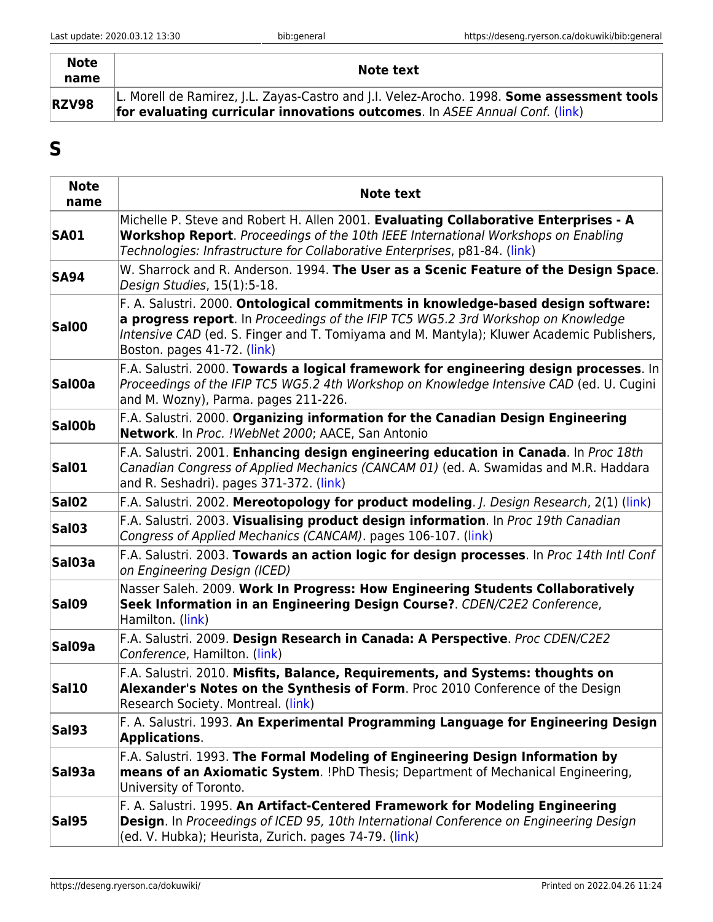| <b>Note</b> | Note text                                                                                                                                                                        |
|-------------|----------------------------------------------------------------------------------------------------------------------------------------------------------------------------------|
| name        |                                                                                                                                                                                  |
| RZV98       | L. Morell de Ramirez, J.L. Zayas-Castro and J.I. Velez-Arocho. 1998. Some assessment tools<br><b>for evaluating curricular innovations outcomes.</b> In ASEE Annual Conf. (link) |

### <span id="page-47-1"></span><span id="page-47-0"></span>**S**

| <b>Note</b><br>name | <b>Note text</b>                                                                                                                                                                                                                                                                                   |
|---------------------|----------------------------------------------------------------------------------------------------------------------------------------------------------------------------------------------------------------------------------------------------------------------------------------------------|
| <b>SA01</b>         | Michelle P. Steve and Robert H. Allen 2001. Evaluating Collaborative Enterprises - A<br>Workshop Report. Proceedings of the 10th IEEE International Workshops on Enabling<br>Technologies: Infrastructure for Collaborative Enterprises, p81-84. (link)                                            |
| <b>SA94</b>         | W. Sharrock and R. Anderson. 1994. The User as a Scenic Feature of the Design Space.<br>Design Studies, 15(1):5-18.                                                                                                                                                                                |
| Sal00               | F. A. Salustri. 2000. Ontological commitments in knowledge-based design software:<br>a progress report. In Proceedings of the IFIP TC5 WG5.2 3rd Workshop on Knowledge<br>Intensive CAD (ed. S. Finger and T. Tomiyama and M. Mantyla); Kluwer Academic Publishers,<br>Boston. pages 41-72. (link) |
| Sal00a              | F.A. Salustri. 2000. Towards a logical framework for engineering design processes. In<br>Proceedings of the IFIP TC5 WG5.2 4th Workshop on Knowledge Intensive CAD (ed. U. Cugini<br>and M. Wozny), Parma. pages 211-226.                                                                          |
| Sal00b              | F.A. Salustri. 2000. Organizing information for the Canadian Design Engineering<br>Network. In Proc. !WebNet 2000; AACE, San Antonio                                                                                                                                                               |
| <b>Sal01</b>        | F.A. Salustri. 2001. Enhancing design engineering education in Canada. In Proc 18th<br>Canadian Congress of Applied Mechanics (CANCAM 01) (ed. A. Swamidas and M.R. Haddara<br>and R. Seshadri). pages 371-372. (link)                                                                             |
| <b>Sal02</b>        | F.A. Salustri. 2002. Mereotopology for product modeling. J. Design Research, 2(1) (link)                                                                                                                                                                                                           |
| <b>Sal03</b>        | F.A. Salustri. 2003. Visualising product design information. In Proc 19th Canadian<br>Congress of Applied Mechanics (CANCAM). pages 106-107. (link)                                                                                                                                                |
| Sal03a              | F.A. Salustri. 2003. Towards an action logic for design processes. In Proc 14th Intl Conf<br>on Engineering Design (ICED)                                                                                                                                                                          |
| Sal09               | Nasser Saleh. 2009. Work In Progress: How Engineering Students Collaboratively<br>Seek Information in an Engineering Design Course?. CDEN/C2E2 Conference,<br>Hamilton. (link)                                                                                                                     |
| Sal09a              | F.A. Salustri. 2009. Design Research in Canada: A Perspective. Proc CDEN/C2E2<br>Conference, Hamilton. (link)                                                                                                                                                                                      |
| <b>Sal10</b>        | F.A. Salustri. 2010. Misfits, Balance, Requirements, and Systems: thoughts on<br>Alexander's Notes on the Synthesis of Form. Proc 2010 Conference of the Design<br>Research Society. Montreal. (link)                                                                                              |
| <b>Sal93</b>        | F. A. Salustri. 1993. An Experimental Programming Language for Engineering Design<br><b>Applications.</b>                                                                                                                                                                                          |
| Sal93a              | F.A. Salustri. 1993. The Formal Modeling of Engineering Design Information by<br>means of an Axiomatic System. !PhD Thesis; Department of Mechanical Engineering,<br>University of Toronto.                                                                                                        |
| Sal95               | F. A. Salustri. 1995. An Artifact-Centered Framework for Modeling Engineering<br>Design. In Proceedings of ICED 95, 10th International Conference on Engineering Design<br>(ed. V. Hubka); Heurista, Zurich. pages 74-79. (link)                                                                   |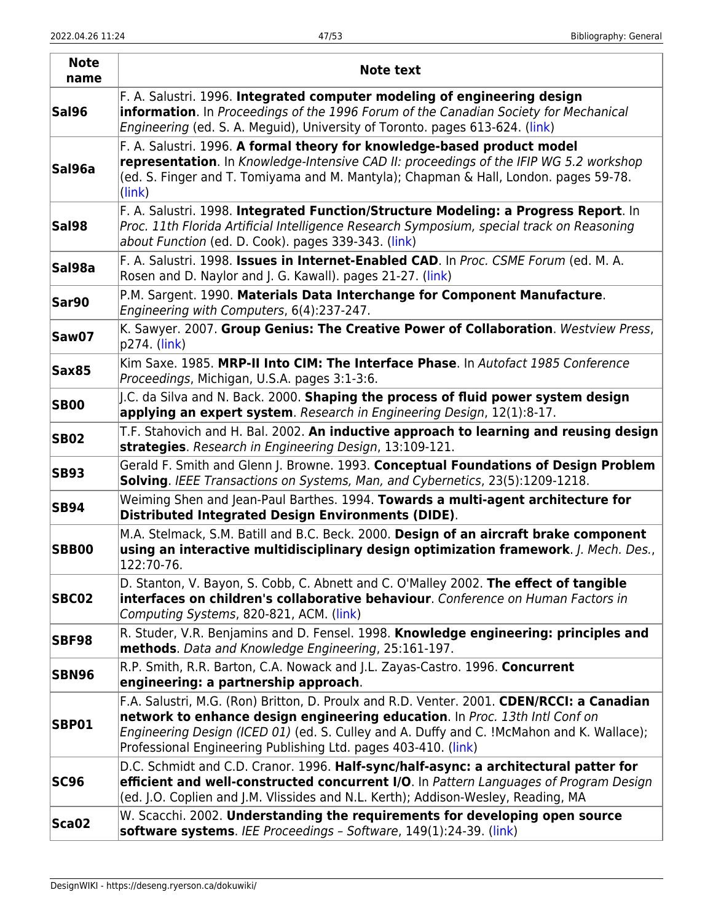| <b>Note</b><br>name | Note text                                                                                                                                                                                                                                                                                                                               |
|---------------------|-----------------------------------------------------------------------------------------------------------------------------------------------------------------------------------------------------------------------------------------------------------------------------------------------------------------------------------------|
| Sal96               | F. A. Salustri. 1996. Integrated computer modeling of engineering design<br>information. In Proceedings of the 1996 Forum of the Canadian Society for Mechanical<br>Engineering (ed. S. A. Meguid), University of Toronto. pages 613-624. (link)                                                                                        |
| Sal96a              | F. A. Salustri. 1996. A formal theory for knowledge-based product model<br>representation. In Knowledge-Intensive CAD II: proceedings of the IFIP WG 5.2 workshop<br>(ed. S. Finger and T. Tomiyama and M. Mantyla); Chapman & Hall, London. pages 59-78.<br>(link)                                                                     |
| Sal98               | F. A. Salustri. 1998. Integrated Function/Structure Modeling: a Progress Report. In<br>Proc. 11th Florida Artificial Intelligence Research Symposium, special track on Reasoning<br>about Function (ed. D. Cook). pages 339-343. (link)                                                                                                 |
| Sal98a              | F. A. Salustri. 1998. Issues in Internet-Enabled CAD. In Proc. CSME Forum (ed. M. A.<br>Rosen and D. Naylor and J. G. Kawall). pages 21-27. (link)                                                                                                                                                                                      |
| Sar90               | P.M. Sargent. 1990. Materials Data Interchange for Component Manufacture.<br>Engineering with Computers, 6(4):237-247.                                                                                                                                                                                                                  |
| Saw07               | K. Sawyer. 2007. Group Genius: The Creative Power of Collaboration. Westview Press,<br>p274. (link)                                                                                                                                                                                                                                     |
| Sax85               | Kim Saxe, 1985, MRP-II Into CIM: The Interface Phase, In Autofact 1985 Conference<br>Proceedings, Michigan, U.S.A. pages 3:1-3:6.                                                                                                                                                                                                       |
| <b>SB00</b>         | J.C. da Silva and N. Back. 2000. Shaping the process of fluid power system design<br>applying an expert system. Research in Engineering Design, 12(1):8-17.                                                                                                                                                                             |
| <b>SB02</b>         | T.F. Stahovich and H. Bal. 2002. An inductive approach to learning and reusing design<br>strategies. Research in Engineering Design, 13:109-121.                                                                                                                                                                                        |
| <b>SB93</b>         | Gerald F. Smith and Glenn J. Browne. 1993. Conceptual Foundations of Design Problem<br>Solving. IEEE Transactions on Systems, Man, and Cybernetics, 23(5):1209-1218.                                                                                                                                                                    |
| <b>SB94</b>         | Weiming Shen and Jean-Paul Barthes. 1994. Towards a multi-agent architecture for<br><b>Distributed Integrated Design Environments (DIDE).</b>                                                                                                                                                                                           |
| <b>SBB00</b>        | M.A. Stelmack, S.M. Batill and B.C. Beck. 2000. Design of an aircraft brake component<br>using an interactive multidisciplinary design optimization framework. J. Mech. Des.,<br>122:70-76.                                                                                                                                             |
| <b>SBC02</b>        | D. Stanton, V. Bayon, S. Cobb, C. Abnett and C. O'Malley 2002. The effect of tangible<br>interfaces on children's collaborative behaviour. Conference on Human Factors in<br>Computing Systems, 820-821, ACM. (link)                                                                                                                    |
| <b>SBF98</b>        | R. Studer, V.R. Benjamins and D. Fensel. 1998. Knowledge engineering: principles and<br>methods. Data and Knowledge Engineering, 25:161-197.                                                                                                                                                                                            |
| <b>SBN96</b>        | R.P. Smith, R.R. Barton, C.A. Nowack and J.L. Zayas-Castro. 1996. Concurrent<br>engineering: a partnership approach.                                                                                                                                                                                                                    |
| <b>SBP01</b>        | F.A. Salustri, M.G. (Ron) Britton, D. Proulx and R.D. Venter. 2001. CDEN/RCCI: a Canadian<br>network to enhance design engineering education. In Proc. 13th Intl Conf on<br>Engineering Design (ICED 01) (ed. S. Culley and A. Duffy and C. !McMahon and K. Wallace);<br>Professional Engineering Publishing Ltd. pages 403-410. (link) |
| <b>SC96</b>         | D.C. Schmidt and C.D. Cranor. 1996. Half-sync/half-async: a architectural patter for<br>efficient and well-constructed concurrent I/O. In Pattern Languages of Program Design<br>(ed. J.O. Coplien and J.M. Vlissides and N.L. Kerth); Addison-Wesley, Reading, MA                                                                      |
| Sca02               | W. Scacchi. 2002. Understanding the requirements for developing open source<br>software systems. IEE Proceedings - Software, 149(1):24-39. (link)                                                                                                                                                                                       |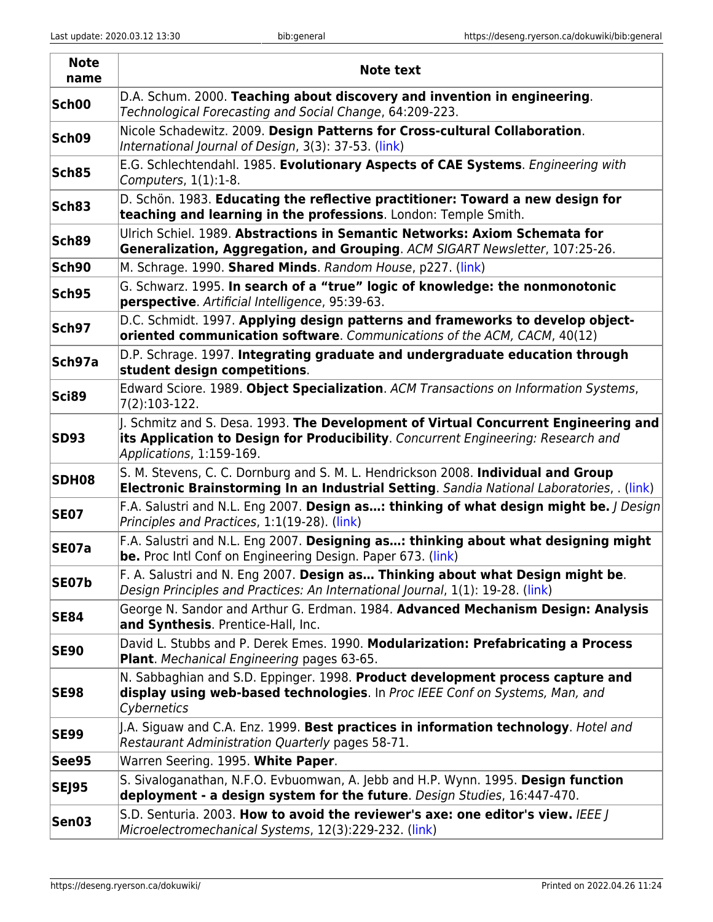| <b>Note</b><br>name | <b>Note text</b>                                                                                                                                                                                     |
|---------------------|------------------------------------------------------------------------------------------------------------------------------------------------------------------------------------------------------|
| Sch00               | D.A. Schum. 2000. Teaching about discovery and invention in engineering.<br>Technological Forecasting and Social Change, 64:209-223.                                                                 |
| Sch09               | Nicole Schadewitz. 2009. Design Patterns for Cross-cultural Collaboration.<br>International Journal of Design, 3(3): 37-53. (link)                                                                   |
| Sch85               | E.G. Schlechtendahl. 1985. Evolutionary Aspects of CAE Systems. Engineering with<br>Computers, 1(1):1-8.                                                                                             |
| Sch83               | D. Schön. 1983. Educating the reflective practitioner: Toward a new design for<br>teaching and learning in the professions. London: Temple Smith.                                                    |
| Sch89               | Ulrich Schiel, 1989. Abstractions in Semantic Networks: Axiom Schemata for<br>Generalization, Aggregation, and Grouping. ACM SIGART Newsletter, 107:25-26.                                           |
| Sch90               | M. Schrage. 1990. Shared Minds. Random House, p227. (link)                                                                                                                                           |
| Sch95               | G. Schwarz. 1995. In search of a "true" logic of knowledge: the nonmonotonic<br>perspective. Artificial Intelligence, 95:39-63.                                                                      |
| Sch97               | D.C. Schmidt. 1997. Applying design patterns and frameworks to develop object-<br>oriented communication software. Communications of the ACM, CACM, 40(12)                                           |
| Sch97a              | D.P. Schrage. 1997. Integrating graduate and undergraduate education through<br>student design competitions.                                                                                         |
| <b>Sci89</b>        | Edward Sciore. 1989. Object Specialization. ACM Transactions on Information Systems,<br>7(2):103-122.                                                                                                |
| <b>SD93</b>         | J. Schmitz and S. Desa. 1993. The Development of Virtual Concurrent Engineering and<br>its Application to Design for Producibility. Concurrent Engineering: Research and<br>Applications, 1:159-169. |
| SDH08               | S. M. Stevens, C. C. Dornburg and S. M. L. Hendrickson 2008. Individual and Group<br>Electronic Brainstorming In an Industrial Setting. Sandia National Laboratories, . (link)                       |
| <b>SE07</b>         | F.A. Salustri and N.L. Eng 2007. Design as: thinking of what design might be. / Design<br>Principles and Practices, 1:1(19-28). (link)                                                               |
| SE07a               | F.A. Salustri and N.L. Eng 2007. Designing as: thinking about what designing might<br>be. Proc Intl Conf on Engineering Design. Paper 673. (link)                                                    |
| <b>SE07b</b>        | F. A. Salustri and N. Eng 2007. Design as Thinking about what Design might be.<br>Design Principles and Practices: An International Journal, 1(1): 19-28. (link)                                     |
| <b>SE84</b>         | George N. Sandor and Arthur G. Erdman. 1984. Advanced Mechanism Design: Analysis<br>and Synthesis. Prentice-Hall, Inc.                                                                               |
| <b>SE90</b>         | David L. Stubbs and P. Derek Emes. 1990. Modularization: Prefabricating a Process<br><b>Plant</b> . Mechanical Engineering pages 63-65.                                                              |
| <b>SE98</b>         | N. Sabbaghian and S.D. Eppinger. 1998. Product development process capture and<br>display using web-based technologies. In Proc IEEE Conf on Systems, Man, and<br>Cybernetics                        |
| <b>SE99</b>         | J.A. Siguaw and C.A. Enz. 1999. Best practices in information technology. Hotel and<br>Restaurant Administration Quarterly pages 58-71.                                                              |
| See95               | Warren Seering. 1995. White Paper.                                                                                                                                                                   |
| <b>SEJ95</b>        | S. Sivaloganathan, N.F.O. Evbuomwan, A. Jebb and H.P. Wynn. 1995. Design function<br>deployment - a design system for the future. Design Studies, 16:447-470.                                        |
| Sen03               | S.D. Senturia. 2003. How to avoid the reviewer's axe: one editor's view. IEEE J<br>Microelectromechanical Systems, 12(3):229-232. (link)                                                             |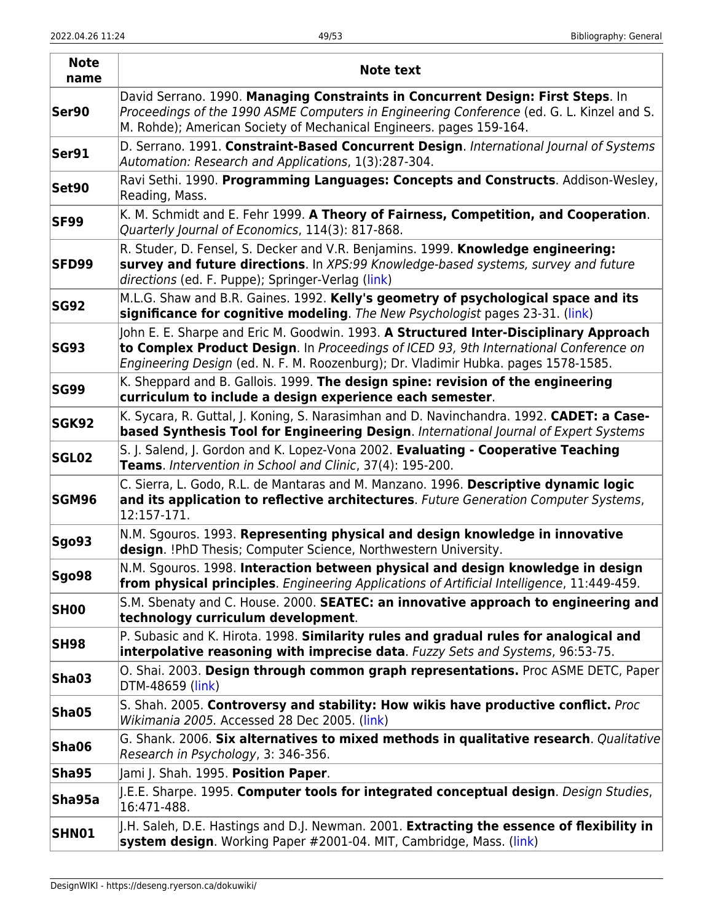| <b>Note</b><br>name | <b>Note text</b>                                                                                                                                                                                                                                                     |
|---------------------|----------------------------------------------------------------------------------------------------------------------------------------------------------------------------------------------------------------------------------------------------------------------|
| Ser90               | David Serrano. 1990. Managing Constraints in Concurrent Design: First Steps. In<br>Proceedings of the 1990 ASME Computers in Engineering Conference (ed. G. L. Kinzel and S.<br>M. Rohde); American Society of Mechanical Engineers. pages 159-164.                  |
| Ser91               | D. Serrano. 1991. Constraint-Based Concurrent Design. International Journal of Systems<br>Automation: Research and Applications, 1(3):287-304.                                                                                                                       |
| Set90               | Ravi Sethi. 1990. Programming Languages: Concepts and Constructs. Addison-Wesley,<br>Reading, Mass.                                                                                                                                                                  |
| <b>SF99</b>         | K. M. Schmidt and E. Fehr 1999. A Theory of Fairness, Competition, and Cooperation.<br>Quarterly Journal of Economics, 114(3): 817-868.                                                                                                                              |
| SFD99               | R. Studer, D. Fensel, S. Decker and V.R. Benjamins. 1999. Knowledge engineering:<br>survey and future directions. In XPS:99 Knowledge-based systems, survey and future<br>directions (ed. F. Puppe); Springer-Verlag (link)                                          |
| <b>SG92</b>         | M.L.G. Shaw and B.R. Gaines. 1992. Kelly's geometry of psychological space and its<br>significance for cognitive modeling. The New Psychologist pages 23-31. (link)                                                                                                  |
| <b>SG93</b>         | John E. E. Sharpe and Eric M. Goodwin. 1993. A Structured Inter-Disciplinary Approach<br>to Complex Product Design. In Proceedings of ICED 93, 9th International Conference on<br>Engineering Design (ed. N. F. M. Roozenburg); Dr. Vladimir Hubka. pages 1578-1585. |
| <b>SG99</b>         | K. Sheppard and B. Gallois. 1999. The design spine: revision of the engineering<br>curriculum to include a design experience each semester.                                                                                                                          |
| SGK92               | K. Sycara, R. Guttal, J. Koning, S. Narasimhan and D. Navinchandra. 1992. CADET: a Case-<br>based Synthesis Tool for Engineering Design. International Journal of Expert Systems                                                                                     |
| SGL <sub>02</sub>   | S. J. Salend, J. Gordon and K. Lopez-Vona 2002. Evaluating - Cooperative Teaching<br>Teams. Intervention in School and Clinic, 37(4): 195-200.                                                                                                                       |
| SGM96               | C. Sierra, L. Godo, R.L. de Mantaras and M. Manzano. 1996. Descriptive dynamic logic<br>and its application to reflective architectures. Future Generation Computer Systems,<br>12:157-171.                                                                          |
| <b>Sgo93</b>        | N.M. Sgouros. 1993. Representing physical and design knowledge in innovative<br>design. !PhD Thesis; Computer Science, Northwestern University.                                                                                                                      |
| Sgo98               | N.M. Sgouros. 1998. Interaction between physical and design knowledge in design<br>from physical principles. Engineering Applications of Artificial Intelligence, 11:449-459.                                                                                        |
| <b>SH00</b>         | S.M. Sbenaty and C. House. 2000. SEATEC: an innovative approach to engineering and<br>technology curriculum development.                                                                                                                                             |
| <b>SH98</b>         | P. Subasic and K. Hirota. 1998. Similarity rules and gradual rules for analogical and<br>interpolative reasoning with imprecise data. Fuzzy Sets and Systems, 96:53-75.                                                                                              |
| Sha03               | O. Shai. 2003. Design through common graph representations. Proc ASME DETC, Paper<br>DTM-48659 (link)                                                                                                                                                                |
| Sha05               | S. Shah. 2005. Controversy and stability: How wikis have productive conflict. Proc<br>Wikimania 2005. Accessed 28 Dec 2005. (link)                                                                                                                                   |
| Sha06               | G. Shank. 2006. Six alternatives to mixed methods in qualitative research. Qualitative<br>Research in Psychology, 3: 346-356.                                                                                                                                        |
| Sha95               | Jami J. Shah. 1995. Position Paper.                                                                                                                                                                                                                                  |
| Sha95a              | J.E.E. Sharpe. 1995. Computer tools for integrated conceptual design. Design Studies,<br>16:471-488.                                                                                                                                                                 |
| SHN01               | J.H. Saleh, D.E. Hastings and D.J. Newman. 2001. Extracting the essence of flexibility in<br>system design. Working Paper #2001-04. MIT, Cambridge, Mass. (link)                                                                                                     |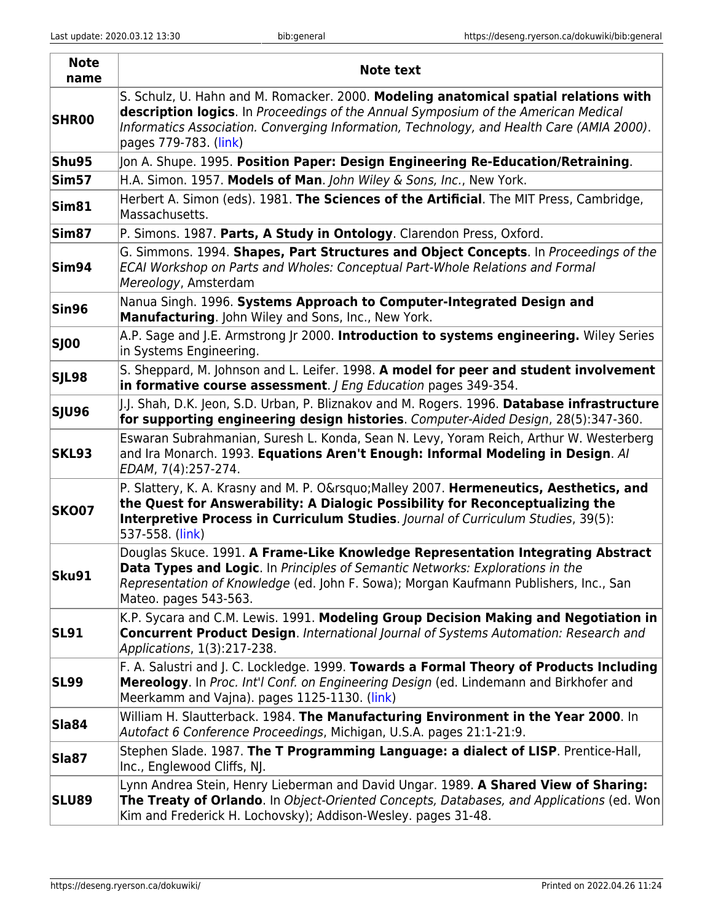| <b>Note</b><br>name | <b>Note text</b>                                                                                                                                                                                                                                                                                 |
|---------------------|--------------------------------------------------------------------------------------------------------------------------------------------------------------------------------------------------------------------------------------------------------------------------------------------------|
| <b>SHROO</b>        | S. Schulz, U. Hahn and M. Romacker. 2000. Modeling anatomical spatial relations with<br>description logics. In Proceedings of the Annual Symposium of the American Medical<br>Informatics Association. Converging Information, Technology, and Health Care (AMIA 2000).<br>pages 779-783. (link) |
| Shu95               | Jon A. Shupe. 1995. Position Paper: Design Engineering Re-Education/Retraining.                                                                                                                                                                                                                  |
| Sim <sub>57</sub>   | H.A. Simon. 1957. Models of Man. John Wiley & Sons, Inc., New York.                                                                                                                                                                                                                              |
| Sim81               | Herbert A. Simon (eds). 1981. The Sciences of the Artificial. The MIT Press, Cambridge,<br>Massachusetts.                                                                                                                                                                                        |
| Sim87               | P. Simons. 1987. Parts, A Study in Ontology. Clarendon Press, Oxford.                                                                                                                                                                                                                            |
| Sim94               | G. Simmons. 1994. Shapes, Part Structures and Object Concepts. In Proceedings of the<br>ECAI Workshop on Parts and Wholes: Conceptual Part-Whole Relations and Formal<br>Mereology, Amsterdam                                                                                                    |
| Sin96               | Nanua Singh. 1996. Systems Approach to Computer-Integrated Design and<br>Manufacturing. John Wiley and Sons, Inc., New York.                                                                                                                                                                     |
| SJ00                | A.P. Sage and J.E. Armstrong Jr 2000. Introduction to systems engineering. Wiley Series<br>in Systems Engineering.                                                                                                                                                                               |
| SJL98               | S. Sheppard, M. Johnson and L. Leifer. 1998. A model for peer and student involvement<br>in formative course assessment. J Eng Education pages 349-354.                                                                                                                                          |
| SJU96               | J.J. Shah, D.K. Jeon, S.D. Urban, P. Bliznakov and M. Rogers. 1996. Database infrastructure<br>for supporting engineering design histories. Computer-Aided Design, 28(5):347-360.                                                                                                                |
| <b>SKL93</b>        | Eswaran Subrahmanian, Suresh L. Konda, Sean N. Levy, Yoram Reich, Arthur W. Westerberg<br>and Ira Monarch. 1993. Equations Aren't Enough: Informal Modeling in Design. Al<br>EDAM, 7(4):257-274.                                                                                                 |
| <b>SKO07</b>        | P. Slattery, K. A. Krasny and M. P. O' Malley 2007. Hermeneutics, Aesthetics, and<br>the Quest for Answerability: A Dialogic Possibility for Reconceptualizing the<br>Interpretive Process in Curriculum Studies. Journal of Curriculum Studies, 39(5):<br>537-558. (link)                       |
| Sku91               | Douglas Skuce. 1991. A Frame-Like Knowledge Representation Integrating Abstract<br>Data Types and Logic. In Principles of Semantic Networks: Explorations in the<br>Representation of Knowledge (ed. John F. Sowa); Morgan Kaufmann Publishers, Inc., San<br>Mateo. pages 543-563.               |
| SL91                | K.P. Sycara and C.M. Lewis. 1991. Modeling Group Decision Making and Negotiation in<br><b>Concurrent Product Design.</b> International Journal of Systems Automation: Research and<br>Applications, 1(3):217-238.                                                                                |
| <b>SL99</b>         | F. A. Salustri and J. C. Lockledge. 1999. Towards a Formal Theory of Products Including<br>Mereology. In Proc. Int'l Conf. on Engineering Design (ed. Lindemann and Birkhofer and<br>Meerkamm and Vajna). pages 1125-1130. (link)                                                                |
| Sla84               | William H. Slautterback. 1984. The Manufacturing Environment in the Year 2000. In<br>Autofact 6 Conference Proceedings, Michigan, U.S.A. pages 21:1-21:9.                                                                                                                                        |
| Sla87               | Stephen Slade. 1987. The T Programming Language: a dialect of LISP. Prentice-Hall,<br>Inc., Englewood Cliffs, NJ.                                                                                                                                                                                |
| <b>SLU89</b>        | Lynn Andrea Stein, Henry Lieberman and David Ungar. 1989. A Shared View of Sharing:<br>The Treaty of Orlando. In Object-Oriented Concepts, Databases, and Applications (ed. Won<br>Kim and Frederick H. Lochovsky); Addison-Wesley. pages 31-48.                                                 |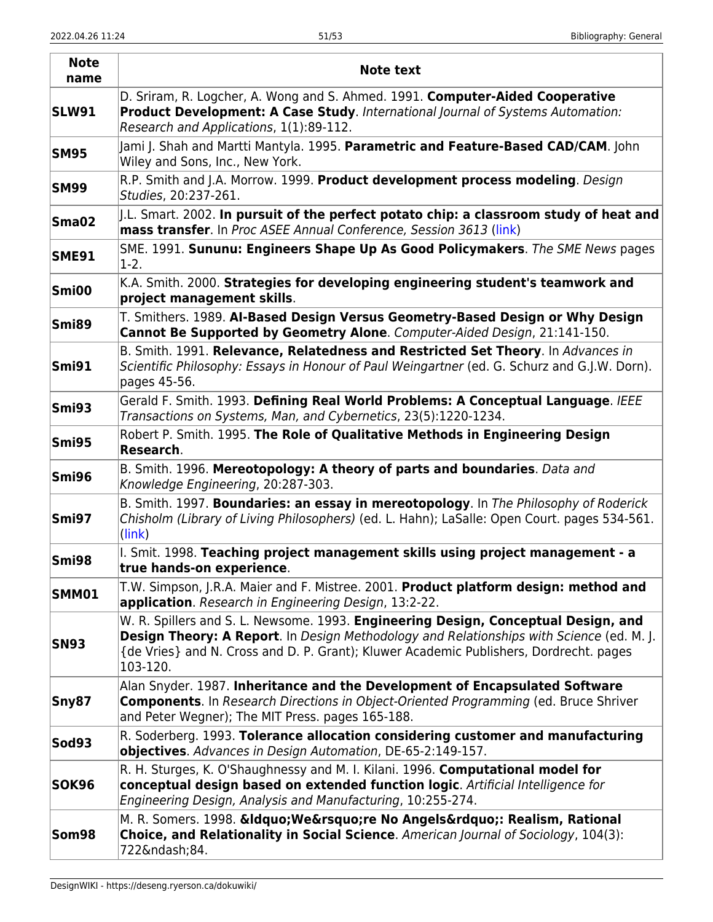| <b>Note</b><br>name | <b>Note text</b>                                                                                                                                                                                                                                                                             |
|---------------------|----------------------------------------------------------------------------------------------------------------------------------------------------------------------------------------------------------------------------------------------------------------------------------------------|
| <b>SLW91</b>        | D. Sriram, R. Logcher, A. Wong and S. Ahmed. 1991. Computer-Aided Cooperative<br><b>Product Development: A Case Study. International Journal of Systems Automation:</b><br>Research and Applications, 1(1):89-112.                                                                           |
| <b>SM95</b>         | Jami J. Shah and Martti Mantyla. 1995. Parametric and Feature-Based CAD/CAM. John<br>Wiley and Sons, Inc., New York.                                                                                                                                                                         |
| <b>SM99</b>         | R.P. Smith and J.A. Morrow. 1999. Product development process modeling. Design<br>Studies, 20:237-261.                                                                                                                                                                                       |
| Sma02               | J.L. Smart. 2002. In pursuit of the perfect potato chip: a classroom study of heat and<br>mass transfer. In Proc ASEE Annual Conference, Session 3613 (link)                                                                                                                                 |
| <b>SME91</b>        | SME. 1991. Sununu: Engineers Shape Up As Good Policymakers. The SME News pages<br>$1-2.$                                                                                                                                                                                                     |
| Smi00               | K.A. Smith. 2000. Strategies for developing engineering student's teamwork and<br>project management skills.                                                                                                                                                                                 |
| Smi89               | T. Smithers. 1989. Al-Based Design Versus Geometry-Based Design or Why Design<br>Cannot Be Supported by Geometry Alone. Computer-Aided Design, 21:141-150.                                                                                                                                   |
| Smi91               | B. Smith. 1991. Relevance, Relatedness and Restricted Set Theory. In Advances in<br>Scientific Philosophy: Essays in Honour of Paul Weingartner (ed. G. Schurz and G.J.W. Dorn).<br>pages 45-56.                                                                                             |
| Smi93               | Gerald F. Smith. 1993. Defining Real World Problems: A Conceptual Language. IEEE<br>Transactions on Systems, Man, and Cybernetics, 23(5):1220-1234.                                                                                                                                          |
| Smi95               | Robert P. Smith. 1995. The Role of Qualitative Methods in Engineering Design<br>Research.                                                                                                                                                                                                    |
| Smi96               | B. Smith. 1996. Mereotopology: A theory of parts and boundaries. Data and<br>Knowledge Engineering, 20:287-303.                                                                                                                                                                              |
| Smi97               | B. Smith. 1997. Boundaries: an essay in mereotopology. In The Philosophy of Roderick<br>Chisholm (Library of Living Philosophers) (ed. L. Hahn); LaSalle: Open Court. pages 534-561.<br>$(\mathsf{link})$                                                                                    |
| Smi98               | I. Smit. 1998. Teaching project management skills using project management - a<br>true hands-on experience.                                                                                                                                                                                  |
| SMM01               | T.W. Simpson, J.R.A. Maier and F. Mistree. 2001. Product platform design: method and<br>application. Research in Engineering Design, 13:2-22.                                                                                                                                                |
| <b>SN93</b>         | W. R. Spillers and S. L. Newsome. 1993. Engineering Design, Conceptual Design, and<br><b>Design Theory: A Report</b> . In Design Methodology and Relationships with Science (ed. M. J.<br>{de Vries} and N. Cross and D. P. Grant); Kluwer Academic Publishers, Dordrecht. pages<br>103-120. |
| Sny87               | Alan Snyder. 1987. Inheritance and the Development of Encapsulated Software<br><b>Components.</b> In Research Directions in Object-Oriented Programming (ed. Bruce Shriver<br>and Peter Wegner); The MIT Press. pages 165-188.                                                               |
| <b>Sod93</b>        | R. Soderberg. 1993. Tolerance allocation considering customer and manufacturing<br>objectives. Advances in Design Automation, DE-65-2:149-157.                                                                                                                                               |
| SOK96               | R. H. Sturges, K. O'Shaughnessy and M. I. Kilani. 1996. Computational model for<br>conceptual design based on extended function logic. Artificial Intelligence for<br>Engineering Design, Analysis and Manufacturing, 10:255-274.                                                            |
| Som98               | M. R. Somers. 1998. &Idquo We' re No Angels": Realism, Rational<br>Choice, and Relationality in Social Science. American Journal of Sociology, 104(3):<br>722–84.                                                                                                                            |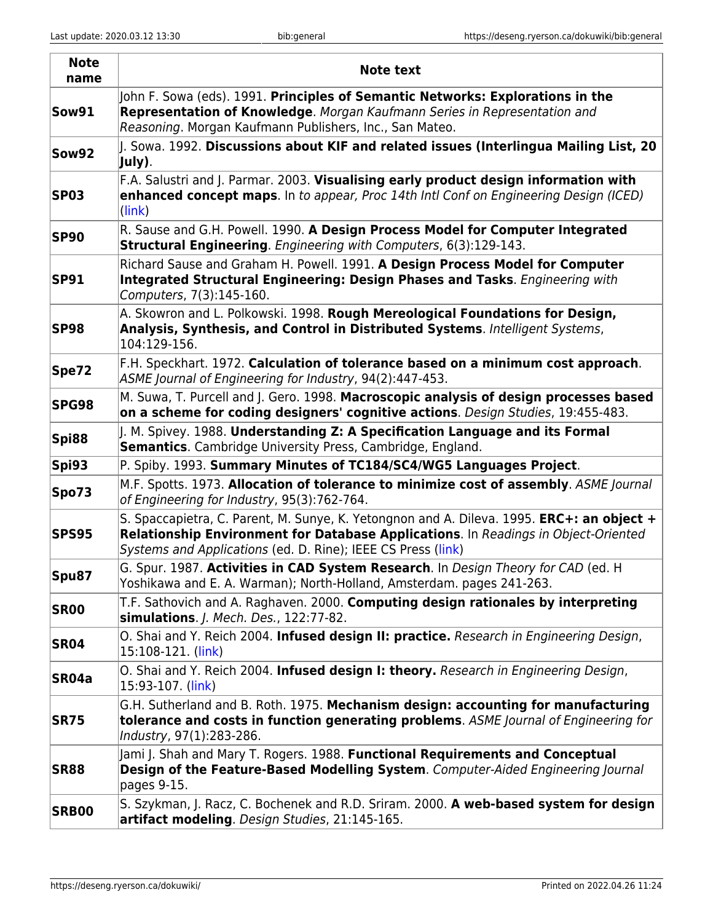| <b>Note</b><br>name | <b>Note text</b>                                                                                                                                                                                                                                |
|---------------------|-------------------------------------------------------------------------------------------------------------------------------------------------------------------------------------------------------------------------------------------------|
| Sow91               | John F. Sowa (eds). 1991. Principles of Semantic Networks: Explorations in the<br>Representation of Knowledge. Morgan Kaufmann Series in Representation and<br>Reasoning. Morgan Kaufmann Publishers, Inc., San Mateo.                          |
| Sow92               | J. Sowa. 1992. Discussions about KIF and related issues (Interlingua Mailing List, 20<br>July).                                                                                                                                                 |
| <b>SP03</b>         | F.A. Salustri and J. Parmar. 2003. Visualising early product design information with<br>enhanced concept maps. In to appear, Proc 14th Intl Conf on Engineering Design (ICED)<br>(link)                                                         |
| <b>SP90</b>         | R. Sause and G.H. Powell. 1990. A Design Process Model for Computer Integrated<br><b>Structural Engineering</b> . Engineering with Computers, 6(3):129-143.                                                                                     |
| <b>SP91</b>         | Richard Sause and Graham H. Powell. 1991. A Design Process Model for Computer<br>Integrated Structural Engineering: Design Phases and Tasks. Engineering with<br>Computers, 7(3):145-160.                                                       |
| <b>SP98</b>         | A. Skowron and L. Polkowski. 1998. Rough Mereological Foundations for Design,<br>Analysis, Synthesis, and Control in Distributed Systems. Intelligent Systems,<br>104:129-156.                                                                  |
| Spe72               | F.H. Speckhart. 1972. Calculation of tolerance based on a minimum cost approach.<br>ASME Journal of Engineering for Industry, 94(2):447-453.                                                                                                    |
| <b>SPG98</b>        | M. Suwa, T. Purcell and J. Gero. 1998. Macroscopic analysis of design processes based<br>on a scheme for coding designers' cognitive actions. Design Studies, 19:455-483.                                                                       |
| Spi88               | J. M. Spivey. 1988. Understanding Z: A Specification Language and its Formal<br>Semantics. Cambridge University Press, Cambridge, England.                                                                                                      |
| Spi93               | P. Spiby. 1993. Summary Minutes of TC184/SC4/WG5 Languages Project.                                                                                                                                                                             |
| Spo73               | M.F. Spotts. 1973. Allocation of tolerance to minimize cost of assembly. ASME Journal<br>of Engineering for Industry, 95(3):762-764.                                                                                                            |
| <b>SPS95</b>        | S. Spaccapietra, C. Parent, M. Sunye, K. Yetongnon and A. Dileva. 1995. ERC+: an object +<br>Relationship Environment for Database Applications. In Readings in Object-Oriented<br>Systems and Applications (ed. D. Rine); IEEE CS Press (link) |
| Spu87               | G. Spur. 1987. Activities in CAD System Research. In Design Theory for CAD (ed. H<br>Yoshikawa and E. A. Warman); North-Holland, Amsterdam. pages 241-263.                                                                                      |
| <b>SR00</b>         | T.F. Sathovich and A. Raghaven. 2000. Computing design rationales by interpreting<br>simulations. J. Mech. Des., 122:77-82.                                                                                                                     |
| <b>SR04</b>         | O. Shai and Y. Reich 2004. Infused design II: practice. Research in Engineering Design,<br>15:108-121. (link)                                                                                                                                   |
| <b>SR04a</b>        | O. Shai and Y. Reich 2004. Infused design I: theory. Research in Engineering Design,<br>15:93-107. (link)                                                                                                                                       |
| <b>SR75</b>         | G.H. Sutherland and B. Roth. 1975. Mechanism design: accounting for manufacturing<br>tolerance and costs in function generating problems. ASME Journal of Engineering for<br>Industry, 97(1):283-286.                                           |
| <b>SR88</b>         | Jami J. Shah and Mary T. Rogers. 1988. Functional Requirements and Conceptual<br>Design of the Feature-Based Modelling System. Computer-Aided Engineering Journal<br>pages 9-15.                                                                |
| <b>SRB00</b>        | S. Szykman, J. Racz, C. Bochenek and R.D. Sriram. 2000. A web-based system for design<br>artifact modeling. Design Studies, 21:145-165.                                                                                                         |